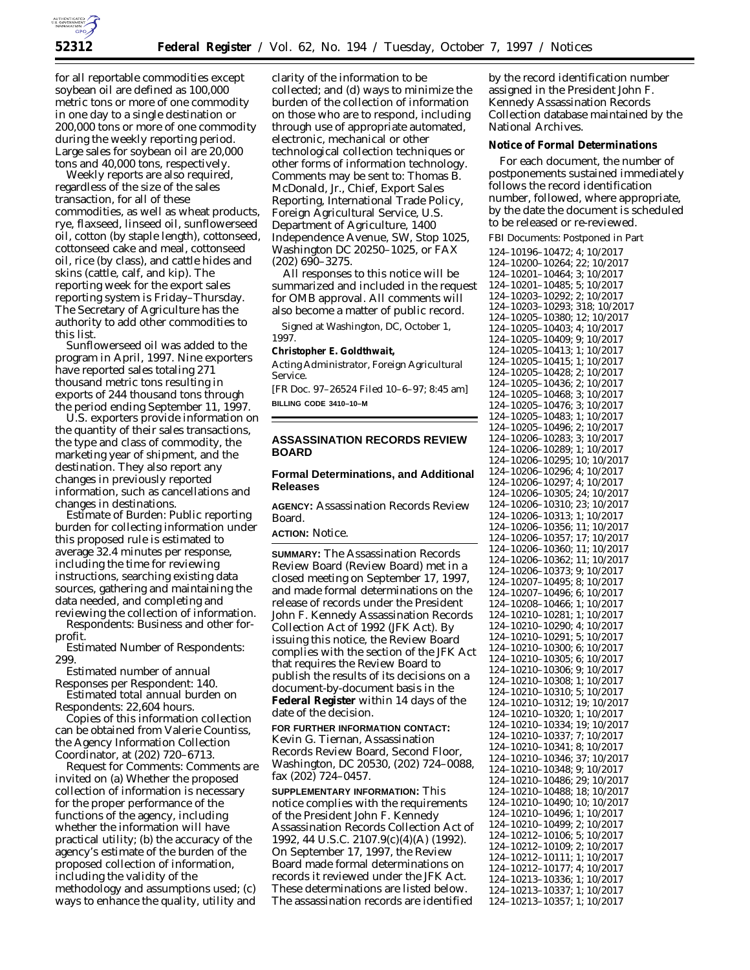

for all reportable commodities except soybean oil are defined as 100,000 metric tons or more of one commodity in one day to a single destination or 200,000 tons or more of one commodity during the weekly reporting period. Large sales for soybean oil are 20,000 tons and 40,000 tons, respectively.

Weekly reports are also required, regardless of the size of the sales transaction, for all of these commodities, as well as wheat products, rye, flaxseed, linseed oil, sunflowerseed oil, cotton (by staple length), cottonseed, cottonseed cake and meal, cottonseed oil, rice (by class), and cattle hides and skins (cattle, calf, and kip). The reporting week for the export sales reporting system is Friday–Thursday. The Secretary of Agriculture has the authority to add other commodities to this list.

Sunflowerseed oil was added to the program in April, 1997. Nine exporters have reported sales totaling 271 thousand metric tons resulting in exports of 244 thousand tons through the period ending September 11, 1997.

U.S. exporters provide information on the quantity of their sales transactions, the type and class of commodity, the marketing year of shipment, and the destination. They also report any changes in previously reported information, such as cancellations and changes in destinations.

*Estimate of Burden:* Public reporting burden for collecting information under this proposed rule is estimated to average 32.4 minutes per response, including the time for reviewing instructions, searching existing data sources, gathering and maintaining the data needed, and completing and reviewing the collection of information.

*Respondents:* Business and other forprofit.

*Estimated Number of Respondents:* 299.

*Estimated number of annual Responses per Respondent:* 140. *Estimated total annual burden on*

*Respondents:* 22,604 hours. Copies of this information collection can be obtained from Valerie Countiss, the Agency Information Collection Coordinator, at (202) 720–6713.

*Request for Comments:* Comments are invited on (a) Whether the proposed collection of information is necessary for the proper performance of the functions of the agency, including whether the information will have practical utility; (b) the accuracy of the agency's estimate of the burden of the proposed collection of information, including the validity of the methodology and assumptions used; (c) ways to enhance the quality, utility and

clarity of the information to be collected; and (d) ways to minimize the burden of the collection of information on those who are to respond, including through use of appropriate automated, electronic, mechanical or other technological collection techniques or other forms of information technology. Comments may be sent to: Thomas B. McDonald, Jr., Chief, Export Sales Reporting, International Trade Policy, Foreign Agricultural Service, U.S. Department of Agriculture, 1400 Independence Avenue, SW, Stop 1025, Washington DC 20250–1025, or FAX (202) 690–3275.

All responses to this notice will be summarized and included in the request for OMB approval. All comments will also become a matter of public record.

Signed at Washington, DC, October 1, 1997.

#### **Christopher E. Goldthwait,**

*Acting Administrator, Foreign Agricultural Service.*

[FR Doc. 97–26524 Filed 10–6–97; 8:45 am] **BILLING CODE 3410–10–M**

# **ASSASSINATION RECORDS REVIEW BOARD**

## **Formal Determinations, and Additional Releases**

**AGENCY:** Assassination Records Review Board.

**ACTION:** Notice.

**SUMMARY:** The Assassination Records Review Board (Review Board) met in a closed meeting on September 17, 1997, and made formal determinations on the release of records under the President John F. Kennedy Assassination Records Collection Act of 1992 (JFK Act). By issuing this notice, the Review Board complies with the section of the JFK Act that requires the Review Board to publish the results of its decisions on a document-by-document basis in the **Federal Register** within 14 days of the date of the decision.

**FOR FURTHER INFORMATION CONTACT:** Kevin G. Tiernan, Assassination Records Review Board, Second Floor, Washington, DC 20530, (202) 724–0088, fax (202) 724–0457.

**SUPPLEMENTARY INFORMATION:** This notice complies with the requirements of the President John F. Kennedy Assassination Records Collection Act of 1992, 44 U.S.C. 2107.9(c)(4)(A) (1992). On September 17, 1997, the Review Board made formal determinations on records it reviewed under the JFK Act. These determinations are listed below. The assassination records are identified

by the record identification number assigned in the President John F. Kennedy Assassination Records Collection database maintained by the National Archives.

### **Notice of Formal Determinations**

For each document, the number of postponements sustained immediately follows the record identification number, followed, where appropriate, by the date the document is scheduled to be released or re-reviewed.

FBI Documents: Postponed in Part

124–10196–10472; 4; 10/2017 124–10200–10264; 22; 10/2017 124–10201–10464; 3; 10/2017 124–10201–10485; 5; 10/2017 124–10203–10292; 2; 10/2017 124–10203–10293; 318; 10/2017 124–10205–10380; 12; 10/2017 124–10205–10403; 4; 10/2017 124–10205–10409; 9; 10/2017 124–10205–10413; 1; 10/2017 124–10205–10415; 1; 10/2017 124–10205–10428; 2; 10/2017 124–10205–10436; 2; 10/2017 124–10205–10468; 3; 10/2017 124–10205–10476; 3; 10/2017 124–10205–10483; 1; 10/2017 124–10205–10496; 2; 10/2017 124–10206–10283; 3; 10/2017 124–10206–10289; 1; 10/2017 124–10206–10295; 10; 10/2017 124–10206–10296; 4; 10/2017 124–10206–10297; 4; 10/2017 124–10206–10305; 24; 10/2017 124–10206–10310; 23; 10/2017 124–10206–10313; 1; 10/2017 124–10206–10356; 11; 10/2017 124–10206–10357; 17; 10/2017 124–10206–10360; 11; 10/2017 124–10206–10362; 11; 10/2017 124–10206–10373; 9; 10/2017 124–10207–10495; 8; 10/2017 124–10207–10496; 6; 10/2017 124–10208–10466; 1; 10/2017 124–10210–10281; 1; 10/2017 124–10210–10290; 4; 10/2017 124–10210–10291; 5; 10/2017 124–10210–10300; 6; 10/2017 124–10210–10305; 6; 10/2017 124–10210–10306; 9; 10/2017 124–10210–10308; 1; 10/2017 124–10210–10310; 5; 10/2017 124–10210–10312; 19; 10/2017 124–10210–10320; 1; 10/2017 124–10210–10334; 19; 10/2017 124–10210–10337; 7; 10/2017 124–10210–10341; 8; 10/2017 124–10210–10346; 37; 10/2017 124–10210–10348; 9; 10/2017 124–10210–10486; 29; 10/2017 124–10210–10488; 18; 10/2017 124–10210–10490; 10; 10/2017 124–10210–10496; 1; 10/2017 124–10210–10499; 2; 10/2017 124–10212–10106; 5; 10/2017 124–10212–10109; 2; 10/2017 124–10212–10111; 1; 10/2017 124–10212–10177; 4; 10/2017 124–10213–10336; 1; 10/2017 124–10213–10337; 1; 10/2017 124–10213–10357; 1; 10/2017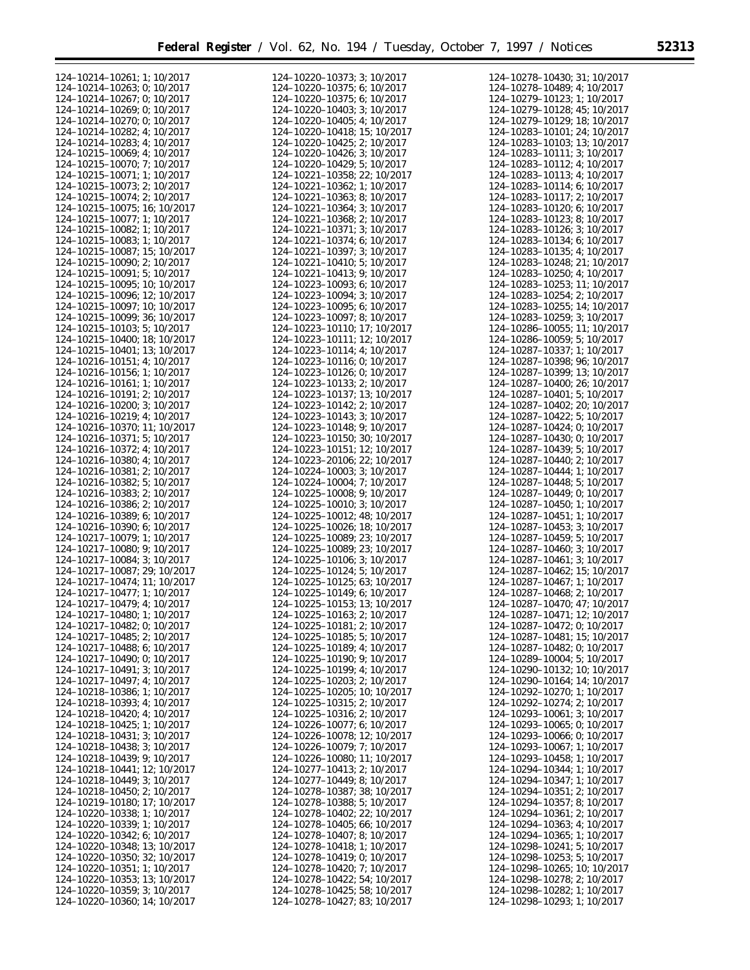Ξ

| 124-10214-10261; 1; 10/2017                                 | 124-10220-10373; 3; 10/2017                                  | 124-10278-10430; 31; 10/2017                               |
|-------------------------------------------------------------|--------------------------------------------------------------|------------------------------------------------------------|
| 124-10214-10263; 0; 10/2017                                 | 124-10220-10375; 6; 10/2017                                  | 124-10278-10489; 4; 10/2017                                |
|                                                             |                                                              |                                                            |
| 124-10214-10267; 0; 10/2017                                 | 124-10220-10375; 6; 10/2017                                  | 124-10279-10123; 1; 10/2017                                |
| 124-10214-10269; 0; 10/2017                                 | 124-10220-10403; 3; 10/2017                                  | 124-10279-10128; 45; 10/2017                               |
| 124-10214-10270; 0; 10/2017                                 | 124-10220-10405; 4; 10/2017                                  | 124-10279-10129; 18; 10/2017                               |
|                                                             |                                                              |                                                            |
| 124-10214-10282; 4; 10/2017                                 | 124-10220-10418; 15; 10/2017                                 | 124-10283-10101; 24; 10/2017                               |
| 124-10214-10283; 4; 10/2017                                 | 124-10220-10425; 2; 10/2017                                  | 124-10283-10103; 13; 10/2017                               |
| 124-10215-10069; 4; 10/2017                                 |                                                              | 124-10283-10111; 3; 10/2017                                |
|                                                             | 124-10220-10426; 3; 10/2017                                  |                                                            |
| 124-10215-10070; 7; 10/2017                                 | 124-10220-10429; 5; 10/2017                                  | 124-10283-10112; 4; 10/2017                                |
| 124-10215-10071; 1; 10/2017                                 | 124-10221-10358; 22; 10/2017                                 | 124-10283-10113; 4; 10/2017                                |
|                                                             |                                                              |                                                            |
| 124-10215-10073; 2; 10/2017                                 | 124-10221-10362; 1; 10/2017                                  | 124-10283-10114; 6; 10/2017                                |
| 124-10215-10074; 2; 10/2017                                 | $124 - 10221 - 10363$ ; 8; 10/2017                           | 124-10283-10117; 2; 10/2017                                |
| 124-10215-10075; 16; 10/2017                                | 124-10221-10364; 3; 10/2017                                  | 124-10283-10120; 6; 10/2017                                |
|                                                             |                                                              |                                                            |
| 124-10215-10077; 1; 10/2017                                 | $124 - 10221 - 10368$ ; 2; 10/2017                           | 124-10283-10123; 8; 10/2017                                |
| 124-10215-10082; 1; 10/2017                                 | 124-10221-10371; 3; 10/2017                                  | 124-10283-10126; 3; 10/2017                                |
| 124-10215-10083; 1; 10/2017                                 | 124-10221-10374; 6; 10/2017                                  | 124-10283-10134; 6; 10/2017                                |
|                                                             |                                                              |                                                            |
| 124-10215-10087; 15; 10/2017                                | 124-10221-10397; 3; 10/2017                                  | 124-10283-10135; 4; 10/2017                                |
| $124 - 10215 - 10090$ ; 2; $10/2017$                        | $124 - 10221 - 10410$ ; 5; 10/2017                           | 124-10283-10248; 21; 10/2017                               |
|                                                             |                                                              |                                                            |
| 124-10215-10091; 5; 10/2017                                 | 124-10221-10413; 9; 10/2017                                  | 124-10283-10250; 4; 10/2017                                |
| 124-10215-10095; 10; 10/2017                                | 124-10223-10093; 6; 10/2017                                  | 124-10283-10253; 11; 10/2017                               |
| 124-10215-10096; 12; 10/2017                                | 124-10223-10094; 3; 10/2017                                  | 124-10283-10254; 2; 10/2017                                |
|                                                             |                                                              |                                                            |
| 124-10215-10097; 10; 10/2017                                | 124-10223-10095; 6; 10/2017                                  | 124-10283-10255; 14; 10/2017                               |
| 124-10215-10099; 36; 10/2017                                | 124-10223-10097; 8; 10/2017                                  | 124-10283-10259; 3; 10/2017                                |
| 124-10215-10103; 5; 10/2017                                 | 124-10223-10110; 17; 10/2017                                 | 124-10286-10055; 11; 10/2017                               |
|                                                             |                                                              |                                                            |
| 124-10215-10400; 18; 10/2017                                | 124-10223-10111; 12; 10/2017                                 | 124-10286-10059; 5; 10/2017                                |
| 124-10215-10401; 13; 10/2017                                | 124-10223-10114; 4; 10/2017                                  | 124-10287-10337; 1; 10/2017                                |
| 124-10216-10151; 4; 10/2017                                 | 124-10223-10116; 0; 10/2017                                  | 124-10287-10398; 96; 10/2017                               |
|                                                             |                                                              |                                                            |
| 124-10216-10156; 1; 10/2017                                 | 124-10223-10126; 0; 10/2017                                  | 124-10287-10399; 13; 10/2017                               |
| 124-10216-10161; 1; 10/2017                                 | 124-10223-10133; 2; 10/2017                                  | 124-10287-10400; 26; 10/2017                               |
|                                                             | 124-10223-10137; 13; 10/2017                                 |                                                            |
| 124-10216-10191; 2; 10/2017                                 |                                                              | 124-10287-10401; 5; 10/2017                                |
| 124-10216-10200; 3; 10/2017                                 | 124-10223-10142; 2; 10/2017                                  | 124-10287-10402; 20; 10/2017                               |
| 124-10216-10219; 4; 10/2017                                 | 124-10223-10143; 3; 10/2017                                  | 124-10287-10422; 5; 10/2017                                |
|                                                             |                                                              |                                                            |
| 124-10216-10370; 11; 10/2017                                | 124-10223-10148; 9; 10/2017                                  | 124-10287-10424; 0; 10/2017                                |
| 124-10216-10371; 5; 10/2017                                 | 124-10223-10150; 30; 10/2017                                 | 124-10287-10430; 0; 10/2017                                |
| 124-10216-10372; 4; 10/2017                                 | 124-10223-10151; 12; 10/2017                                 | 124-10287-10439; 5; 10/2017                                |
|                                                             |                                                              |                                                            |
| 124-10216-10380; 4; 10/2017                                 | 124-10223-20106; 22; 10/2017                                 | 124-10287-10440; 2; 10/2017                                |
| 124-10216-10381; 2; 10/2017                                 | 124-10224-10003; 3; 10/2017                                  | 124-10287-10444; 1; 10/2017                                |
| 124-10216-10382; 5; 10/2017                                 | 124-10224-10004; 7; 10/2017                                  | 124-10287-10448; 5; 10/2017                                |
|                                                             | 124-10225-10008; 9; 10/2017                                  |                                                            |
| 124-10216-10383; 2; 10/2017                                 |                                                              | 124-10287-10449; 0; 10/2017                                |
| 124-10216-10386; 2; 10/2017                                 | 124-10225-10010; 3; 10/2017                                  | 124-10287-10450; 1; 10/2017                                |
| 124-10216-10389; 6; 10/2017                                 | 124-10225-10012; 48; 10/2017                                 | 124-10287-10451; 1; 10/2017                                |
| 124-10216-10390; 6; 10/2017                                 | 124-10225-10026; 18; 10/2017                                 | 124-10287-10453; 3; 10/2017                                |
|                                                             |                                                              |                                                            |
| 124-10217-10079; 1; 10/2017                                 | 124-10225-10089; 23; 10/2017                                 | 124-10287-10459; 5; 10/2017                                |
| 124-10217-10080; 9; 10/2017                                 | 124-10225-10089; 23; 10/2017                                 | 124-10287-10460; 3; 10/2017                                |
| 124-10217-10084; 3; 10/2017                                 | 124-10225-10106; 3; 10/2017                                  | 124-10287-10461; 3; 10/2017                                |
|                                                             |                                                              |                                                            |
| 124-10217-10087; 29; 10/2017                                | 124-10225-10124; 5; 10/2017                                  | 124-10287-10462; 15; 10/2017                               |
| 124-10217-10474; 11; 10/2017                                | 124-10225-10125; 63; 10/2017                                 | 124-10287-10467; 1; 10/2017                                |
| 124-10217-10477; 1; 10/2017                                 | 124-10225-10149; 6; 10/2017                                  | 124-10287-10468; 2; 10/2017                                |
|                                                             |                                                              |                                                            |
| 124-10217-10479; 4; 10/2017                                 | 124-10225-10153; 13; 10/2017                                 | 124-10287-10470; 47; 10/2017                               |
| 124-10217-10480; 1; 10/2017                                 | 124-10225-10163; 2; 10/2017                                  | 124-10287-10471; 12; 10/2017                               |
|                                                             |                                                              | 124-10287-10472; 0; 10/2017                                |
| 124-10217-10482; 0; 10/2017                                 | 124-10225-10181; 2; 10/2017                                  |                                                            |
| 124-10217-10485; 2; 10/2017                                 | 124-10225-10185; 5; 10/2017                                  | 124-10287-10481; 15; 10/2017                               |
| 124-10217-10488; 6; 10/2017                                 | 124-10225-10189; 4; 10/2017                                  | 124-10287-10482; 0; 10/2017                                |
| $124 - 10217 - 10490$ ; 0; 10/2017                          | 124-10225-10190; 9; 10/2017                                  | 124-10289-10004; 5; 10/2017                                |
|                                                             |                                                              |                                                            |
| 124-10217-10491; 3; 10/2017                                 | 124-10225-10199; 4; 10/2017                                  | 124-10290-10132; 10; 10/2017                               |
| 124-10217-10497; 4; 10/2017                                 | 124-10225-10203; 2; 10/2017                                  | 124-10290-10164; 14; 10/2017                               |
| 124-10218-10386; 1; 10/2017                                 | 124-10225-10205; 10; 10/2017                                 | 124-10292-10270; 1; 10/2017                                |
|                                                             |                                                              |                                                            |
| 124-10218-10393; 4; 10/2017                                 | $124 - 10225 - 10315$ ; 2; 10/2017                           | 124-10292-10274; 2; 10/2017                                |
| 124-10218-10420; 4; 10/2017                                 | 124-10225-10316; 2; 10/2017                                  | 124-10293-10061; 3; 10/2017                                |
|                                                             | 124-10226-10077; 6; 10/2017                                  |                                                            |
| 124-10218-10425; 1; 10/2017                                 |                                                              | $124 - 10293 - 10065$ ; 0; 10/2017                         |
| 124-10218-10431; 3; 10/2017                                 | 124-10226-10078; 12; 10/2017                                 | 124-10293-10066; 0; 10/2017                                |
| 124-10218-10438; 3; 10/2017                                 | 124-10226-10079; 7; 10/2017                                  | 124-10293-10067; 1; 10/2017                                |
|                                                             |                                                              |                                                            |
| 124-10218-10439; 9; 10/2017                                 | 124-10226-10080; 11; 10/2017                                 | 124-10293-10458; 1; 10/2017                                |
| 124-10218-10441; 12; 10/2017                                | 124-10277-10413; 2; 10/2017                                  | 124-10294-10344; 1; 10/2017                                |
| 124-10218-10449; 3; 10/2017                                 | 124-10277-10449; 8; 10/2017                                  | 124-10294-10347; 1; 10/2017                                |
| $124 - 10218 - 10450$ ; 2; 10/2017                          | 124-10278-10387; 38; 10/2017                                 | 124-10294-10351; 2; 10/2017                                |
|                                                             |                                                              |                                                            |
| 124-10219-10180; 17; 10/2017                                | 124-10278-10388; 5; 10/2017                                  | 124-10294-10357; 8; 10/2017                                |
| 124-10220-10338; 1; 10/2017                                 | 124-10278-10402; 22; 10/2017                                 | $124 - 10294 - 10361$ ; 2; 10/2017                         |
| 124-10220-10339; 1; 10/2017                                 | 124-10278-10405; 66; 10/2017                                 | $124 - 10294 - 10363$ ; 4; 10/2017                         |
|                                                             |                                                              |                                                            |
| $124 - 10220 - 10342$ ; 6; 10/2017                          | 124-10278-10407; 8; 10/2017                                  | 124-10294-10365; 1; 10/2017                                |
| 124-10220-10348; 13; 10/2017                                | 124-10278-10418; 1; 10/2017                                  | 124-10298-10241; 5; 10/2017                                |
| 124-10220-10350; 32; 10/2017                                | 124-10278-10419; 0; 10/2017                                  | 124-10298-10253; 5; 10/2017                                |
|                                                             |                                                              |                                                            |
| 124-10220-10351; 1; 10/2017                                 | 124-10278-10420; 7; 10/2017                                  | 124-10298-10265; 10; 10/2017                               |
| 124-10220-10353; 13; 10/2017                                | 124-10278-10422; 54; 10/2017                                 | 124-10298-10278; 2; 10/2017                                |
|                                                             |                                                              |                                                            |
|                                                             |                                                              |                                                            |
| 124-10220-10359; 3; 10/2017<br>124-10220-10360; 14; 10/2017 | 124-10278-10425; 58; 10/2017<br>124-10278-10427; 83; 10/2017 | 124-10298-10282; 1; 10/2017<br>124-10298-10293; 1; 10/2017 |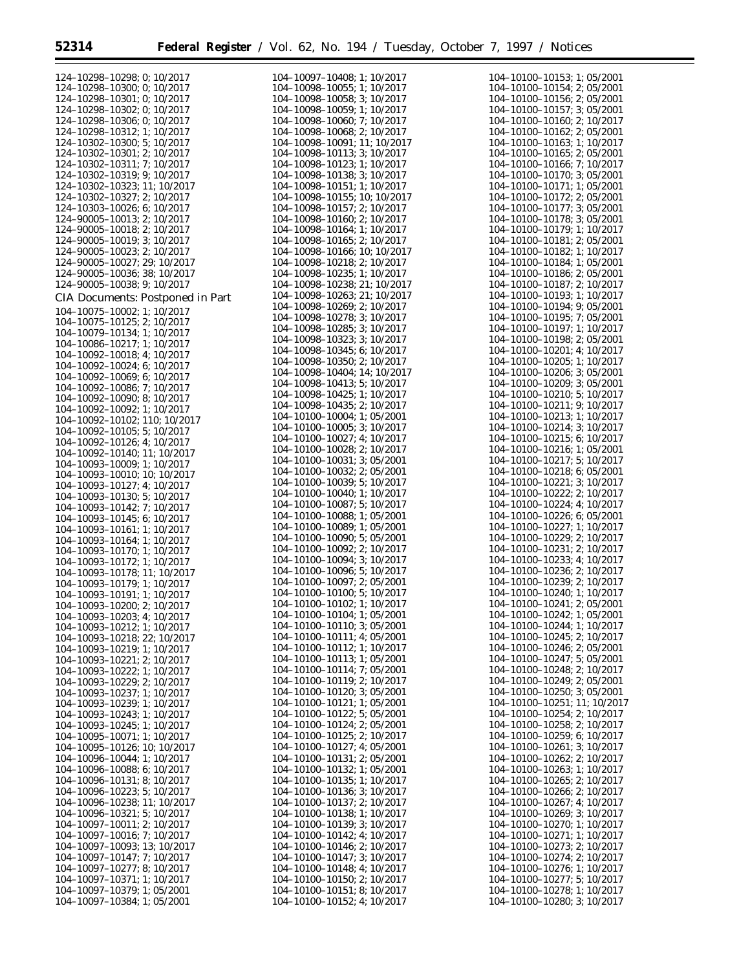п

| 124-10298-10298; 0; 10/2017          | 104-10097-10408; 1; 10/2017          | 104-10100-10153; 1; 05/2001          |
|--------------------------------------|--------------------------------------|--------------------------------------|
| 124-10298-10300; 0; 10/2017          | $104 - 10098 - 10055$ ; 1; 10/2017   | 104-10100-10154; 2; 05/2001          |
|                                      | 104-10098-10058; 3; 10/2017          |                                      |
| 124-10298-10301; 0; 10/2017          |                                      | $104 - 10100 - 10156$ ; 2; 05/2001   |
| 124-10298-10302; 0; 10/2017          | 104-10098-10059; 1; 10/2017          | $104 - 10100 - 10157$ ; 3; 05/2001   |
| 124-10298-10306; 0; 10/2017          | 104-10098-10060; 7; 10/2017          | 104-10100-10160; 2; 10/2017          |
| 124-10298-10312; 1; 10/2017          | 104-10098-10068; 2; 10/2017          | $104 - 10100 - 10162$ ; 2; 05/2001   |
| 124-10302-10300; 5; 10/2017          | 104-10098-10091; 11; 10/2017         | 104-10100-10163; 1; 10/2017          |
| 124-10302-10301; 2; 10/2017          | 104-10098-10113; 3; 10/2017          | $104 - 10100 - 10165$ ; 2; 05/2001   |
| 124-10302-10311; 7; 10/2017          | 104-10098-10123; 1; 10/2017          | 104-10100-10166; 7; 10/2017          |
| 124-10302-10319; 9; 10/2017          | 104-10098-10138; 3; 10/2017          | $104 - 10100 - 10170$ ; 3; 05/2001   |
| 124-10302-10323; 11; 10/2017         | 104-10098-10151; 1; 10/2017          | 104-10100-10171; 1; 05/2001          |
| 124-10302-10327; 2; 10/2017          | 104-10098-10155; 10; 10/2017         | $104 - 10100 - 10172$ ; 2; 05/2001   |
|                                      |                                      |                                      |
| 124-10303-10026; 6; 10/2017          | 104-10098-10157; 2; 10/2017          | 104-10100-10177; 3; 05/2001          |
| 124-90005-10013; 2; 10/2017          | 104-10098-10160; 2; 10/2017          | 104-10100-10178; 3; 05/2001          |
| 124-90005-10018; 2; 10/2017          | 104-10098-10164; 1; 10/2017          | 104-10100-10179; 1; 10/2017          |
| 124-90005-10019; 3; 10/2017          | 104-10098-10165; 2; 10/2017          | 104-10100-10181; 2; 05/2001          |
| 124-90005-10023; 2; 10/2017          | 104-10098-10166; 10; 10/2017         | 104-10100-10182; 1; 10/2017          |
| 124-90005-10027; 29; 10/2017         | 104-10098-10218; 2; 10/2017          | 104-10100-10184; 1; 05/2001          |
| 124-90005-10036; 38; 10/2017         | 104-10098-10235; 1; 10/2017          | $104 - 10100 - 10186$ ; 2; 05/2001   |
| 124-90005-10038; 9; 10/2017          | 104-10098-10238; 21; 10/2017         | 104-10100-10187; 2; 10/2017          |
|                                      | 104-10098-10263; 21; 10/2017         | 104-10100-10193; 1; 10/2017          |
| CIA Documents: Postponed in Part     |                                      |                                      |
| 104-10075-10002; 1; 10/2017          | 104-10098-10269; 2; 10/2017          | 104-10100-10194; 9; 05/2001          |
| $104 - 10075 - 10125$ ; 2; 10/2017   | 104-10098-10278; 3; 10/2017          | 104-10100-10195; 7; 05/2001          |
| 104-10079-10134; 1; 10/2017          | 104-10098-10285; 3; 10/2017          | 104-10100-10197; 1; 10/2017          |
| 104-10086-10217; 1; 10/2017          | 104-10098-10323; 3; 10/2017          | $104 - 10100 - 10198$ ; 2; 05/2001   |
| 104-10092-10018; 4; 10/2017          | 104-10098-10345; 6; 10/2017          | 104-10100-10201; 4; 10/2017          |
|                                      | 104-10098-10350; 2; 10/2017          | 104-10100-10205; 1; 10/2017          |
| 104-10092-10024; 6; 10/2017          | 104-10098-10404; 14; 10/2017         | $104 - 10100 - 10206$ ; 3; 05/2001   |
| 104-10092-10069; 6; 10/2017          | 104-10098-10413; 5; 10/2017          | $104 - 10100 - 10209$ ; 3; 05/2001   |
| 104-10092-10086; 7; 10/2017          | 104-10098-10425; 1; 10/2017          | 104-10100-10210; 5; 10/2017          |
| 104-10092-10090; 8; 10/2017          |                                      |                                      |
| 104-10092-10092; 1; 10/2017          | 104-10098-10435; 2; 10/2017          | 104-10100-10211; 9; 10/2017          |
| 104-10092-10102; 110; 10/2017        | 104-10100-10004; 1; 05/2001          | 104-10100-10213; 1; 10/2017          |
| $104 - 10092 - 10105$ ; 5; 10/2017   | 104-10100-10005; 3; 10/2017          | 104-10100-10214; 3; 10/2017          |
| 104-10092-10126; 4; 10/2017          | 104-10100-10027; 4; 10/2017          | $104 - 10100 - 10215$ ; 6; 10/2017   |
| 104-10092-10140; 11; 10/2017         | $104 - 10100 - 10028$ ; 2; $10/2017$ | 104-10100-10216; 1; 05/2001          |
| 104-10093-10009; 1; 10/2017          | 104-10100-10031; 3; 05/2001          | 104-10100-10217; 5; 10/2017          |
| 104-10093-10010; 10; 10/2017         | $104 - 10100 - 10032$ ; 2; 05/2001   | $104 - 10100 - 10218$ ; 6; 05/2001   |
|                                      | 104-10100-10039; 5; 10/2017          | 104-10100-10221; 3; 10/2017          |
| 104-10093-10127; 4; 10/2017          | 104-10100-10040; 1; 10/2017          | 104-10100-10222; 2; 10/2017          |
| 104-10093-10130; 5; 10/2017          | 104-10100-10087; 5; 10/2017          | 104-10100-10224; 4; 10/2017          |
| 104-10093-10142; 7; 10/2017          |                                      |                                      |
| 104-10093-10145; 6; 10/2017          | 104-10100-10088; 1; 05/2001          | $104 - 10100 - 10226$ ; 6; 05/2001   |
| 104-10093-10161; 1; 10/2017          | 104-10100-10089; 1; 05/2001          | 104-10100-10227; 1; 10/2017          |
| 104-10093-10164; 1; 10/2017          | $104-10100-10090$ ; 5; 05/2001       | 104-10100-10229; 2; 10/2017          |
| 104-10093-10170; 1; 10/2017          | $104 - 10100 - 10092$ ; 2; $10/2017$ | 104-10100-10231; 2; 10/2017          |
| 104-10093-10172; 1; 10/2017          | 104-10100-10094; 3; 10/2017          | 104-10100-10233; 4; 10/2017          |
| 104-10093-10178; 11; 10/2017         | 104-10100-10096; 5; 10/2017          | 104-10100-10236; 2; 10/2017          |
| 104-10093-10179; 1; 10/2017          | 104-10100-10097; 2; 05/2001          | 104-10100-10239; 2; 10/2017          |
|                                      | 104-10100-10100; 5; 10/2017          | 104-10100-10240; 1; 10/2017          |
| 104-10093-10191; 1; 10/2017          | 104-10100-10102; 1; 10/2017          | $104 - 10100 - 10241$ ; 2; 05/2001   |
| 104-10093-10200; 2; 10/2017          |                                      | 104-10100-10242; 1; 05/2001          |
| 104-10093-10203; 4; 10/2017          | 104-10100-10104; 1; 05/2001          |                                      |
| 104-10093-10212; 1; 10/2017          | 104-10100-10110; 3; 05/2001          | 104-10100-10244; 1; 10/2017          |
| 104-10093-10218; 22; 10/2017         | $104 - 10100 - 10111$ ; 4; 05/2001   | 104-10100-10245; 2; 10/2017          |
| 104-10093-10219; 1; 10/2017          | 104-10100-10112; 1; 10/2017          | 104-10100-10246; 2; 05/2001          |
| 104-10093-10221; 2; 10/2017          | 104-10100-10113; 1; 05/2001          | 104-10100-10247; 5; 05/2001          |
| 104-10093-10222; 1; 10/2017          | 104-10100-10114; 7; 05/2001          | 104-10100-10248; 2; 10/2017          |
| 104-10093-10229; 2; 10/2017          | 104-10100-10119; 2; 10/2017          | $104 - 10100 - 10249$ ; 2; 05/2001   |
| 104-10093-10237; 1; 10/2017          | 104-10100-10120; 3; 05/2001          | 104-10100-10250; 3; 05/2001          |
| 104-10093-10239; 1; 10/2017          | 104-10100-10121; 1; 05/2001          | 104-10100-10251; 11; 10/2017         |
|                                      | 104-10100-10122; 5; 05/2001          | 104-10100-10254; 2; 10/2017          |
| 104-10093-10243; 1; 10/2017          |                                      |                                      |
| 104-10093-10245; 1; 10/2017          | 104-10100-10124; 2; 05/2001          | 104-10100-10258; 2; 10/2017          |
| 104-10095-10071; 1; 10/2017          | $104 - 10100 - 10125$ ; 2; 10/2017   | 104-10100-10259; 6; 10/2017          |
| 104-10095-10126; 10; 10/2017         | 104-10100-10127; 4; 05/2001          | 104-10100-10261; 3; 10/2017          |
| 104-10096-10044; 1; 10/2017          | 104-10100-10131; 2; 05/2001          | $104 - 10100 - 10262$ ; 2; $10/2017$ |
| 104-10096-10088; 6; 10/2017          | 104-10100-10132; 1; 05/2001          | 104-10100-10263; 1; 10/2017          |
| 104-10096-10131; 8; 10/2017          | 104-10100-10135; 1; 10/2017          | $104 - 10100 - 10265$ ; 2; $10/2017$ |
| 104-10096-10223; 5; 10/2017          | 104-10100-10136; 3; 10/2017          | 104-10100-10266; 2; 10/2017          |
| 104-10096-10238; 11; 10/2017         | 104-10100-10137; 2; 10/2017          | 104-10100-10267; 4; 10/2017          |
| 104-10096-10321; 5; 10/2017          | 104-10100-10138; 1; 10/2017          | 104-10100-10269; 3; 10/2017          |
|                                      |                                      |                                      |
| $104 - 10097 - 10011$ ; 2; $10/2017$ | 104-10100-10139; 3; 10/2017          | 104-10100-10270; 1; 10/2017          |
| 104-10097-10016; 7; 10/2017          | 104-10100-10142; 4; 10/2017          | 104-10100-10271; 1; 10/2017          |
| 104-10097-10093; 13; 10/2017         | 104-10100-10146; 2; 10/2017          | 104-10100-10273; 2; 10/2017          |
| 104-10097-10147; 7; 10/2017          | 104-10100-10147; 3; 10/2017          | 104-10100-10274; 2; 10/2017          |
| 104-10097-10277; 8; 10/2017          | 104-10100-10148; 4; 10/2017          | 104-10100-10276; 1; 10/2017          |
| 104-10097-10371; 1; 10/2017          | $104-10100-10150$ ; 2; $10/2017$     | $104 - 10100 - 10277$ ; 5; $10/2017$ |
| 104-10097-10379; 1; 05/2001          | $104 - 10100 - 10151$ ; 8; 10/2017   | 104-10100-10278; 1; 10/2017          |
| 104-10097-10384; 1; 05/2001          | 104-10100-10152; 4; 10/2017          | $104 - 10100 - 10280$ ; 3; $10/2017$ |
|                                      |                                      |                                      |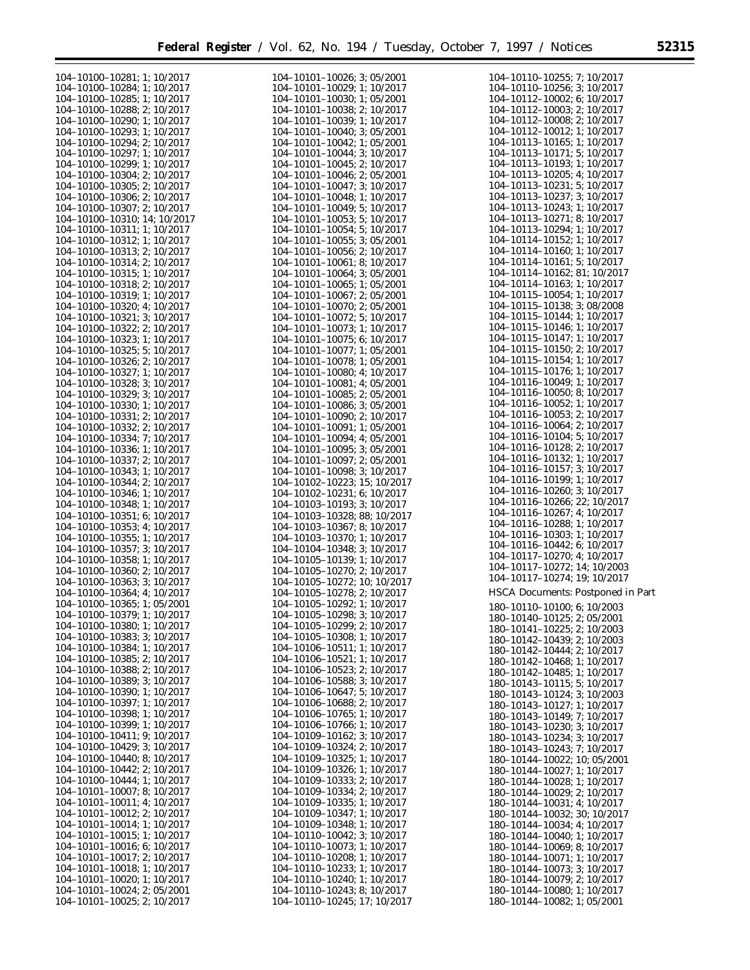▀

| 104-10100-10281; 1; 10/2017<br>104-10101-10026; 3; 05/2001<br>104-10110-10255; 7; 10/2017<br>104-10100-10284; 1; 10/2017<br>104-10101-10029; 1; 10/2017<br>104-10110-10256; 3; 10/2017<br>104-10100-10285; 1; 10/2017<br>$104 - 10101 - 10030$ ; 1; 05/2001<br>$104 - 10112 - 10002$ ; 6; $10/2017$<br>$104 - 10112 - 10003$ ; 2; $10/2017$<br>104-10100-10288; 2; 10/2017<br>$104 - 10101 - 10038$ ; 2; 10/2017<br>$104 - 10112 - 10008$ ; 2; $10/2017$<br>104-10100-10290; 1; 10/2017<br>104-10101-10039; 1; 10/2017<br>104-10112-10012; 1; 10/2017<br>104-10100-10293; 1; 10/2017<br>$104 - 10101 - 10040$ ; 3; 05/2001<br>104-10113-10165; 1; 10/2017<br>104-10100-10294; 2; 10/2017<br>104-10101-10042; 1; 05/2001<br>104-10113-10171; 5; 10/2017<br>104-10100-10297; 1; 10/2017<br>104-10101-10044; 3; 10/2017<br>104-10113-10193; 1; 10/2017<br>104-10100-10299; 1; 10/2017<br>$104 - 10101 - 10045$ ; 2; 10/2017<br>$104 - 10113 - 10205$ ; 4; $10/2017$<br>104-10100-10304; 2; 10/2017<br>104-10101-10046; 2; 05/2001<br>104-10113-10231; 5; 10/2017<br>$104 - 10100 - 10305$ ; 2; 10/2017<br>104-10101-10047; 3; 10/2017<br>104-10113-10237; 3; 10/2017<br>104-10100-10306; 2; 10/2017<br>104-10101-10048; 1; 10/2017<br>104-10113-10243; 1; 10/2017<br>104-10100-10307; 2; 10/2017<br>$104 - 10101 - 10049$ ; 5; $10/2017$<br>104-10113-10271; 8; 10/2017<br>104-10100-10310; 14; 10/2017<br>$104 - 10101 - 10053$ ; 5; 10/2017<br>104-10113-10294; 1; 10/2017<br>104-10100-10311; 1; 10/2017<br>$104 - 10101 - 10054$ ; 5; 10/2017<br>104-10114-10152; 1; 10/2017<br>104-10100-10312; 1; 10/2017<br>104-10101-10055; 3; 05/2001<br>104-10114-10160; 1; 10/2017<br>104-10100-10313; 2; 10/2017<br>$104 - 10101 - 10056$ ; 2; $10/2017$<br>$104 - 10114 - 10161$ ; 5; $10/2017$<br>104-10100-10314; 2; 10/2017<br>$104 - 10101 - 10061$ ; 8; 10/2017<br>104-10114-10162; 81; 10/2017<br>104-10100-10315; 1; 10/2017<br>$104 - 10101 - 10064$ ; 3; 05/2001<br>104-10114-10163; 1; 10/2017<br>104-10100-10318; 2; 10/2017<br>$104 - 10101 - 10065$ ; 1; 05/2001<br>104-10115-10054; 1; 10/2017<br>104-10100-10319; 1; 10/2017<br>104-10101-10067; 2; 05/2001<br>104-10115-10138; 3; 08/2008<br>104-10100-10320; 4; 10/2017<br>104-10101-10070; 2; 05/2001<br>104-10115-10144; 1; 10/2017<br>104-10100-10321; 3; 10/2017<br>$104 - 10101 - 10072$ ; 5; 10/2017<br>104-10115-10146; 1; 10/2017<br>104-10100-10322; 2; 10/2017<br>104-10101-10073; 1; 10/2017<br>104-10115-10147; 1; 10/2017<br>104-10100-10323; 1; 10/2017<br>$104 - 10101 - 10075$ ; 6; 10/2017<br>$104 - 10115 - 10150$ ; 2; $10/2017$<br>104-10100-10325; 5; 10/2017<br>$104 - 10101 - 10077$ ; 1; 05/2001<br>104-10115-10154; 1; 10/2017<br>104-10100-10326; 2; 10/2017<br>$104 - 10101 - 10078$ ; 1; 05/2001<br>104-10115-10176; 1; 10/2017<br>104-10100-10327; 1; 10/2017<br>$104 - 10101 - 10080$ ; 4; $10/2017$<br>104-10116-10049; 1; 10/2017<br>104-10100-10328; 3; 10/2017<br>104-10101-10081; 4; 05/2001<br>104-10116-10050; 8; 10/2017<br>104-10100-10329; 3; 10/2017<br>104-10101-10085; 2; 05/2001<br>104-10116-10052; 1; 10/2017<br>104-10100-10330; 1; 10/2017<br>$104 - 10101 - 10086$ ; 3; 05/2001<br>$104 - 10116 - 10053$ ; 2; $10/2017$<br>104-10100-10331; 2; 10/2017<br>104-10101-10090; 2; 10/2017<br>104-10116-10064; 2; 10/2017<br>104-10100-10332; 2; 10/2017<br>104-10101-10091; 1; 05/2001<br>104-10116-10104; 5; 10/2017<br>104-10100-10334; 7; 10/2017<br>$104 - 10101 - 10094$ ; 4; 05/2001<br>104-10116-10128; 2; 10/2017<br>104-10100-10336; 1; 10/2017<br>$104 - 10101 - 10095$ ; 3; 05/2001<br>104-10116-10132; 1; 10/2017<br>104-10100-10337; 2; 10/2017<br>$104 - 10101 - 10097$ ; 2; 05/2001<br>104-10116-10157; 3; 10/2017<br>104-10100-10343; 1; 10/2017<br>104-10101-10098; 3; 10/2017<br>104-10116-10199; 1; 10/2017<br>104-10100-10344; 2; 10/2017<br>104-10102-10223; 15; 10/2017<br>104-10116-10260; 3; 10/2017<br>104-10100-10346; 1; 10/2017<br>104-10102-10231; 6; 10/2017<br>104-10116-10266; 22; 10/2017<br>104-10100-10348; 1; 10/2017<br>104-10103-10193; 3; 10/2017<br>104-10116-10267; 4; 10/2017<br>104-10100-10351; 6; 10/2017<br>104-10103-10328; 88; 10/2017<br>104-10116-10288; 1; 10/2017<br>104-10100-10353; 4; 10/2017<br>104-10103-10367; 8; 10/2017<br>104-10116-10303; 1; 10/2017<br>104-10100-10355; 1; 10/2017<br>104-10103-10370; 1; 10/2017<br>104-10116-10442; 6; 10/2017<br>104-10100-10357; 3; 10/2017<br>104-10104-10348; 3; 10/2017<br>104-10117-10270; 4; 10/2017<br>104-10100-10358; 1; 10/2017<br>104-10105-10139; 1; 10/2017<br>104-10117-10272; 14; 10/2003<br>104-10100-10360; 2; 10/2017<br>104-10105-10270; 2; 10/2017<br>104-10117-10274; 19; 10/2017<br>104-10100-10363; 3; 10/2017<br>104-10105-10272; 10; 10/2017<br>HSCA Documents: Postponed in Part<br>104-10100-10364; 4; 10/2017<br>104-10105-10278; 2; 10/2017<br>104-10105-10292; 1; 10/2017<br>$104 - 10100 - 10365$ ; 1; 05/2001<br>180-10110-10100; 6; 10/2003<br>104-10100-10379: 1: 10/2017<br>104-10105-10298; 3; 10/2017<br>180-10140-10125; 2; 05/2001<br>104-10100-10380; 1; 10/2017<br>104-10105-10299; 2; 10/2017<br>180-10141-10225; 2; 10/2003<br>104-10100-10383; 3; 10/2017<br>104-10105-10308; 1; 10/2017<br>180-10142-10439; 2; 10/2003<br>104-10100-10384; 1; 10/2017<br>104-10106-10511; 1; 10/2017<br>180-10142-10444; 2; 10/2017<br>$104 - 10100 - 10385$ ; 2; $10/2017$<br>104-10106-10521; 1; 10/2017<br>180-10142-10468; 1; 10/2017<br>104-10100-10388; 2; 10/2017<br>104-10106-10523; 2; 10/2017<br>180-10142-10485; 1; 10/2017<br>104-10100-10389; 3; 10/2017<br>104-10106-10588; 3; 10/2017<br>$180 - 10143 - 10115$ ; 5; 10/2017<br>104-10100-10390; 1; 10/2017<br>104-10106-10647; 5; 10/2017<br>180-10143-10124; 3; 10/2003<br>104-10100-10397; 1; 10/2017<br>104-10106-10688; 2; 10/2017<br>180-10143-10127; 1; 10/2017<br>104-10100-10398; 1; 10/2017<br>104-10106-10765; 1; 10/2017<br>180-10143-10149; 7; 10/2017<br>104-10100-10399; 1; 10/2017<br>104-10106-10766; 1; 10/2017<br>180-10143-10230; 3; 10/2017<br>104-10100-10411; 9; 10/2017<br>104-10109-10162; 3; 10/2017<br>180-10143-10234; 3; 10/2017<br>104-10100-10429; 3; 10/2017<br>104-10109-10324; 2; 10/2017<br>180-10143-10243; 7; 10/2017<br>104-10100-10440; 8; 10/2017<br>104-10109-10325; 1; 10/2017<br>180-10144-10022; 10; 05/2001<br>104-10100-10442; 2; 10/2017<br>104-10109-10326; 1; 10/2017<br>180-10144-10027; 1; 10/2017<br>104-10100-10444; 1; 10/2017<br>104-10109-10333; 2; 10/2017<br>180-10144-10028; 1; 10/2017<br>$104 - 10101 - 10007$ ; 8; 10/2017<br>104-10109-10334; 2; 10/2017<br>180-10144-10029; 2; 10/2017<br>$104 - 10101 - 10011$ ; 4; 10/2017<br>104-10109-10335; 1; 10/2017<br>180-10144-10031; 4; 10/2017<br>$104 - 10101 - 10012$ ; 2; 10/2017<br>104-10109-10347; 1; 10/2017<br>180-10144-10032; 30; 10/2017<br>104-10101-10014; 1; 10/2017<br>104-10109-10348; 1; 10/2017<br>180-10144-10034; 4; 10/2017<br>$104 - 10101 - 10015$ ; 1; 10/2017<br>104-10110-10042; 3; 10/2017<br>180-10144-10040; 1; 10/2017<br>$104-10101-10016$ ; 6; $10/2017$<br>104-10110-10073; 1; 10/2017<br>180-10144-10069; 8; 10/2017<br>$104 - 10101 - 10017$ ; 2; 10/2017<br>104-10110-10208; 1; 10/2017<br>180-10144-10071; 1; 10/2017<br>104-10101-10018; 1; 10/2017<br>104-10110-10233; 1; 10/2017<br>180-10144-10073; 3; 10/2017<br>$104 - 10101 - 10020$ ; 1; 10/2017<br>104-10110-10240; 1; 10/2017<br>180-10144-10079; 2; 10/2017<br>104-10101-10024; 2; 05/2001<br>104-10110-10243; 8; 10/2017<br>180-10144-10080; 1; 10/2017<br>$104 - 10101 - 10025$ ; 2; 10/2017<br>104-10110-10245; 17; 10/2017<br>180-10144-10082; 1; 05/2001 |  |  |
|--------------------------------------------------------------------------------------------------------------------------------------------------------------------------------------------------------------------------------------------------------------------------------------------------------------------------------------------------------------------------------------------------------------------------------------------------------------------------------------------------------------------------------------------------------------------------------------------------------------------------------------------------------------------------------------------------------------------------------------------------------------------------------------------------------------------------------------------------------------------------------------------------------------------------------------------------------------------------------------------------------------------------------------------------------------------------------------------------------------------------------------------------------------------------------------------------------------------------------------------------------------------------------------------------------------------------------------------------------------------------------------------------------------------------------------------------------------------------------------------------------------------------------------------------------------------------------------------------------------------------------------------------------------------------------------------------------------------------------------------------------------------------------------------------------------------------------------------------------------------------------------------------------------------------------------------------------------------------------------------------------------------------------------------------------------------------------------------------------------------------------------------------------------------------------------------------------------------------------------------------------------------------------------------------------------------------------------------------------------------------------------------------------------------------------------------------------------------------------------------------------------------------------------------------------------------------------------------------------------------------------------------------------------------------------------------------------------------------------------------------------------------------------------------------------------------------------------------------------------------------------------------------------------------------------------------------------------------------------------------------------------------------------------------------------------------------------------------------------------------------------------------------------------------------------------------------------------------------------------------------------------------------------------------------------------------------------------------------------------------------------------------------------------------------------------------------------------------------------------------------------------------------------------------------------------------------------------------------------------------------------------------------------------------------------------------------------------------------------------------------------------------------------------------------------------------------------------------------------------------------------------------------------------------------------------------------------------------------------------------------------------------------------------------------------------------------------------------------------------------------------------------------------------------------------------------------------------------------------------------------------------------------------------------------------------------------------------------------------------------------------------------------------------------------------------------------------------------------------------------------------------------------------------------------------------------------------------------------------------------------------------------------------------------------------------------------------------------------------------------------------------------------------------------------------------------------------------------------------------------------------------------------------------------------------------------------------------------------------------------------------------------------------------------------------------------------------------------------------------------------------------------------------------------------------------------------------------------------------------------------------------------------------------------------------------------------------------------------------------------------------------------------------------------------------------------------------------------------------------------------------------------------------------------------------------------------------------------------------------------------------------------------------------------------------------------------------------------------------------------------------------------------------------------------------------------------------------------------------------------------------------------------------------------------------------------------------------------------------------------------------------------------------------------------------------------------------------------------------------------------------------------------------------------------------------------------------------------------------------------------------------------------------------------------------------------------------------------------------------------------------------------------------------------------------------------------------------------------------------------------------------------------------------------------------------------------------------------------------------------------------------------------------------------------------------------------------------------------------------------------------------------------------------------------------------------------------------------------------------------------------------------------------------------------------------------------------------------------------------------------------------------------------------------------------------------------------------------------------------------------------------------------------------------------------------------------------------------------------------------------------------------------------------------------------------------------------------------------------------------------------------------------------------------------------------------------------------------------------------------------------------------------------------------------------------------------------------------------------------------------------------------------------------------------------|--|--|
|                                                                                                                                                                                                                                                                                                                                                                                                                                                                                                                                                                                                                                                                                                                                                                                                                                                                                                                                                                                                                                                                                                                                                                                                                                                                                                                                                                                                                                                                                                                                                                                                                                                                                                                                                                                                                                                                                                                                                                                                                                                                                                                                                                                                                                                                                                                                                                                                                                                                                                                                                                                                                                                                                                                                                                                                                                                                                                                                                                                                                                                                                                                                                                                                                                                                                                                                                                                                                                                                                                                                                                                                                                                                                                                                                                                                                                                                                                                                                                                                                                                                                                                                                                                                                                                                                                                                                                                                                                                                                                                                                                                                                                                                                                                                                                                                                                                                                                                                                                                                                                                                                                                                                                                                                                                                                                                                                                                                                                                                                                                                                                                                                                                                                                                                                                                                                                                                                                                                                                                                                                                                                                                                                                                                                                                                                                                                                                                                                                                                                                                                                                                                                                                                                                                                                                                                                                                                                                                                                                                                                                                                                                                                                                                                                                                                                                                                                                                                                                                                                                                                                                                                                                                                                |  |  |
|                                                                                                                                                                                                                                                                                                                                                                                                                                                                                                                                                                                                                                                                                                                                                                                                                                                                                                                                                                                                                                                                                                                                                                                                                                                                                                                                                                                                                                                                                                                                                                                                                                                                                                                                                                                                                                                                                                                                                                                                                                                                                                                                                                                                                                                                                                                                                                                                                                                                                                                                                                                                                                                                                                                                                                                                                                                                                                                                                                                                                                                                                                                                                                                                                                                                                                                                                                                                                                                                                                                                                                                                                                                                                                                                                                                                                                                                                                                                                                                                                                                                                                                                                                                                                                                                                                                                                                                                                                                                                                                                                                                                                                                                                                                                                                                                                                                                                                                                                                                                                                                                                                                                                                                                                                                                                                                                                                                                                                                                                                                                                                                                                                                                                                                                                                                                                                                                                                                                                                                                                                                                                                                                                                                                                                                                                                                                                                                                                                                                                                                                                                                                                                                                                                                                                                                                                                                                                                                                                                                                                                                                                                                                                                                                                                                                                                                                                                                                                                                                                                                                                                                                                                                                                |  |  |
|                                                                                                                                                                                                                                                                                                                                                                                                                                                                                                                                                                                                                                                                                                                                                                                                                                                                                                                                                                                                                                                                                                                                                                                                                                                                                                                                                                                                                                                                                                                                                                                                                                                                                                                                                                                                                                                                                                                                                                                                                                                                                                                                                                                                                                                                                                                                                                                                                                                                                                                                                                                                                                                                                                                                                                                                                                                                                                                                                                                                                                                                                                                                                                                                                                                                                                                                                                                                                                                                                                                                                                                                                                                                                                                                                                                                                                                                                                                                                                                                                                                                                                                                                                                                                                                                                                                                                                                                                                                                                                                                                                                                                                                                                                                                                                                                                                                                                                                                                                                                                                                                                                                                                                                                                                                                                                                                                                                                                                                                                                                                                                                                                                                                                                                                                                                                                                                                                                                                                                                                                                                                                                                                                                                                                                                                                                                                                                                                                                                                                                                                                                                                                                                                                                                                                                                                                                                                                                                                                                                                                                                                                                                                                                                                                                                                                                                                                                                                                                                                                                                                                                                                                                                                                |  |  |
|                                                                                                                                                                                                                                                                                                                                                                                                                                                                                                                                                                                                                                                                                                                                                                                                                                                                                                                                                                                                                                                                                                                                                                                                                                                                                                                                                                                                                                                                                                                                                                                                                                                                                                                                                                                                                                                                                                                                                                                                                                                                                                                                                                                                                                                                                                                                                                                                                                                                                                                                                                                                                                                                                                                                                                                                                                                                                                                                                                                                                                                                                                                                                                                                                                                                                                                                                                                                                                                                                                                                                                                                                                                                                                                                                                                                                                                                                                                                                                                                                                                                                                                                                                                                                                                                                                                                                                                                                                                                                                                                                                                                                                                                                                                                                                                                                                                                                                                                                                                                                                                                                                                                                                                                                                                                                                                                                                                                                                                                                                                                                                                                                                                                                                                                                                                                                                                                                                                                                                                                                                                                                                                                                                                                                                                                                                                                                                                                                                                                                                                                                                                                                                                                                                                                                                                                                                                                                                                                                                                                                                                                                                                                                                                                                                                                                                                                                                                                                                                                                                                                                                                                                                                                                |  |  |
|                                                                                                                                                                                                                                                                                                                                                                                                                                                                                                                                                                                                                                                                                                                                                                                                                                                                                                                                                                                                                                                                                                                                                                                                                                                                                                                                                                                                                                                                                                                                                                                                                                                                                                                                                                                                                                                                                                                                                                                                                                                                                                                                                                                                                                                                                                                                                                                                                                                                                                                                                                                                                                                                                                                                                                                                                                                                                                                                                                                                                                                                                                                                                                                                                                                                                                                                                                                                                                                                                                                                                                                                                                                                                                                                                                                                                                                                                                                                                                                                                                                                                                                                                                                                                                                                                                                                                                                                                                                                                                                                                                                                                                                                                                                                                                                                                                                                                                                                                                                                                                                                                                                                                                                                                                                                                                                                                                                                                                                                                                                                                                                                                                                                                                                                                                                                                                                                                                                                                                                                                                                                                                                                                                                                                                                                                                                                                                                                                                                                                                                                                                                                                                                                                                                                                                                                                                                                                                                                                                                                                                                                                                                                                                                                                                                                                                                                                                                                                                                                                                                                                                                                                                                                                |  |  |
|                                                                                                                                                                                                                                                                                                                                                                                                                                                                                                                                                                                                                                                                                                                                                                                                                                                                                                                                                                                                                                                                                                                                                                                                                                                                                                                                                                                                                                                                                                                                                                                                                                                                                                                                                                                                                                                                                                                                                                                                                                                                                                                                                                                                                                                                                                                                                                                                                                                                                                                                                                                                                                                                                                                                                                                                                                                                                                                                                                                                                                                                                                                                                                                                                                                                                                                                                                                                                                                                                                                                                                                                                                                                                                                                                                                                                                                                                                                                                                                                                                                                                                                                                                                                                                                                                                                                                                                                                                                                                                                                                                                                                                                                                                                                                                                                                                                                                                                                                                                                                                                                                                                                                                                                                                                                                                                                                                                                                                                                                                                                                                                                                                                                                                                                                                                                                                                                                                                                                                                                                                                                                                                                                                                                                                                                                                                                                                                                                                                                                                                                                                                                                                                                                                                                                                                                                                                                                                                                                                                                                                                                                                                                                                                                                                                                                                                                                                                                                                                                                                                                                                                                                                                                                |  |  |
|                                                                                                                                                                                                                                                                                                                                                                                                                                                                                                                                                                                                                                                                                                                                                                                                                                                                                                                                                                                                                                                                                                                                                                                                                                                                                                                                                                                                                                                                                                                                                                                                                                                                                                                                                                                                                                                                                                                                                                                                                                                                                                                                                                                                                                                                                                                                                                                                                                                                                                                                                                                                                                                                                                                                                                                                                                                                                                                                                                                                                                                                                                                                                                                                                                                                                                                                                                                                                                                                                                                                                                                                                                                                                                                                                                                                                                                                                                                                                                                                                                                                                                                                                                                                                                                                                                                                                                                                                                                                                                                                                                                                                                                                                                                                                                                                                                                                                                                                                                                                                                                                                                                                                                                                                                                                                                                                                                                                                                                                                                                                                                                                                                                                                                                                                                                                                                                                                                                                                                                                                                                                                                                                                                                                                                                                                                                                                                                                                                                                                                                                                                                                                                                                                                                                                                                                                                                                                                                                                                                                                                                                                                                                                                                                                                                                                                                                                                                                                                                                                                                                                                                                                                                                                |  |  |
|                                                                                                                                                                                                                                                                                                                                                                                                                                                                                                                                                                                                                                                                                                                                                                                                                                                                                                                                                                                                                                                                                                                                                                                                                                                                                                                                                                                                                                                                                                                                                                                                                                                                                                                                                                                                                                                                                                                                                                                                                                                                                                                                                                                                                                                                                                                                                                                                                                                                                                                                                                                                                                                                                                                                                                                                                                                                                                                                                                                                                                                                                                                                                                                                                                                                                                                                                                                                                                                                                                                                                                                                                                                                                                                                                                                                                                                                                                                                                                                                                                                                                                                                                                                                                                                                                                                                                                                                                                                                                                                                                                                                                                                                                                                                                                                                                                                                                                                                                                                                                                                                                                                                                                                                                                                                                                                                                                                                                                                                                                                                                                                                                                                                                                                                                                                                                                                                                                                                                                                                                                                                                                                                                                                                                                                                                                                                                                                                                                                                                                                                                                                                                                                                                                                                                                                                                                                                                                                                                                                                                                                                                                                                                                                                                                                                                                                                                                                                                                                                                                                                                                                                                                                                                |  |  |
|                                                                                                                                                                                                                                                                                                                                                                                                                                                                                                                                                                                                                                                                                                                                                                                                                                                                                                                                                                                                                                                                                                                                                                                                                                                                                                                                                                                                                                                                                                                                                                                                                                                                                                                                                                                                                                                                                                                                                                                                                                                                                                                                                                                                                                                                                                                                                                                                                                                                                                                                                                                                                                                                                                                                                                                                                                                                                                                                                                                                                                                                                                                                                                                                                                                                                                                                                                                                                                                                                                                                                                                                                                                                                                                                                                                                                                                                                                                                                                                                                                                                                                                                                                                                                                                                                                                                                                                                                                                                                                                                                                                                                                                                                                                                                                                                                                                                                                                                                                                                                                                                                                                                                                                                                                                                                                                                                                                                                                                                                                                                                                                                                                                                                                                                                                                                                                                                                                                                                                                                                                                                                                                                                                                                                                                                                                                                                                                                                                                                                                                                                                                                                                                                                                                                                                                                                                                                                                                                                                                                                                                                                                                                                                                                                                                                                                                                                                                                                                                                                                                                                                                                                                                                                |  |  |
|                                                                                                                                                                                                                                                                                                                                                                                                                                                                                                                                                                                                                                                                                                                                                                                                                                                                                                                                                                                                                                                                                                                                                                                                                                                                                                                                                                                                                                                                                                                                                                                                                                                                                                                                                                                                                                                                                                                                                                                                                                                                                                                                                                                                                                                                                                                                                                                                                                                                                                                                                                                                                                                                                                                                                                                                                                                                                                                                                                                                                                                                                                                                                                                                                                                                                                                                                                                                                                                                                                                                                                                                                                                                                                                                                                                                                                                                                                                                                                                                                                                                                                                                                                                                                                                                                                                                                                                                                                                                                                                                                                                                                                                                                                                                                                                                                                                                                                                                                                                                                                                                                                                                                                                                                                                                                                                                                                                                                                                                                                                                                                                                                                                                                                                                                                                                                                                                                                                                                                                                                                                                                                                                                                                                                                                                                                                                                                                                                                                                                                                                                                                                                                                                                                                                                                                                                                                                                                                                                                                                                                                                                                                                                                                                                                                                                                                                                                                                                                                                                                                                                                                                                                                                                |  |  |
|                                                                                                                                                                                                                                                                                                                                                                                                                                                                                                                                                                                                                                                                                                                                                                                                                                                                                                                                                                                                                                                                                                                                                                                                                                                                                                                                                                                                                                                                                                                                                                                                                                                                                                                                                                                                                                                                                                                                                                                                                                                                                                                                                                                                                                                                                                                                                                                                                                                                                                                                                                                                                                                                                                                                                                                                                                                                                                                                                                                                                                                                                                                                                                                                                                                                                                                                                                                                                                                                                                                                                                                                                                                                                                                                                                                                                                                                                                                                                                                                                                                                                                                                                                                                                                                                                                                                                                                                                                                                                                                                                                                                                                                                                                                                                                                                                                                                                                                                                                                                                                                                                                                                                                                                                                                                                                                                                                                                                                                                                                                                                                                                                                                                                                                                                                                                                                                                                                                                                                                                                                                                                                                                                                                                                                                                                                                                                                                                                                                                                                                                                                                                                                                                                                                                                                                                                                                                                                                                                                                                                                                                                                                                                                                                                                                                                                                                                                                                                                                                                                                                                                                                                                                                                |  |  |
|                                                                                                                                                                                                                                                                                                                                                                                                                                                                                                                                                                                                                                                                                                                                                                                                                                                                                                                                                                                                                                                                                                                                                                                                                                                                                                                                                                                                                                                                                                                                                                                                                                                                                                                                                                                                                                                                                                                                                                                                                                                                                                                                                                                                                                                                                                                                                                                                                                                                                                                                                                                                                                                                                                                                                                                                                                                                                                                                                                                                                                                                                                                                                                                                                                                                                                                                                                                                                                                                                                                                                                                                                                                                                                                                                                                                                                                                                                                                                                                                                                                                                                                                                                                                                                                                                                                                                                                                                                                                                                                                                                                                                                                                                                                                                                                                                                                                                                                                                                                                                                                                                                                                                                                                                                                                                                                                                                                                                                                                                                                                                                                                                                                                                                                                                                                                                                                                                                                                                                                                                                                                                                                                                                                                                                                                                                                                                                                                                                                                                                                                                                                                                                                                                                                                                                                                                                                                                                                                                                                                                                                                                                                                                                                                                                                                                                                                                                                                                                                                                                                                                                                                                                                                                |  |  |
|                                                                                                                                                                                                                                                                                                                                                                                                                                                                                                                                                                                                                                                                                                                                                                                                                                                                                                                                                                                                                                                                                                                                                                                                                                                                                                                                                                                                                                                                                                                                                                                                                                                                                                                                                                                                                                                                                                                                                                                                                                                                                                                                                                                                                                                                                                                                                                                                                                                                                                                                                                                                                                                                                                                                                                                                                                                                                                                                                                                                                                                                                                                                                                                                                                                                                                                                                                                                                                                                                                                                                                                                                                                                                                                                                                                                                                                                                                                                                                                                                                                                                                                                                                                                                                                                                                                                                                                                                                                                                                                                                                                                                                                                                                                                                                                                                                                                                                                                                                                                                                                                                                                                                                                                                                                                                                                                                                                                                                                                                                                                                                                                                                                                                                                                                                                                                                                                                                                                                                                                                                                                                                                                                                                                                                                                                                                                                                                                                                                                                                                                                                                                                                                                                                                                                                                                                                                                                                                                                                                                                                                                                                                                                                                                                                                                                                                                                                                                                                                                                                                                                                                                                                                                                |  |  |
|                                                                                                                                                                                                                                                                                                                                                                                                                                                                                                                                                                                                                                                                                                                                                                                                                                                                                                                                                                                                                                                                                                                                                                                                                                                                                                                                                                                                                                                                                                                                                                                                                                                                                                                                                                                                                                                                                                                                                                                                                                                                                                                                                                                                                                                                                                                                                                                                                                                                                                                                                                                                                                                                                                                                                                                                                                                                                                                                                                                                                                                                                                                                                                                                                                                                                                                                                                                                                                                                                                                                                                                                                                                                                                                                                                                                                                                                                                                                                                                                                                                                                                                                                                                                                                                                                                                                                                                                                                                                                                                                                                                                                                                                                                                                                                                                                                                                                                                                                                                                                                                                                                                                                                                                                                                                                                                                                                                                                                                                                                                                                                                                                                                                                                                                                                                                                                                                                                                                                                                                                                                                                                                                                                                                                                                                                                                                                                                                                                                                                                                                                                                                                                                                                                                                                                                                                                                                                                                                                                                                                                                                                                                                                                                                                                                                                                                                                                                                                                                                                                                                                                                                                                                                                |  |  |
|                                                                                                                                                                                                                                                                                                                                                                                                                                                                                                                                                                                                                                                                                                                                                                                                                                                                                                                                                                                                                                                                                                                                                                                                                                                                                                                                                                                                                                                                                                                                                                                                                                                                                                                                                                                                                                                                                                                                                                                                                                                                                                                                                                                                                                                                                                                                                                                                                                                                                                                                                                                                                                                                                                                                                                                                                                                                                                                                                                                                                                                                                                                                                                                                                                                                                                                                                                                                                                                                                                                                                                                                                                                                                                                                                                                                                                                                                                                                                                                                                                                                                                                                                                                                                                                                                                                                                                                                                                                                                                                                                                                                                                                                                                                                                                                                                                                                                                                                                                                                                                                                                                                                                                                                                                                                                                                                                                                                                                                                                                                                                                                                                                                                                                                                                                                                                                                                                                                                                                                                                                                                                                                                                                                                                                                                                                                                                                                                                                                                                                                                                                                                                                                                                                                                                                                                                                                                                                                                                                                                                                                                                                                                                                                                                                                                                                                                                                                                                                                                                                                                                                                                                                                                                |  |  |
|                                                                                                                                                                                                                                                                                                                                                                                                                                                                                                                                                                                                                                                                                                                                                                                                                                                                                                                                                                                                                                                                                                                                                                                                                                                                                                                                                                                                                                                                                                                                                                                                                                                                                                                                                                                                                                                                                                                                                                                                                                                                                                                                                                                                                                                                                                                                                                                                                                                                                                                                                                                                                                                                                                                                                                                                                                                                                                                                                                                                                                                                                                                                                                                                                                                                                                                                                                                                                                                                                                                                                                                                                                                                                                                                                                                                                                                                                                                                                                                                                                                                                                                                                                                                                                                                                                                                                                                                                                                                                                                                                                                                                                                                                                                                                                                                                                                                                                                                                                                                                                                                                                                                                                                                                                                                                                                                                                                                                                                                                                                                                                                                                                                                                                                                                                                                                                                                                                                                                                                                                                                                                                                                                                                                                                                                                                                                                                                                                                                                                                                                                                                                                                                                                                                                                                                                                                                                                                                                                                                                                                                                                                                                                                                                                                                                                                                                                                                                                                                                                                                                                                                                                                                                                |  |  |
|                                                                                                                                                                                                                                                                                                                                                                                                                                                                                                                                                                                                                                                                                                                                                                                                                                                                                                                                                                                                                                                                                                                                                                                                                                                                                                                                                                                                                                                                                                                                                                                                                                                                                                                                                                                                                                                                                                                                                                                                                                                                                                                                                                                                                                                                                                                                                                                                                                                                                                                                                                                                                                                                                                                                                                                                                                                                                                                                                                                                                                                                                                                                                                                                                                                                                                                                                                                                                                                                                                                                                                                                                                                                                                                                                                                                                                                                                                                                                                                                                                                                                                                                                                                                                                                                                                                                                                                                                                                                                                                                                                                                                                                                                                                                                                                                                                                                                                                                                                                                                                                                                                                                                                                                                                                                                                                                                                                                                                                                                                                                                                                                                                                                                                                                                                                                                                                                                                                                                                                                                                                                                                                                                                                                                                                                                                                                                                                                                                                                                                                                                                                                                                                                                                                                                                                                                                                                                                                                                                                                                                                                                                                                                                                                                                                                                                                                                                                                                                                                                                                                                                                                                                                                                |  |  |
|                                                                                                                                                                                                                                                                                                                                                                                                                                                                                                                                                                                                                                                                                                                                                                                                                                                                                                                                                                                                                                                                                                                                                                                                                                                                                                                                                                                                                                                                                                                                                                                                                                                                                                                                                                                                                                                                                                                                                                                                                                                                                                                                                                                                                                                                                                                                                                                                                                                                                                                                                                                                                                                                                                                                                                                                                                                                                                                                                                                                                                                                                                                                                                                                                                                                                                                                                                                                                                                                                                                                                                                                                                                                                                                                                                                                                                                                                                                                                                                                                                                                                                                                                                                                                                                                                                                                                                                                                                                                                                                                                                                                                                                                                                                                                                                                                                                                                                                                                                                                                                                                                                                                                                                                                                                                                                                                                                                                                                                                                                                                                                                                                                                                                                                                                                                                                                                                                                                                                                                                                                                                                                                                                                                                                                                                                                                                                                                                                                                                                                                                                                                                                                                                                                                                                                                                                                                                                                                                                                                                                                                                                                                                                                                                                                                                                                                                                                                                                                                                                                                                                                                                                                                                                |  |  |
|                                                                                                                                                                                                                                                                                                                                                                                                                                                                                                                                                                                                                                                                                                                                                                                                                                                                                                                                                                                                                                                                                                                                                                                                                                                                                                                                                                                                                                                                                                                                                                                                                                                                                                                                                                                                                                                                                                                                                                                                                                                                                                                                                                                                                                                                                                                                                                                                                                                                                                                                                                                                                                                                                                                                                                                                                                                                                                                                                                                                                                                                                                                                                                                                                                                                                                                                                                                                                                                                                                                                                                                                                                                                                                                                                                                                                                                                                                                                                                                                                                                                                                                                                                                                                                                                                                                                                                                                                                                                                                                                                                                                                                                                                                                                                                                                                                                                                                                                                                                                                                                                                                                                                                                                                                                                                                                                                                                                                                                                                                                                                                                                                                                                                                                                                                                                                                                                                                                                                                                                                                                                                                                                                                                                                                                                                                                                                                                                                                                                                                                                                                                                                                                                                                                                                                                                                                                                                                                                                                                                                                                                                                                                                                                                                                                                                                                                                                                                                                                                                                                                                                                                                                                                                |  |  |
|                                                                                                                                                                                                                                                                                                                                                                                                                                                                                                                                                                                                                                                                                                                                                                                                                                                                                                                                                                                                                                                                                                                                                                                                                                                                                                                                                                                                                                                                                                                                                                                                                                                                                                                                                                                                                                                                                                                                                                                                                                                                                                                                                                                                                                                                                                                                                                                                                                                                                                                                                                                                                                                                                                                                                                                                                                                                                                                                                                                                                                                                                                                                                                                                                                                                                                                                                                                                                                                                                                                                                                                                                                                                                                                                                                                                                                                                                                                                                                                                                                                                                                                                                                                                                                                                                                                                                                                                                                                                                                                                                                                                                                                                                                                                                                                                                                                                                                                                                                                                                                                                                                                                                                                                                                                                                                                                                                                                                                                                                                                                                                                                                                                                                                                                                                                                                                                                                                                                                                                                                                                                                                                                                                                                                                                                                                                                                                                                                                                                                                                                                                                                                                                                                                                                                                                                                                                                                                                                                                                                                                                                                                                                                                                                                                                                                                                                                                                                                                                                                                                                                                                                                                                                                |  |  |
|                                                                                                                                                                                                                                                                                                                                                                                                                                                                                                                                                                                                                                                                                                                                                                                                                                                                                                                                                                                                                                                                                                                                                                                                                                                                                                                                                                                                                                                                                                                                                                                                                                                                                                                                                                                                                                                                                                                                                                                                                                                                                                                                                                                                                                                                                                                                                                                                                                                                                                                                                                                                                                                                                                                                                                                                                                                                                                                                                                                                                                                                                                                                                                                                                                                                                                                                                                                                                                                                                                                                                                                                                                                                                                                                                                                                                                                                                                                                                                                                                                                                                                                                                                                                                                                                                                                                                                                                                                                                                                                                                                                                                                                                                                                                                                                                                                                                                                                                                                                                                                                                                                                                                                                                                                                                                                                                                                                                                                                                                                                                                                                                                                                                                                                                                                                                                                                                                                                                                                                                                                                                                                                                                                                                                                                                                                                                                                                                                                                                                                                                                                                                                                                                                                                                                                                                                                                                                                                                                                                                                                                                                                                                                                                                                                                                                                                                                                                                                                                                                                                                                                                                                                                                                |  |  |
|                                                                                                                                                                                                                                                                                                                                                                                                                                                                                                                                                                                                                                                                                                                                                                                                                                                                                                                                                                                                                                                                                                                                                                                                                                                                                                                                                                                                                                                                                                                                                                                                                                                                                                                                                                                                                                                                                                                                                                                                                                                                                                                                                                                                                                                                                                                                                                                                                                                                                                                                                                                                                                                                                                                                                                                                                                                                                                                                                                                                                                                                                                                                                                                                                                                                                                                                                                                                                                                                                                                                                                                                                                                                                                                                                                                                                                                                                                                                                                                                                                                                                                                                                                                                                                                                                                                                                                                                                                                                                                                                                                                                                                                                                                                                                                                                                                                                                                                                                                                                                                                                                                                                                                                                                                                                                                                                                                                                                                                                                                                                                                                                                                                                                                                                                                                                                                                                                                                                                                                                                                                                                                                                                                                                                                                                                                                                                                                                                                                                                                                                                                                                                                                                                                                                                                                                                                                                                                                                                                                                                                                                                                                                                                                                                                                                                                                                                                                                                                                                                                                                                                                                                                                                                |  |  |
|                                                                                                                                                                                                                                                                                                                                                                                                                                                                                                                                                                                                                                                                                                                                                                                                                                                                                                                                                                                                                                                                                                                                                                                                                                                                                                                                                                                                                                                                                                                                                                                                                                                                                                                                                                                                                                                                                                                                                                                                                                                                                                                                                                                                                                                                                                                                                                                                                                                                                                                                                                                                                                                                                                                                                                                                                                                                                                                                                                                                                                                                                                                                                                                                                                                                                                                                                                                                                                                                                                                                                                                                                                                                                                                                                                                                                                                                                                                                                                                                                                                                                                                                                                                                                                                                                                                                                                                                                                                                                                                                                                                                                                                                                                                                                                                                                                                                                                                                                                                                                                                                                                                                                                                                                                                                                                                                                                                                                                                                                                                                                                                                                                                                                                                                                                                                                                                                                                                                                                                                                                                                                                                                                                                                                                                                                                                                                                                                                                                                                                                                                                                                                                                                                                                                                                                                                                                                                                                                                                                                                                                                                                                                                                                                                                                                                                                                                                                                                                                                                                                                                                                                                                                                                |  |  |
|                                                                                                                                                                                                                                                                                                                                                                                                                                                                                                                                                                                                                                                                                                                                                                                                                                                                                                                                                                                                                                                                                                                                                                                                                                                                                                                                                                                                                                                                                                                                                                                                                                                                                                                                                                                                                                                                                                                                                                                                                                                                                                                                                                                                                                                                                                                                                                                                                                                                                                                                                                                                                                                                                                                                                                                                                                                                                                                                                                                                                                                                                                                                                                                                                                                                                                                                                                                                                                                                                                                                                                                                                                                                                                                                                                                                                                                                                                                                                                                                                                                                                                                                                                                                                                                                                                                                                                                                                                                                                                                                                                                                                                                                                                                                                                                                                                                                                                                                                                                                                                                                                                                                                                                                                                                                                                                                                                                                                                                                                                                                                                                                                                                                                                                                                                                                                                                                                                                                                                                                                                                                                                                                                                                                                                                                                                                                                                                                                                                                                                                                                                                                                                                                                                                                                                                                                                                                                                                                                                                                                                                                                                                                                                                                                                                                                                                                                                                                                                                                                                                                                                                                                                                                                |  |  |
|                                                                                                                                                                                                                                                                                                                                                                                                                                                                                                                                                                                                                                                                                                                                                                                                                                                                                                                                                                                                                                                                                                                                                                                                                                                                                                                                                                                                                                                                                                                                                                                                                                                                                                                                                                                                                                                                                                                                                                                                                                                                                                                                                                                                                                                                                                                                                                                                                                                                                                                                                                                                                                                                                                                                                                                                                                                                                                                                                                                                                                                                                                                                                                                                                                                                                                                                                                                                                                                                                                                                                                                                                                                                                                                                                                                                                                                                                                                                                                                                                                                                                                                                                                                                                                                                                                                                                                                                                                                                                                                                                                                                                                                                                                                                                                                                                                                                                                                                                                                                                                                                                                                                                                                                                                                                                                                                                                                                                                                                                                                                                                                                                                                                                                                                                                                                                                                                                                                                                                                                                                                                                                                                                                                                                                                                                                                                                                                                                                                                                                                                                                                                                                                                                                                                                                                                                                                                                                                                                                                                                                                                                                                                                                                                                                                                                                                                                                                                                                                                                                                                                                                                                                                                                |  |  |
|                                                                                                                                                                                                                                                                                                                                                                                                                                                                                                                                                                                                                                                                                                                                                                                                                                                                                                                                                                                                                                                                                                                                                                                                                                                                                                                                                                                                                                                                                                                                                                                                                                                                                                                                                                                                                                                                                                                                                                                                                                                                                                                                                                                                                                                                                                                                                                                                                                                                                                                                                                                                                                                                                                                                                                                                                                                                                                                                                                                                                                                                                                                                                                                                                                                                                                                                                                                                                                                                                                                                                                                                                                                                                                                                                                                                                                                                                                                                                                                                                                                                                                                                                                                                                                                                                                                                                                                                                                                                                                                                                                                                                                                                                                                                                                                                                                                                                                                                                                                                                                                                                                                                                                                                                                                                                                                                                                                                                                                                                                                                                                                                                                                                                                                                                                                                                                                                                                                                                                                                                                                                                                                                                                                                                                                                                                                                                                                                                                                                                                                                                                                                                                                                                                                                                                                                                                                                                                                                                                                                                                                                                                                                                                                                                                                                                                                                                                                                                                                                                                                                                                                                                                                                                |  |  |
|                                                                                                                                                                                                                                                                                                                                                                                                                                                                                                                                                                                                                                                                                                                                                                                                                                                                                                                                                                                                                                                                                                                                                                                                                                                                                                                                                                                                                                                                                                                                                                                                                                                                                                                                                                                                                                                                                                                                                                                                                                                                                                                                                                                                                                                                                                                                                                                                                                                                                                                                                                                                                                                                                                                                                                                                                                                                                                                                                                                                                                                                                                                                                                                                                                                                                                                                                                                                                                                                                                                                                                                                                                                                                                                                                                                                                                                                                                                                                                                                                                                                                                                                                                                                                                                                                                                                                                                                                                                                                                                                                                                                                                                                                                                                                                                                                                                                                                                                                                                                                                                                                                                                                                                                                                                                                                                                                                                                                                                                                                                                                                                                                                                                                                                                                                                                                                                                                                                                                                                                                                                                                                                                                                                                                                                                                                                                                                                                                                                                                                                                                                                                                                                                                                                                                                                                                                                                                                                                                                                                                                                                                                                                                                                                                                                                                                                                                                                                                                                                                                                                                                                                                                                                                |  |  |
|                                                                                                                                                                                                                                                                                                                                                                                                                                                                                                                                                                                                                                                                                                                                                                                                                                                                                                                                                                                                                                                                                                                                                                                                                                                                                                                                                                                                                                                                                                                                                                                                                                                                                                                                                                                                                                                                                                                                                                                                                                                                                                                                                                                                                                                                                                                                                                                                                                                                                                                                                                                                                                                                                                                                                                                                                                                                                                                                                                                                                                                                                                                                                                                                                                                                                                                                                                                                                                                                                                                                                                                                                                                                                                                                                                                                                                                                                                                                                                                                                                                                                                                                                                                                                                                                                                                                                                                                                                                                                                                                                                                                                                                                                                                                                                                                                                                                                                                                                                                                                                                                                                                                                                                                                                                                                                                                                                                                                                                                                                                                                                                                                                                                                                                                                                                                                                                                                                                                                                                                                                                                                                                                                                                                                                                                                                                                                                                                                                                                                                                                                                                                                                                                                                                                                                                                                                                                                                                                                                                                                                                                                                                                                                                                                                                                                                                                                                                                                                                                                                                                                                                                                                                                                |  |  |
|                                                                                                                                                                                                                                                                                                                                                                                                                                                                                                                                                                                                                                                                                                                                                                                                                                                                                                                                                                                                                                                                                                                                                                                                                                                                                                                                                                                                                                                                                                                                                                                                                                                                                                                                                                                                                                                                                                                                                                                                                                                                                                                                                                                                                                                                                                                                                                                                                                                                                                                                                                                                                                                                                                                                                                                                                                                                                                                                                                                                                                                                                                                                                                                                                                                                                                                                                                                                                                                                                                                                                                                                                                                                                                                                                                                                                                                                                                                                                                                                                                                                                                                                                                                                                                                                                                                                                                                                                                                                                                                                                                                                                                                                                                                                                                                                                                                                                                                                                                                                                                                                                                                                                                                                                                                                                                                                                                                                                                                                                                                                                                                                                                                                                                                                                                                                                                                                                                                                                                                                                                                                                                                                                                                                                                                                                                                                                                                                                                                                                                                                                                                                                                                                                                                                                                                                                                                                                                                                                                                                                                                                                                                                                                                                                                                                                                                                                                                                                                                                                                                                                                                                                                                                                |  |  |
|                                                                                                                                                                                                                                                                                                                                                                                                                                                                                                                                                                                                                                                                                                                                                                                                                                                                                                                                                                                                                                                                                                                                                                                                                                                                                                                                                                                                                                                                                                                                                                                                                                                                                                                                                                                                                                                                                                                                                                                                                                                                                                                                                                                                                                                                                                                                                                                                                                                                                                                                                                                                                                                                                                                                                                                                                                                                                                                                                                                                                                                                                                                                                                                                                                                                                                                                                                                                                                                                                                                                                                                                                                                                                                                                                                                                                                                                                                                                                                                                                                                                                                                                                                                                                                                                                                                                                                                                                                                                                                                                                                                                                                                                                                                                                                                                                                                                                                                                                                                                                                                                                                                                                                                                                                                                                                                                                                                                                                                                                                                                                                                                                                                                                                                                                                                                                                                                                                                                                                                                                                                                                                                                                                                                                                                                                                                                                                                                                                                                                                                                                                                                                                                                                                                                                                                                                                                                                                                                                                                                                                                                                                                                                                                                                                                                                                                                                                                                                                                                                                                                                                                                                                                                                |  |  |
|                                                                                                                                                                                                                                                                                                                                                                                                                                                                                                                                                                                                                                                                                                                                                                                                                                                                                                                                                                                                                                                                                                                                                                                                                                                                                                                                                                                                                                                                                                                                                                                                                                                                                                                                                                                                                                                                                                                                                                                                                                                                                                                                                                                                                                                                                                                                                                                                                                                                                                                                                                                                                                                                                                                                                                                                                                                                                                                                                                                                                                                                                                                                                                                                                                                                                                                                                                                                                                                                                                                                                                                                                                                                                                                                                                                                                                                                                                                                                                                                                                                                                                                                                                                                                                                                                                                                                                                                                                                                                                                                                                                                                                                                                                                                                                                                                                                                                                                                                                                                                                                                                                                                                                                                                                                                                                                                                                                                                                                                                                                                                                                                                                                                                                                                                                                                                                                                                                                                                                                                                                                                                                                                                                                                                                                                                                                                                                                                                                                                                                                                                                                                                                                                                                                                                                                                                                                                                                                                                                                                                                                                                                                                                                                                                                                                                                                                                                                                                                                                                                                                                                                                                                                                                |  |  |
|                                                                                                                                                                                                                                                                                                                                                                                                                                                                                                                                                                                                                                                                                                                                                                                                                                                                                                                                                                                                                                                                                                                                                                                                                                                                                                                                                                                                                                                                                                                                                                                                                                                                                                                                                                                                                                                                                                                                                                                                                                                                                                                                                                                                                                                                                                                                                                                                                                                                                                                                                                                                                                                                                                                                                                                                                                                                                                                                                                                                                                                                                                                                                                                                                                                                                                                                                                                                                                                                                                                                                                                                                                                                                                                                                                                                                                                                                                                                                                                                                                                                                                                                                                                                                                                                                                                                                                                                                                                                                                                                                                                                                                                                                                                                                                                                                                                                                                                                                                                                                                                                                                                                                                                                                                                                                                                                                                                                                                                                                                                                                                                                                                                                                                                                                                                                                                                                                                                                                                                                                                                                                                                                                                                                                                                                                                                                                                                                                                                                                                                                                                                                                                                                                                                                                                                                                                                                                                                                                                                                                                                                                                                                                                                                                                                                                                                                                                                                                                                                                                                                                                                                                                                                                |  |  |
|                                                                                                                                                                                                                                                                                                                                                                                                                                                                                                                                                                                                                                                                                                                                                                                                                                                                                                                                                                                                                                                                                                                                                                                                                                                                                                                                                                                                                                                                                                                                                                                                                                                                                                                                                                                                                                                                                                                                                                                                                                                                                                                                                                                                                                                                                                                                                                                                                                                                                                                                                                                                                                                                                                                                                                                                                                                                                                                                                                                                                                                                                                                                                                                                                                                                                                                                                                                                                                                                                                                                                                                                                                                                                                                                                                                                                                                                                                                                                                                                                                                                                                                                                                                                                                                                                                                                                                                                                                                                                                                                                                                                                                                                                                                                                                                                                                                                                                                                                                                                                                                                                                                                                                                                                                                                                                                                                                                                                                                                                                                                                                                                                                                                                                                                                                                                                                                                                                                                                                                                                                                                                                                                                                                                                                                                                                                                                                                                                                                                                                                                                                                                                                                                                                                                                                                                                                                                                                                                                                                                                                                                                                                                                                                                                                                                                                                                                                                                                                                                                                                                                                                                                                                                                |  |  |
|                                                                                                                                                                                                                                                                                                                                                                                                                                                                                                                                                                                                                                                                                                                                                                                                                                                                                                                                                                                                                                                                                                                                                                                                                                                                                                                                                                                                                                                                                                                                                                                                                                                                                                                                                                                                                                                                                                                                                                                                                                                                                                                                                                                                                                                                                                                                                                                                                                                                                                                                                                                                                                                                                                                                                                                                                                                                                                                                                                                                                                                                                                                                                                                                                                                                                                                                                                                                                                                                                                                                                                                                                                                                                                                                                                                                                                                                                                                                                                                                                                                                                                                                                                                                                                                                                                                                                                                                                                                                                                                                                                                                                                                                                                                                                                                                                                                                                                                                                                                                                                                                                                                                                                                                                                                                                                                                                                                                                                                                                                                                                                                                                                                                                                                                                                                                                                                                                                                                                                                                                                                                                                                                                                                                                                                                                                                                                                                                                                                                                                                                                                                                                                                                                                                                                                                                                                                                                                                                                                                                                                                                                                                                                                                                                                                                                                                                                                                                                                                                                                                                                                                                                                                                                |  |  |
|                                                                                                                                                                                                                                                                                                                                                                                                                                                                                                                                                                                                                                                                                                                                                                                                                                                                                                                                                                                                                                                                                                                                                                                                                                                                                                                                                                                                                                                                                                                                                                                                                                                                                                                                                                                                                                                                                                                                                                                                                                                                                                                                                                                                                                                                                                                                                                                                                                                                                                                                                                                                                                                                                                                                                                                                                                                                                                                                                                                                                                                                                                                                                                                                                                                                                                                                                                                                                                                                                                                                                                                                                                                                                                                                                                                                                                                                                                                                                                                                                                                                                                                                                                                                                                                                                                                                                                                                                                                                                                                                                                                                                                                                                                                                                                                                                                                                                                                                                                                                                                                                                                                                                                                                                                                                                                                                                                                                                                                                                                                                                                                                                                                                                                                                                                                                                                                                                                                                                                                                                                                                                                                                                                                                                                                                                                                                                                                                                                                                                                                                                                                                                                                                                                                                                                                                                                                                                                                                                                                                                                                                                                                                                                                                                                                                                                                                                                                                                                                                                                                                                                                                                                                                                |  |  |
|                                                                                                                                                                                                                                                                                                                                                                                                                                                                                                                                                                                                                                                                                                                                                                                                                                                                                                                                                                                                                                                                                                                                                                                                                                                                                                                                                                                                                                                                                                                                                                                                                                                                                                                                                                                                                                                                                                                                                                                                                                                                                                                                                                                                                                                                                                                                                                                                                                                                                                                                                                                                                                                                                                                                                                                                                                                                                                                                                                                                                                                                                                                                                                                                                                                                                                                                                                                                                                                                                                                                                                                                                                                                                                                                                                                                                                                                                                                                                                                                                                                                                                                                                                                                                                                                                                                                                                                                                                                                                                                                                                                                                                                                                                                                                                                                                                                                                                                                                                                                                                                                                                                                                                                                                                                                                                                                                                                                                                                                                                                                                                                                                                                                                                                                                                                                                                                                                                                                                                                                                                                                                                                                                                                                                                                                                                                                                                                                                                                                                                                                                                                                                                                                                                                                                                                                                                                                                                                                                                                                                                                                                                                                                                                                                                                                                                                                                                                                                                                                                                                                                                                                                                                                                |  |  |
|                                                                                                                                                                                                                                                                                                                                                                                                                                                                                                                                                                                                                                                                                                                                                                                                                                                                                                                                                                                                                                                                                                                                                                                                                                                                                                                                                                                                                                                                                                                                                                                                                                                                                                                                                                                                                                                                                                                                                                                                                                                                                                                                                                                                                                                                                                                                                                                                                                                                                                                                                                                                                                                                                                                                                                                                                                                                                                                                                                                                                                                                                                                                                                                                                                                                                                                                                                                                                                                                                                                                                                                                                                                                                                                                                                                                                                                                                                                                                                                                                                                                                                                                                                                                                                                                                                                                                                                                                                                                                                                                                                                                                                                                                                                                                                                                                                                                                                                                                                                                                                                                                                                                                                                                                                                                                                                                                                                                                                                                                                                                                                                                                                                                                                                                                                                                                                                                                                                                                                                                                                                                                                                                                                                                                                                                                                                                                                                                                                                                                                                                                                                                                                                                                                                                                                                                                                                                                                                                                                                                                                                                                                                                                                                                                                                                                                                                                                                                                                                                                                                                                                                                                                                                                |  |  |
|                                                                                                                                                                                                                                                                                                                                                                                                                                                                                                                                                                                                                                                                                                                                                                                                                                                                                                                                                                                                                                                                                                                                                                                                                                                                                                                                                                                                                                                                                                                                                                                                                                                                                                                                                                                                                                                                                                                                                                                                                                                                                                                                                                                                                                                                                                                                                                                                                                                                                                                                                                                                                                                                                                                                                                                                                                                                                                                                                                                                                                                                                                                                                                                                                                                                                                                                                                                                                                                                                                                                                                                                                                                                                                                                                                                                                                                                                                                                                                                                                                                                                                                                                                                                                                                                                                                                                                                                                                                                                                                                                                                                                                                                                                                                                                                                                                                                                                                                                                                                                                                                                                                                                                                                                                                                                                                                                                                                                                                                                                                                                                                                                                                                                                                                                                                                                                                                                                                                                                                                                                                                                                                                                                                                                                                                                                                                                                                                                                                                                                                                                                                                                                                                                                                                                                                                                                                                                                                                                                                                                                                                                                                                                                                                                                                                                                                                                                                                                                                                                                                                                                                                                                                                                |  |  |
|                                                                                                                                                                                                                                                                                                                                                                                                                                                                                                                                                                                                                                                                                                                                                                                                                                                                                                                                                                                                                                                                                                                                                                                                                                                                                                                                                                                                                                                                                                                                                                                                                                                                                                                                                                                                                                                                                                                                                                                                                                                                                                                                                                                                                                                                                                                                                                                                                                                                                                                                                                                                                                                                                                                                                                                                                                                                                                                                                                                                                                                                                                                                                                                                                                                                                                                                                                                                                                                                                                                                                                                                                                                                                                                                                                                                                                                                                                                                                                                                                                                                                                                                                                                                                                                                                                                                                                                                                                                                                                                                                                                                                                                                                                                                                                                                                                                                                                                                                                                                                                                                                                                                                                                                                                                                                                                                                                                                                                                                                                                                                                                                                                                                                                                                                                                                                                                                                                                                                                                                                                                                                                                                                                                                                                                                                                                                                                                                                                                                                                                                                                                                                                                                                                                                                                                                                                                                                                                                                                                                                                                                                                                                                                                                                                                                                                                                                                                                                                                                                                                                                                                                                                                                                |  |  |
|                                                                                                                                                                                                                                                                                                                                                                                                                                                                                                                                                                                                                                                                                                                                                                                                                                                                                                                                                                                                                                                                                                                                                                                                                                                                                                                                                                                                                                                                                                                                                                                                                                                                                                                                                                                                                                                                                                                                                                                                                                                                                                                                                                                                                                                                                                                                                                                                                                                                                                                                                                                                                                                                                                                                                                                                                                                                                                                                                                                                                                                                                                                                                                                                                                                                                                                                                                                                                                                                                                                                                                                                                                                                                                                                                                                                                                                                                                                                                                                                                                                                                                                                                                                                                                                                                                                                                                                                                                                                                                                                                                                                                                                                                                                                                                                                                                                                                                                                                                                                                                                                                                                                                                                                                                                                                                                                                                                                                                                                                                                                                                                                                                                                                                                                                                                                                                                                                                                                                                                                                                                                                                                                                                                                                                                                                                                                                                                                                                                                                                                                                                                                                                                                                                                                                                                                                                                                                                                                                                                                                                                                                                                                                                                                                                                                                                                                                                                                                                                                                                                                                                                                                                                                                |  |  |
|                                                                                                                                                                                                                                                                                                                                                                                                                                                                                                                                                                                                                                                                                                                                                                                                                                                                                                                                                                                                                                                                                                                                                                                                                                                                                                                                                                                                                                                                                                                                                                                                                                                                                                                                                                                                                                                                                                                                                                                                                                                                                                                                                                                                                                                                                                                                                                                                                                                                                                                                                                                                                                                                                                                                                                                                                                                                                                                                                                                                                                                                                                                                                                                                                                                                                                                                                                                                                                                                                                                                                                                                                                                                                                                                                                                                                                                                                                                                                                                                                                                                                                                                                                                                                                                                                                                                                                                                                                                                                                                                                                                                                                                                                                                                                                                                                                                                                                                                                                                                                                                                                                                                                                                                                                                                                                                                                                                                                                                                                                                                                                                                                                                                                                                                                                                                                                                                                                                                                                                                                                                                                                                                                                                                                                                                                                                                                                                                                                                                                                                                                                                                                                                                                                                                                                                                                                                                                                                                                                                                                                                                                                                                                                                                                                                                                                                                                                                                                                                                                                                                                                                                                                                                                |  |  |
|                                                                                                                                                                                                                                                                                                                                                                                                                                                                                                                                                                                                                                                                                                                                                                                                                                                                                                                                                                                                                                                                                                                                                                                                                                                                                                                                                                                                                                                                                                                                                                                                                                                                                                                                                                                                                                                                                                                                                                                                                                                                                                                                                                                                                                                                                                                                                                                                                                                                                                                                                                                                                                                                                                                                                                                                                                                                                                                                                                                                                                                                                                                                                                                                                                                                                                                                                                                                                                                                                                                                                                                                                                                                                                                                                                                                                                                                                                                                                                                                                                                                                                                                                                                                                                                                                                                                                                                                                                                                                                                                                                                                                                                                                                                                                                                                                                                                                                                                                                                                                                                                                                                                                                                                                                                                                                                                                                                                                                                                                                                                                                                                                                                                                                                                                                                                                                                                                                                                                                                                                                                                                                                                                                                                                                                                                                                                                                                                                                                                                                                                                                                                                                                                                                                                                                                                                                                                                                                                                                                                                                                                                                                                                                                                                                                                                                                                                                                                                                                                                                                                                                                                                                                                                |  |  |
|                                                                                                                                                                                                                                                                                                                                                                                                                                                                                                                                                                                                                                                                                                                                                                                                                                                                                                                                                                                                                                                                                                                                                                                                                                                                                                                                                                                                                                                                                                                                                                                                                                                                                                                                                                                                                                                                                                                                                                                                                                                                                                                                                                                                                                                                                                                                                                                                                                                                                                                                                                                                                                                                                                                                                                                                                                                                                                                                                                                                                                                                                                                                                                                                                                                                                                                                                                                                                                                                                                                                                                                                                                                                                                                                                                                                                                                                                                                                                                                                                                                                                                                                                                                                                                                                                                                                                                                                                                                                                                                                                                                                                                                                                                                                                                                                                                                                                                                                                                                                                                                                                                                                                                                                                                                                                                                                                                                                                                                                                                                                                                                                                                                                                                                                                                                                                                                                                                                                                                                                                                                                                                                                                                                                                                                                                                                                                                                                                                                                                                                                                                                                                                                                                                                                                                                                                                                                                                                                                                                                                                                                                                                                                                                                                                                                                                                                                                                                                                                                                                                                                                                                                                                                                |  |  |
|                                                                                                                                                                                                                                                                                                                                                                                                                                                                                                                                                                                                                                                                                                                                                                                                                                                                                                                                                                                                                                                                                                                                                                                                                                                                                                                                                                                                                                                                                                                                                                                                                                                                                                                                                                                                                                                                                                                                                                                                                                                                                                                                                                                                                                                                                                                                                                                                                                                                                                                                                                                                                                                                                                                                                                                                                                                                                                                                                                                                                                                                                                                                                                                                                                                                                                                                                                                                                                                                                                                                                                                                                                                                                                                                                                                                                                                                                                                                                                                                                                                                                                                                                                                                                                                                                                                                                                                                                                                                                                                                                                                                                                                                                                                                                                                                                                                                                                                                                                                                                                                                                                                                                                                                                                                                                                                                                                                                                                                                                                                                                                                                                                                                                                                                                                                                                                                                                                                                                                                                                                                                                                                                                                                                                                                                                                                                                                                                                                                                                                                                                                                                                                                                                                                                                                                                                                                                                                                                                                                                                                                                                                                                                                                                                                                                                                                                                                                                                                                                                                                                                                                                                                                                                |  |  |
|                                                                                                                                                                                                                                                                                                                                                                                                                                                                                                                                                                                                                                                                                                                                                                                                                                                                                                                                                                                                                                                                                                                                                                                                                                                                                                                                                                                                                                                                                                                                                                                                                                                                                                                                                                                                                                                                                                                                                                                                                                                                                                                                                                                                                                                                                                                                                                                                                                                                                                                                                                                                                                                                                                                                                                                                                                                                                                                                                                                                                                                                                                                                                                                                                                                                                                                                                                                                                                                                                                                                                                                                                                                                                                                                                                                                                                                                                                                                                                                                                                                                                                                                                                                                                                                                                                                                                                                                                                                                                                                                                                                                                                                                                                                                                                                                                                                                                                                                                                                                                                                                                                                                                                                                                                                                                                                                                                                                                                                                                                                                                                                                                                                                                                                                                                                                                                                                                                                                                                                                                                                                                                                                                                                                                                                                                                                                                                                                                                                                                                                                                                                                                                                                                                                                                                                                                                                                                                                                                                                                                                                                                                                                                                                                                                                                                                                                                                                                                                                                                                                                                                                                                                                                                |  |  |
|                                                                                                                                                                                                                                                                                                                                                                                                                                                                                                                                                                                                                                                                                                                                                                                                                                                                                                                                                                                                                                                                                                                                                                                                                                                                                                                                                                                                                                                                                                                                                                                                                                                                                                                                                                                                                                                                                                                                                                                                                                                                                                                                                                                                                                                                                                                                                                                                                                                                                                                                                                                                                                                                                                                                                                                                                                                                                                                                                                                                                                                                                                                                                                                                                                                                                                                                                                                                                                                                                                                                                                                                                                                                                                                                                                                                                                                                                                                                                                                                                                                                                                                                                                                                                                                                                                                                                                                                                                                                                                                                                                                                                                                                                                                                                                                                                                                                                                                                                                                                                                                                                                                                                                                                                                                                                                                                                                                                                                                                                                                                                                                                                                                                                                                                                                                                                                                                                                                                                                                                                                                                                                                                                                                                                                                                                                                                                                                                                                                                                                                                                                                                                                                                                                                                                                                                                                                                                                                                                                                                                                                                                                                                                                                                                                                                                                                                                                                                                                                                                                                                                                                                                                                                                |  |  |
|                                                                                                                                                                                                                                                                                                                                                                                                                                                                                                                                                                                                                                                                                                                                                                                                                                                                                                                                                                                                                                                                                                                                                                                                                                                                                                                                                                                                                                                                                                                                                                                                                                                                                                                                                                                                                                                                                                                                                                                                                                                                                                                                                                                                                                                                                                                                                                                                                                                                                                                                                                                                                                                                                                                                                                                                                                                                                                                                                                                                                                                                                                                                                                                                                                                                                                                                                                                                                                                                                                                                                                                                                                                                                                                                                                                                                                                                                                                                                                                                                                                                                                                                                                                                                                                                                                                                                                                                                                                                                                                                                                                                                                                                                                                                                                                                                                                                                                                                                                                                                                                                                                                                                                                                                                                                                                                                                                                                                                                                                                                                                                                                                                                                                                                                                                                                                                                                                                                                                                                                                                                                                                                                                                                                                                                                                                                                                                                                                                                                                                                                                                                                                                                                                                                                                                                                                                                                                                                                                                                                                                                                                                                                                                                                                                                                                                                                                                                                                                                                                                                                                                                                                                                                                |  |  |
|                                                                                                                                                                                                                                                                                                                                                                                                                                                                                                                                                                                                                                                                                                                                                                                                                                                                                                                                                                                                                                                                                                                                                                                                                                                                                                                                                                                                                                                                                                                                                                                                                                                                                                                                                                                                                                                                                                                                                                                                                                                                                                                                                                                                                                                                                                                                                                                                                                                                                                                                                                                                                                                                                                                                                                                                                                                                                                                                                                                                                                                                                                                                                                                                                                                                                                                                                                                                                                                                                                                                                                                                                                                                                                                                                                                                                                                                                                                                                                                                                                                                                                                                                                                                                                                                                                                                                                                                                                                                                                                                                                                                                                                                                                                                                                                                                                                                                                                                                                                                                                                                                                                                                                                                                                                                                                                                                                                                                                                                                                                                                                                                                                                                                                                                                                                                                                                                                                                                                                                                                                                                                                                                                                                                                                                                                                                                                                                                                                                                                                                                                                                                                                                                                                                                                                                                                                                                                                                                                                                                                                                                                                                                                                                                                                                                                                                                                                                                                                                                                                                                                                                                                                                                                |  |  |
|                                                                                                                                                                                                                                                                                                                                                                                                                                                                                                                                                                                                                                                                                                                                                                                                                                                                                                                                                                                                                                                                                                                                                                                                                                                                                                                                                                                                                                                                                                                                                                                                                                                                                                                                                                                                                                                                                                                                                                                                                                                                                                                                                                                                                                                                                                                                                                                                                                                                                                                                                                                                                                                                                                                                                                                                                                                                                                                                                                                                                                                                                                                                                                                                                                                                                                                                                                                                                                                                                                                                                                                                                                                                                                                                                                                                                                                                                                                                                                                                                                                                                                                                                                                                                                                                                                                                                                                                                                                                                                                                                                                                                                                                                                                                                                                                                                                                                                                                                                                                                                                                                                                                                                                                                                                                                                                                                                                                                                                                                                                                                                                                                                                                                                                                                                                                                                                                                                                                                                                                                                                                                                                                                                                                                                                                                                                                                                                                                                                                                                                                                                                                                                                                                                                                                                                                                                                                                                                                                                                                                                                                                                                                                                                                                                                                                                                                                                                                                                                                                                                                                                                                                                                                                |  |  |
|                                                                                                                                                                                                                                                                                                                                                                                                                                                                                                                                                                                                                                                                                                                                                                                                                                                                                                                                                                                                                                                                                                                                                                                                                                                                                                                                                                                                                                                                                                                                                                                                                                                                                                                                                                                                                                                                                                                                                                                                                                                                                                                                                                                                                                                                                                                                                                                                                                                                                                                                                                                                                                                                                                                                                                                                                                                                                                                                                                                                                                                                                                                                                                                                                                                                                                                                                                                                                                                                                                                                                                                                                                                                                                                                                                                                                                                                                                                                                                                                                                                                                                                                                                                                                                                                                                                                                                                                                                                                                                                                                                                                                                                                                                                                                                                                                                                                                                                                                                                                                                                                                                                                                                                                                                                                                                                                                                                                                                                                                                                                                                                                                                                                                                                                                                                                                                                                                                                                                                                                                                                                                                                                                                                                                                                                                                                                                                                                                                                                                                                                                                                                                                                                                                                                                                                                                                                                                                                                                                                                                                                                                                                                                                                                                                                                                                                                                                                                                                                                                                                                                                                                                                                                                |  |  |
|                                                                                                                                                                                                                                                                                                                                                                                                                                                                                                                                                                                                                                                                                                                                                                                                                                                                                                                                                                                                                                                                                                                                                                                                                                                                                                                                                                                                                                                                                                                                                                                                                                                                                                                                                                                                                                                                                                                                                                                                                                                                                                                                                                                                                                                                                                                                                                                                                                                                                                                                                                                                                                                                                                                                                                                                                                                                                                                                                                                                                                                                                                                                                                                                                                                                                                                                                                                                                                                                                                                                                                                                                                                                                                                                                                                                                                                                                                                                                                                                                                                                                                                                                                                                                                                                                                                                                                                                                                                                                                                                                                                                                                                                                                                                                                                                                                                                                                                                                                                                                                                                                                                                                                                                                                                                                                                                                                                                                                                                                                                                                                                                                                                                                                                                                                                                                                                                                                                                                                                                                                                                                                                                                                                                                                                                                                                                                                                                                                                                                                                                                                                                                                                                                                                                                                                                                                                                                                                                                                                                                                                                                                                                                                                                                                                                                                                                                                                                                                                                                                                                                                                                                                                                                |  |  |
|                                                                                                                                                                                                                                                                                                                                                                                                                                                                                                                                                                                                                                                                                                                                                                                                                                                                                                                                                                                                                                                                                                                                                                                                                                                                                                                                                                                                                                                                                                                                                                                                                                                                                                                                                                                                                                                                                                                                                                                                                                                                                                                                                                                                                                                                                                                                                                                                                                                                                                                                                                                                                                                                                                                                                                                                                                                                                                                                                                                                                                                                                                                                                                                                                                                                                                                                                                                                                                                                                                                                                                                                                                                                                                                                                                                                                                                                                                                                                                                                                                                                                                                                                                                                                                                                                                                                                                                                                                                                                                                                                                                                                                                                                                                                                                                                                                                                                                                                                                                                                                                                                                                                                                                                                                                                                                                                                                                                                                                                                                                                                                                                                                                                                                                                                                                                                                                                                                                                                                                                                                                                                                                                                                                                                                                                                                                                                                                                                                                                                                                                                                                                                                                                                                                                                                                                                                                                                                                                                                                                                                                                                                                                                                                                                                                                                                                                                                                                                                                                                                                                                                                                                                                                                |  |  |
|                                                                                                                                                                                                                                                                                                                                                                                                                                                                                                                                                                                                                                                                                                                                                                                                                                                                                                                                                                                                                                                                                                                                                                                                                                                                                                                                                                                                                                                                                                                                                                                                                                                                                                                                                                                                                                                                                                                                                                                                                                                                                                                                                                                                                                                                                                                                                                                                                                                                                                                                                                                                                                                                                                                                                                                                                                                                                                                                                                                                                                                                                                                                                                                                                                                                                                                                                                                                                                                                                                                                                                                                                                                                                                                                                                                                                                                                                                                                                                                                                                                                                                                                                                                                                                                                                                                                                                                                                                                                                                                                                                                                                                                                                                                                                                                                                                                                                                                                                                                                                                                                                                                                                                                                                                                                                                                                                                                                                                                                                                                                                                                                                                                                                                                                                                                                                                                                                                                                                                                                                                                                                                                                                                                                                                                                                                                                                                                                                                                                                                                                                                                                                                                                                                                                                                                                                                                                                                                                                                                                                                                                                                                                                                                                                                                                                                                                                                                                                                                                                                                                                                                                                                                                                |  |  |
|                                                                                                                                                                                                                                                                                                                                                                                                                                                                                                                                                                                                                                                                                                                                                                                                                                                                                                                                                                                                                                                                                                                                                                                                                                                                                                                                                                                                                                                                                                                                                                                                                                                                                                                                                                                                                                                                                                                                                                                                                                                                                                                                                                                                                                                                                                                                                                                                                                                                                                                                                                                                                                                                                                                                                                                                                                                                                                                                                                                                                                                                                                                                                                                                                                                                                                                                                                                                                                                                                                                                                                                                                                                                                                                                                                                                                                                                                                                                                                                                                                                                                                                                                                                                                                                                                                                                                                                                                                                                                                                                                                                                                                                                                                                                                                                                                                                                                                                                                                                                                                                                                                                                                                                                                                                                                                                                                                                                                                                                                                                                                                                                                                                                                                                                                                                                                                                                                                                                                                                                                                                                                                                                                                                                                                                                                                                                                                                                                                                                                                                                                                                                                                                                                                                                                                                                                                                                                                                                                                                                                                                                                                                                                                                                                                                                                                                                                                                                                                                                                                                                                                                                                                                                                |  |  |
|                                                                                                                                                                                                                                                                                                                                                                                                                                                                                                                                                                                                                                                                                                                                                                                                                                                                                                                                                                                                                                                                                                                                                                                                                                                                                                                                                                                                                                                                                                                                                                                                                                                                                                                                                                                                                                                                                                                                                                                                                                                                                                                                                                                                                                                                                                                                                                                                                                                                                                                                                                                                                                                                                                                                                                                                                                                                                                                                                                                                                                                                                                                                                                                                                                                                                                                                                                                                                                                                                                                                                                                                                                                                                                                                                                                                                                                                                                                                                                                                                                                                                                                                                                                                                                                                                                                                                                                                                                                                                                                                                                                                                                                                                                                                                                                                                                                                                                                                                                                                                                                                                                                                                                                                                                                                                                                                                                                                                                                                                                                                                                                                                                                                                                                                                                                                                                                                                                                                                                                                                                                                                                                                                                                                                                                                                                                                                                                                                                                                                                                                                                                                                                                                                                                                                                                                                                                                                                                                                                                                                                                                                                                                                                                                                                                                                                                                                                                                                                                                                                                                                                                                                                                                                |  |  |
|                                                                                                                                                                                                                                                                                                                                                                                                                                                                                                                                                                                                                                                                                                                                                                                                                                                                                                                                                                                                                                                                                                                                                                                                                                                                                                                                                                                                                                                                                                                                                                                                                                                                                                                                                                                                                                                                                                                                                                                                                                                                                                                                                                                                                                                                                                                                                                                                                                                                                                                                                                                                                                                                                                                                                                                                                                                                                                                                                                                                                                                                                                                                                                                                                                                                                                                                                                                                                                                                                                                                                                                                                                                                                                                                                                                                                                                                                                                                                                                                                                                                                                                                                                                                                                                                                                                                                                                                                                                                                                                                                                                                                                                                                                                                                                                                                                                                                                                                                                                                                                                                                                                                                                                                                                                                                                                                                                                                                                                                                                                                                                                                                                                                                                                                                                                                                                                                                                                                                                                                                                                                                                                                                                                                                                                                                                                                                                                                                                                                                                                                                                                                                                                                                                                                                                                                                                                                                                                                                                                                                                                                                                                                                                                                                                                                                                                                                                                                                                                                                                                                                                                                                                                                                |  |  |
|                                                                                                                                                                                                                                                                                                                                                                                                                                                                                                                                                                                                                                                                                                                                                                                                                                                                                                                                                                                                                                                                                                                                                                                                                                                                                                                                                                                                                                                                                                                                                                                                                                                                                                                                                                                                                                                                                                                                                                                                                                                                                                                                                                                                                                                                                                                                                                                                                                                                                                                                                                                                                                                                                                                                                                                                                                                                                                                                                                                                                                                                                                                                                                                                                                                                                                                                                                                                                                                                                                                                                                                                                                                                                                                                                                                                                                                                                                                                                                                                                                                                                                                                                                                                                                                                                                                                                                                                                                                                                                                                                                                                                                                                                                                                                                                                                                                                                                                                                                                                                                                                                                                                                                                                                                                                                                                                                                                                                                                                                                                                                                                                                                                                                                                                                                                                                                                                                                                                                                                                                                                                                                                                                                                                                                                                                                                                                                                                                                                                                                                                                                                                                                                                                                                                                                                                                                                                                                                                                                                                                                                                                                                                                                                                                                                                                                                                                                                                                                                                                                                                                                                                                                                                                |  |  |
|                                                                                                                                                                                                                                                                                                                                                                                                                                                                                                                                                                                                                                                                                                                                                                                                                                                                                                                                                                                                                                                                                                                                                                                                                                                                                                                                                                                                                                                                                                                                                                                                                                                                                                                                                                                                                                                                                                                                                                                                                                                                                                                                                                                                                                                                                                                                                                                                                                                                                                                                                                                                                                                                                                                                                                                                                                                                                                                                                                                                                                                                                                                                                                                                                                                                                                                                                                                                                                                                                                                                                                                                                                                                                                                                                                                                                                                                                                                                                                                                                                                                                                                                                                                                                                                                                                                                                                                                                                                                                                                                                                                                                                                                                                                                                                                                                                                                                                                                                                                                                                                                                                                                                                                                                                                                                                                                                                                                                                                                                                                                                                                                                                                                                                                                                                                                                                                                                                                                                                                                                                                                                                                                                                                                                                                                                                                                                                                                                                                                                                                                                                                                                                                                                                                                                                                                                                                                                                                                                                                                                                                                                                                                                                                                                                                                                                                                                                                                                                                                                                                                                                                                                                                                                |  |  |
|                                                                                                                                                                                                                                                                                                                                                                                                                                                                                                                                                                                                                                                                                                                                                                                                                                                                                                                                                                                                                                                                                                                                                                                                                                                                                                                                                                                                                                                                                                                                                                                                                                                                                                                                                                                                                                                                                                                                                                                                                                                                                                                                                                                                                                                                                                                                                                                                                                                                                                                                                                                                                                                                                                                                                                                                                                                                                                                                                                                                                                                                                                                                                                                                                                                                                                                                                                                                                                                                                                                                                                                                                                                                                                                                                                                                                                                                                                                                                                                                                                                                                                                                                                                                                                                                                                                                                                                                                                                                                                                                                                                                                                                                                                                                                                                                                                                                                                                                                                                                                                                                                                                                                                                                                                                                                                                                                                                                                                                                                                                                                                                                                                                                                                                                                                                                                                                                                                                                                                                                                                                                                                                                                                                                                                                                                                                                                                                                                                                                                                                                                                                                                                                                                                                                                                                                                                                                                                                                                                                                                                                                                                                                                                                                                                                                                                                                                                                                                                                                                                                                                                                                                                                                                |  |  |
|                                                                                                                                                                                                                                                                                                                                                                                                                                                                                                                                                                                                                                                                                                                                                                                                                                                                                                                                                                                                                                                                                                                                                                                                                                                                                                                                                                                                                                                                                                                                                                                                                                                                                                                                                                                                                                                                                                                                                                                                                                                                                                                                                                                                                                                                                                                                                                                                                                                                                                                                                                                                                                                                                                                                                                                                                                                                                                                                                                                                                                                                                                                                                                                                                                                                                                                                                                                                                                                                                                                                                                                                                                                                                                                                                                                                                                                                                                                                                                                                                                                                                                                                                                                                                                                                                                                                                                                                                                                                                                                                                                                                                                                                                                                                                                                                                                                                                                                                                                                                                                                                                                                                                                                                                                                                                                                                                                                                                                                                                                                                                                                                                                                                                                                                                                                                                                                                                                                                                                                                                                                                                                                                                                                                                                                                                                                                                                                                                                                                                                                                                                                                                                                                                                                                                                                                                                                                                                                                                                                                                                                                                                                                                                                                                                                                                                                                                                                                                                                                                                                                                                                                                                                                                |  |  |
|                                                                                                                                                                                                                                                                                                                                                                                                                                                                                                                                                                                                                                                                                                                                                                                                                                                                                                                                                                                                                                                                                                                                                                                                                                                                                                                                                                                                                                                                                                                                                                                                                                                                                                                                                                                                                                                                                                                                                                                                                                                                                                                                                                                                                                                                                                                                                                                                                                                                                                                                                                                                                                                                                                                                                                                                                                                                                                                                                                                                                                                                                                                                                                                                                                                                                                                                                                                                                                                                                                                                                                                                                                                                                                                                                                                                                                                                                                                                                                                                                                                                                                                                                                                                                                                                                                                                                                                                                                                                                                                                                                                                                                                                                                                                                                                                                                                                                                                                                                                                                                                                                                                                                                                                                                                                                                                                                                                                                                                                                                                                                                                                                                                                                                                                                                                                                                                                                                                                                                                                                                                                                                                                                                                                                                                                                                                                                                                                                                                                                                                                                                                                                                                                                                                                                                                                                                                                                                                                                                                                                                                                                                                                                                                                                                                                                                                                                                                                                                                                                                                                                                                                                                                                                |  |  |
|                                                                                                                                                                                                                                                                                                                                                                                                                                                                                                                                                                                                                                                                                                                                                                                                                                                                                                                                                                                                                                                                                                                                                                                                                                                                                                                                                                                                                                                                                                                                                                                                                                                                                                                                                                                                                                                                                                                                                                                                                                                                                                                                                                                                                                                                                                                                                                                                                                                                                                                                                                                                                                                                                                                                                                                                                                                                                                                                                                                                                                                                                                                                                                                                                                                                                                                                                                                                                                                                                                                                                                                                                                                                                                                                                                                                                                                                                                                                                                                                                                                                                                                                                                                                                                                                                                                                                                                                                                                                                                                                                                                                                                                                                                                                                                                                                                                                                                                                                                                                                                                                                                                                                                                                                                                                                                                                                                                                                                                                                                                                                                                                                                                                                                                                                                                                                                                                                                                                                                                                                                                                                                                                                                                                                                                                                                                                                                                                                                                                                                                                                                                                                                                                                                                                                                                                                                                                                                                                                                                                                                                                                                                                                                                                                                                                                                                                                                                                                                                                                                                                                                                                                                                                                |  |  |
|                                                                                                                                                                                                                                                                                                                                                                                                                                                                                                                                                                                                                                                                                                                                                                                                                                                                                                                                                                                                                                                                                                                                                                                                                                                                                                                                                                                                                                                                                                                                                                                                                                                                                                                                                                                                                                                                                                                                                                                                                                                                                                                                                                                                                                                                                                                                                                                                                                                                                                                                                                                                                                                                                                                                                                                                                                                                                                                                                                                                                                                                                                                                                                                                                                                                                                                                                                                                                                                                                                                                                                                                                                                                                                                                                                                                                                                                                                                                                                                                                                                                                                                                                                                                                                                                                                                                                                                                                                                                                                                                                                                                                                                                                                                                                                                                                                                                                                                                                                                                                                                                                                                                                                                                                                                                                                                                                                                                                                                                                                                                                                                                                                                                                                                                                                                                                                                                                                                                                                                                                                                                                                                                                                                                                                                                                                                                                                                                                                                                                                                                                                                                                                                                                                                                                                                                                                                                                                                                                                                                                                                                                                                                                                                                                                                                                                                                                                                                                                                                                                                                                                                                                                                                                |  |  |
|                                                                                                                                                                                                                                                                                                                                                                                                                                                                                                                                                                                                                                                                                                                                                                                                                                                                                                                                                                                                                                                                                                                                                                                                                                                                                                                                                                                                                                                                                                                                                                                                                                                                                                                                                                                                                                                                                                                                                                                                                                                                                                                                                                                                                                                                                                                                                                                                                                                                                                                                                                                                                                                                                                                                                                                                                                                                                                                                                                                                                                                                                                                                                                                                                                                                                                                                                                                                                                                                                                                                                                                                                                                                                                                                                                                                                                                                                                                                                                                                                                                                                                                                                                                                                                                                                                                                                                                                                                                                                                                                                                                                                                                                                                                                                                                                                                                                                                                                                                                                                                                                                                                                                                                                                                                                                                                                                                                                                                                                                                                                                                                                                                                                                                                                                                                                                                                                                                                                                                                                                                                                                                                                                                                                                                                                                                                                                                                                                                                                                                                                                                                                                                                                                                                                                                                                                                                                                                                                                                                                                                                                                                                                                                                                                                                                                                                                                                                                                                                                                                                                                                                                                                                                                |  |  |
|                                                                                                                                                                                                                                                                                                                                                                                                                                                                                                                                                                                                                                                                                                                                                                                                                                                                                                                                                                                                                                                                                                                                                                                                                                                                                                                                                                                                                                                                                                                                                                                                                                                                                                                                                                                                                                                                                                                                                                                                                                                                                                                                                                                                                                                                                                                                                                                                                                                                                                                                                                                                                                                                                                                                                                                                                                                                                                                                                                                                                                                                                                                                                                                                                                                                                                                                                                                                                                                                                                                                                                                                                                                                                                                                                                                                                                                                                                                                                                                                                                                                                                                                                                                                                                                                                                                                                                                                                                                                                                                                                                                                                                                                                                                                                                                                                                                                                                                                                                                                                                                                                                                                                                                                                                                                                                                                                                                                                                                                                                                                                                                                                                                                                                                                                                                                                                                                                                                                                                                                                                                                                                                                                                                                                                                                                                                                                                                                                                                                                                                                                                                                                                                                                                                                                                                                                                                                                                                                                                                                                                                                                                                                                                                                                                                                                                                                                                                                                                                                                                                                                                                                                                                                                |  |  |
|                                                                                                                                                                                                                                                                                                                                                                                                                                                                                                                                                                                                                                                                                                                                                                                                                                                                                                                                                                                                                                                                                                                                                                                                                                                                                                                                                                                                                                                                                                                                                                                                                                                                                                                                                                                                                                                                                                                                                                                                                                                                                                                                                                                                                                                                                                                                                                                                                                                                                                                                                                                                                                                                                                                                                                                                                                                                                                                                                                                                                                                                                                                                                                                                                                                                                                                                                                                                                                                                                                                                                                                                                                                                                                                                                                                                                                                                                                                                                                                                                                                                                                                                                                                                                                                                                                                                                                                                                                                                                                                                                                                                                                                                                                                                                                                                                                                                                                                                                                                                                                                                                                                                                                                                                                                                                                                                                                                                                                                                                                                                                                                                                                                                                                                                                                                                                                                                                                                                                                                                                                                                                                                                                                                                                                                                                                                                                                                                                                                                                                                                                                                                                                                                                                                                                                                                                                                                                                                                                                                                                                                                                                                                                                                                                                                                                                                                                                                                                                                                                                                                                                                                                                                                                |  |  |
|                                                                                                                                                                                                                                                                                                                                                                                                                                                                                                                                                                                                                                                                                                                                                                                                                                                                                                                                                                                                                                                                                                                                                                                                                                                                                                                                                                                                                                                                                                                                                                                                                                                                                                                                                                                                                                                                                                                                                                                                                                                                                                                                                                                                                                                                                                                                                                                                                                                                                                                                                                                                                                                                                                                                                                                                                                                                                                                                                                                                                                                                                                                                                                                                                                                                                                                                                                                                                                                                                                                                                                                                                                                                                                                                                                                                                                                                                                                                                                                                                                                                                                                                                                                                                                                                                                                                                                                                                                                                                                                                                                                                                                                                                                                                                                                                                                                                                                                                                                                                                                                                                                                                                                                                                                                                                                                                                                                                                                                                                                                                                                                                                                                                                                                                                                                                                                                                                                                                                                                                                                                                                                                                                                                                                                                                                                                                                                                                                                                                                                                                                                                                                                                                                                                                                                                                                                                                                                                                                                                                                                                                                                                                                                                                                                                                                                                                                                                                                                                                                                                                                                                                                                                                                |  |  |
|                                                                                                                                                                                                                                                                                                                                                                                                                                                                                                                                                                                                                                                                                                                                                                                                                                                                                                                                                                                                                                                                                                                                                                                                                                                                                                                                                                                                                                                                                                                                                                                                                                                                                                                                                                                                                                                                                                                                                                                                                                                                                                                                                                                                                                                                                                                                                                                                                                                                                                                                                                                                                                                                                                                                                                                                                                                                                                                                                                                                                                                                                                                                                                                                                                                                                                                                                                                                                                                                                                                                                                                                                                                                                                                                                                                                                                                                                                                                                                                                                                                                                                                                                                                                                                                                                                                                                                                                                                                                                                                                                                                                                                                                                                                                                                                                                                                                                                                                                                                                                                                                                                                                                                                                                                                                                                                                                                                                                                                                                                                                                                                                                                                                                                                                                                                                                                                                                                                                                                                                                                                                                                                                                                                                                                                                                                                                                                                                                                                                                                                                                                                                                                                                                                                                                                                                                                                                                                                                                                                                                                                                                                                                                                                                                                                                                                                                                                                                                                                                                                                                                                                                                                                                                |  |  |
|                                                                                                                                                                                                                                                                                                                                                                                                                                                                                                                                                                                                                                                                                                                                                                                                                                                                                                                                                                                                                                                                                                                                                                                                                                                                                                                                                                                                                                                                                                                                                                                                                                                                                                                                                                                                                                                                                                                                                                                                                                                                                                                                                                                                                                                                                                                                                                                                                                                                                                                                                                                                                                                                                                                                                                                                                                                                                                                                                                                                                                                                                                                                                                                                                                                                                                                                                                                                                                                                                                                                                                                                                                                                                                                                                                                                                                                                                                                                                                                                                                                                                                                                                                                                                                                                                                                                                                                                                                                                                                                                                                                                                                                                                                                                                                                                                                                                                                                                                                                                                                                                                                                                                                                                                                                                                                                                                                                                                                                                                                                                                                                                                                                                                                                                                                                                                                                                                                                                                                                                                                                                                                                                                                                                                                                                                                                                                                                                                                                                                                                                                                                                                                                                                                                                                                                                                                                                                                                                                                                                                                                                                                                                                                                                                                                                                                                                                                                                                                                                                                                                                                                                                                                                                |  |  |
|                                                                                                                                                                                                                                                                                                                                                                                                                                                                                                                                                                                                                                                                                                                                                                                                                                                                                                                                                                                                                                                                                                                                                                                                                                                                                                                                                                                                                                                                                                                                                                                                                                                                                                                                                                                                                                                                                                                                                                                                                                                                                                                                                                                                                                                                                                                                                                                                                                                                                                                                                                                                                                                                                                                                                                                                                                                                                                                                                                                                                                                                                                                                                                                                                                                                                                                                                                                                                                                                                                                                                                                                                                                                                                                                                                                                                                                                                                                                                                                                                                                                                                                                                                                                                                                                                                                                                                                                                                                                                                                                                                                                                                                                                                                                                                                                                                                                                                                                                                                                                                                                                                                                                                                                                                                                                                                                                                                                                                                                                                                                                                                                                                                                                                                                                                                                                                                                                                                                                                                                                                                                                                                                                                                                                                                                                                                                                                                                                                                                                                                                                                                                                                                                                                                                                                                                                                                                                                                                                                                                                                                                                                                                                                                                                                                                                                                                                                                                                                                                                                                                                                                                                                                                                |  |  |
|                                                                                                                                                                                                                                                                                                                                                                                                                                                                                                                                                                                                                                                                                                                                                                                                                                                                                                                                                                                                                                                                                                                                                                                                                                                                                                                                                                                                                                                                                                                                                                                                                                                                                                                                                                                                                                                                                                                                                                                                                                                                                                                                                                                                                                                                                                                                                                                                                                                                                                                                                                                                                                                                                                                                                                                                                                                                                                                                                                                                                                                                                                                                                                                                                                                                                                                                                                                                                                                                                                                                                                                                                                                                                                                                                                                                                                                                                                                                                                                                                                                                                                                                                                                                                                                                                                                                                                                                                                                                                                                                                                                                                                                                                                                                                                                                                                                                                                                                                                                                                                                                                                                                                                                                                                                                                                                                                                                                                                                                                                                                                                                                                                                                                                                                                                                                                                                                                                                                                                                                                                                                                                                                                                                                                                                                                                                                                                                                                                                                                                                                                                                                                                                                                                                                                                                                                                                                                                                                                                                                                                                                                                                                                                                                                                                                                                                                                                                                                                                                                                                                                                                                                                                                                |  |  |
|                                                                                                                                                                                                                                                                                                                                                                                                                                                                                                                                                                                                                                                                                                                                                                                                                                                                                                                                                                                                                                                                                                                                                                                                                                                                                                                                                                                                                                                                                                                                                                                                                                                                                                                                                                                                                                                                                                                                                                                                                                                                                                                                                                                                                                                                                                                                                                                                                                                                                                                                                                                                                                                                                                                                                                                                                                                                                                                                                                                                                                                                                                                                                                                                                                                                                                                                                                                                                                                                                                                                                                                                                                                                                                                                                                                                                                                                                                                                                                                                                                                                                                                                                                                                                                                                                                                                                                                                                                                                                                                                                                                                                                                                                                                                                                                                                                                                                                                                                                                                                                                                                                                                                                                                                                                                                                                                                                                                                                                                                                                                                                                                                                                                                                                                                                                                                                                                                                                                                                                                                                                                                                                                                                                                                                                                                                                                                                                                                                                                                                                                                                                                                                                                                                                                                                                                                                                                                                                                                                                                                                                                                                                                                                                                                                                                                                                                                                                                                                                                                                                                                                                                                                                                                |  |  |
|                                                                                                                                                                                                                                                                                                                                                                                                                                                                                                                                                                                                                                                                                                                                                                                                                                                                                                                                                                                                                                                                                                                                                                                                                                                                                                                                                                                                                                                                                                                                                                                                                                                                                                                                                                                                                                                                                                                                                                                                                                                                                                                                                                                                                                                                                                                                                                                                                                                                                                                                                                                                                                                                                                                                                                                                                                                                                                                                                                                                                                                                                                                                                                                                                                                                                                                                                                                                                                                                                                                                                                                                                                                                                                                                                                                                                                                                                                                                                                                                                                                                                                                                                                                                                                                                                                                                                                                                                                                                                                                                                                                                                                                                                                                                                                                                                                                                                                                                                                                                                                                                                                                                                                                                                                                                                                                                                                                                                                                                                                                                                                                                                                                                                                                                                                                                                                                                                                                                                                                                                                                                                                                                                                                                                                                                                                                                                                                                                                                                                                                                                                                                                                                                                                                                                                                                                                                                                                                                                                                                                                                                                                                                                                                                                                                                                                                                                                                                                                                                                                                                                                                                                                                                                |  |  |
|                                                                                                                                                                                                                                                                                                                                                                                                                                                                                                                                                                                                                                                                                                                                                                                                                                                                                                                                                                                                                                                                                                                                                                                                                                                                                                                                                                                                                                                                                                                                                                                                                                                                                                                                                                                                                                                                                                                                                                                                                                                                                                                                                                                                                                                                                                                                                                                                                                                                                                                                                                                                                                                                                                                                                                                                                                                                                                                                                                                                                                                                                                                                                                                                                                                                                                                                                                                                                                                                                                                                                                                                                                                                                                                                                                                                                                                                                                                                                                                                                                                                                                                                                                                                                                                                                                                                                                                                                                                                                                                                                                                                                                                                                                                                                                                                                                                                                                                                                                                                                                                                                                                                                                                                                                                                                                                                                                                                                                                                                                                                                                                                                                                                                                                                                                                                                                                                                                                                                                                                                                                                                                                                                                                                                                                                                                                                                                                                                                                                                                                                                                                                                                                                                                                                                                                                                                                                                                                                                                                                                                                                                                                                                                                                                                                                                                                                                                                                                                                                                                                                                                                                                                                                                |  |  |
|                                                                                                                                                                                                                                                                                                                                                                                                                                                                                                                                                                                                                                                                                                                                                                                                                                                                                                                                                                                                                                                                                                                                                                                                                                                                                                                                                                                                                                                                                                                                                                                                                                                                                                                                                                                                                                                                                                                                                                                                                                                                                                                                                                                                                                                                                                                                                                                                                                                                                                                                                                                                                                                                                                                                                                                                                                                                                                                                                                                                                                                                                                                                                                                                                                                                                                                                                                                                                                                                                                                                                                                                                                                                                                                                                                                                                                                                                                                                                                                                                                                                                                                                                                                                                                                                                                                                                                                                                                                                                                                                                                                                                                                                                                                                                                                                                                                                                                                                                                                                                                                                                                                                                                                                                                                                                                                                                                                                                                                                                                                                                                                                                                                                                                                                                                                                                                                                                                                                                                                                                                                                                                                                                                                                                                                                                                                                                                                                                                                                                                                                                                                                                                                                                                                                                                                                                                                                                                                                                                                                                                                                                                                                                                                                                                                                                                                                                                                                                                                                                                                                                                                                                                                                                |  |  |
|                                                                                                                                                                                                                                                                                                                                                                                                                                                                                                                                                                                                                                                                                                                                                                                                                                                                                                                                                                                                                                                                                                                                                                                                                                                                                                                                                                                                                                                                                                                                                                                                                                                                                                                                                                                                                                                                                                                                                                                                                                                                                                                                                                                                                                                                                                                                                                                                                                                                                                                                                                                                                                                                                                                                                                                                                                                                                                                                                                                                                                                                                                                                                                                                                                                                                                                                                                                                                                                                                                                                                                                                                                                                                                                                                                                                                                                                                                                                                                                                                                                                                                                                                                                                                                                                                                                                                                                                                                                                                                                                                                                                                                                                                                                                                                                                                                                                                                                                                                                                                                                                                                                                                                                                                                                                                                                                                                                                                                                                                                                                                                                                                                                                                                                                                                                                                                                                                                                                                                                                                                                                                                                                                                                                                                                                                                                                                                                                                                                                                                                                                                                                                                                                                                                                                                                                                                                                                                                                                                                                                                                                                                                                                                                                                                                                                                                                                                                                                                                                                                                                                                                                                                                                                |  |  |
|                                                                                                                                                                                                                                                                                                                                                                                                                                                                                                                                                                                                                                                                                                                                                                                                                                                                                                                                                                                                                                                                                                                                                                                                                                                                                                                                                                                                                                                                                                                                                                                                                                                                                                                                                                                                                                                                                                                                                                                                                                                                                                                                                                                                                                                                                                                                                                                                                                                                                                                                                                                                                                                                                                                                                                                                                                                                                                                                                                                                                                                                                                                                                                                                                                                                                                                                                                                                                                                                                                                                                                                                                                                                                                                                                                                                                                                                                                                                                                                                                                                                                                                                                                                                                                                                                                                                                                                                                                                                                                                                                                                                                                                                                                                                                                                                                                                                                                                                                                                                                                                                                                                                                                                                                                                                                                                                                                                                                                                                                                                                                                                                                                                                                                                                                                                                                                                                                                                                                                                                                                                                                                                                                                                                                                                                                                                                                                                                                                                                                                                                                                                                                                                                                                                                                                                                                                                                                                                                                                                                                                                                                                                                                                                                                                                                                                                                                                                                                                                                                                                                                                                                                                                                                |  |  |
|                                                                                                                                                                                                                                                                                                                                                                                                                                                                                                                                                                                                                                                                                                                                                                                                                                                                                                                                                                                                                                                                                                                                                                                                                                                                                                                                                                                                                                                                                                                                                                                                                                                                                                                                                                                                                                                                                                                                                                                                                                                                                                                                                                                                                                                                                                                                                                                                                                                                                                                                                                                                                                                                                                                                                                                                                                                                                                                                                                                                                                                                                                                                                                                                                                                                                                                                                                                                                                                                                                                                                                                                                                                                                                                                                                                                                                                                                                                                                                                                                                                                                                                                                                                                                                                                                                                                                                                                                                                                                                                                                                                                                                                                                                                                                                                                                                                                                                                                                                                                                                                                                                                                                                                                                                                                                                                                                                                                                                                                                                                                                                                                                                                                                                                                                                                                                                                                                                                                                                                                                                                                                                                                                                                                                                                                                                                                                                                                                                                                                                                                                                                                                                                                                                                                                                                                                                                                                                                                                                                                                                                                                                                                                                                                                                                                                                                                                                                                                                                                                                                                                                                                                                                                                |  |  |
|                                                                                                                                                                                                                                                                                                                                                                                                                                                                                                                                                                                                                                                                                                                                                                                                                                                                                                                                                                                                                                                                                                                                                                                                                                                                                                                                                                                                                                                                                                                                                                                                                                                                                                                                                                                                                                                                                                                                                                                                                                                                                                                                                                                                                                                                                                                                                                                                                                                                                                                                                                                                                                                                                                                                                                                                                                                                                                                                                                                                                                                                                                                                                                                                                                                                                                                                                                                                                                                                                                                                                                                                                                                                                                                                                                                                                                                                                                                                                                                                                                                                                                                                                                                                                                                                                                                                                                                                                                                                                                                                                                                                                                                                                                                                                                                                                                                                                                                                                                                                                                                                                                                                                                                                                                                                                                                                                                                                                                                                                                                                                                                                                                                                                                                                                                                                                                                                                                                                                                                                                                                                                                                                                                                                                                                                                                                                                                                                                                                                                                                                                                                                                                                                                                                                                                                                                                                                                                                                                                                                                                                                                                                                                                                                                                                                                                                                                                                                                                                                                                                                                                                                                                                                                |  |  |
|                                                                                                                                                                                                                                                                                                                                                                                                                                                                                                                                                                                                                                                                                                                                                                                                                                                                                                                                                                                                                                                                                                                                                                                                                                                                                                                                                                                                                                                                                                                                                                                                                                                                                                                                                                                                                                                                                                                                                                                                                                                                                                                                                                                                                                                                                                                                                                                                                                                                                                                                                                                                                                                                                                                                                                                                                                                                                                                                                                                                                                                                                                                                                                                                                                                                                                                                                                                                                                                                                                                                                                                                                                                                                                                                                                                                                                                                                                                                                                                                                                                                                                                                                                                                                                                                                                                                                                                                                                                                                                                                                                                                                                                                                                                                                                                                                                                                                                                                                                                                                                                                                                                                                                                                                                                                                                                                                                                                                                                                                                                                                                                                                                                                                                                                                                                                                                                                                                                                                                                                                                                                                                                                                                                                                                                                                                                                                                                                                                                                                                                                                                                                                                                                                                                                                                                                                                                                                                                                                                                                                                                                                                                                                                                                                                                                                                                                                                                                                                                                                                                                                                                                                                                                                |  |  |
|                                                                                                                                                                                                                                                                                                                                                                                                                                                                                                                                                                                                                                                                                                                                                                                                                                                                                                                                                                                                                                                                                                                                                                                                                                                                                                                                                                                                                                                                                                                                                                                                                                                                                                                                                                                                                                                                                                                                                                                                                                                                                                                                                                                                                                                                                                                                                                                                                                                                                                                                                                                                                                                                                                                                                                                                                                                                                                                                                                                                                                                                                                                                                                                                                                                                                                                                                                                                                                                                                                                                                                                                                                                                                                                                                                                                                                                                                                                                                                                                                                                                                                                                                                                                                                                                                                                                                                                                                                                                                                                                                                                                                                                                                                                                                                                                                                                                                                                                                                                                                                                                                                                                                                                                                                                                                                                                                                                                                                                                                                                                                                                                                                                                                                                                                                                                                                                                                                                                                                                                                                                                                                                                                                                                                                                                                                                                                                                                                                                                                                                                                                                                                                                                                                                                                                                                                                                                                                                                                                                                                                                                                                                                                                                                                                                                                                                                                                                                                                                                                                                                                                                                                                                                                |  |  |
|                                                                                                                                                                                                                                                                                                                                                                                                                                                                                                                                                                                                                                                                                                                                                                                                                                                                                                                                                                                                                                                                                                                                                                                                                                                                                                                                                                                                                                                                                                                                                                                                                                                                                                                                                                                                                                                                                                                                                                                                                                                                                                                                                                                                                                                                                                                                                                                                                                                                                                                                                                                                                                                                                                                                                                                                                                                                                                                                                                                                                                                                                                                                                                                                                                                                                                                                                                                                                                                                                                                                                                                                                                                                                                                                                                                                                                                                                                                                                                                                                                                                                                                                                                                                                                                                                                                                                                                                                                                                                                                                                                                                                                                                                                                                                                                                                                                                                                                                                                                                                                                                                                                                                                                                                                                                                                                                                                                                                                                                                                                                                                                                                                                                                                                                                                                                                                                                                                                                                                                                                                                                                                                                                                                                                                                                                                                                                                                                                                                                                                                                                                                                                                                                                                                                                                                                                                                                                                                                                                                                                                                                                                                                                                                                                                                                                                                                                                                                                                                                                                                                                                                                                                                                                |  |  |
|                                                                                                                                                                                                                                                                                                                                                                                                                                                                                                                                                                                                                                                                                                                                                                                                                                                                                                                                                                                                                                                                                                                                                                                                                                                                                                                                                                                                                                                                                                                                                                                                                                                                                                                                                                                                                                                                                                                                                                                                                                                                                                                                                                                                                                                                                                                                                                                                                                                                                                                                                                                                                                                                                                                                                                                                                                                                                                                                                                                                                                                                                                                                                                                                                                                                                                                                                                                                                                                                                                                                                                                                                                                                                                                                                                                                                                                                                                                                                                                                                                                                                                                                                                                                                                                                                                                                                                                                                                                                                                                                                                                                                                                                                                                                                                                                                                                                                                                                                                                                                                                                                                                                                                                                                                                                                                                                                                                                                                                                                                                                                                                                                                                                                                                                                                                                                                                                                                                                                                                                                                                                                                                                                                                                                                                                                                                                                                                                                                                                                                                                                                                                                                                                                                                                                                                                                                                                                                                                                                                                                                                                                                                                                                                                                                                                                                                                                                                                                                                                                                                                                                                                                                                                                |  |  |
|                                                                                                                                                                                                                                                                                                                                                                                                                                                                                                                                                                                                                                                                                                                                                                                                                                                                                                                                                                                                                                                                                                                                                                                                                                                                                                                                                                                                                                                                                                                                                                                                                                                                                                                                                                                                                                                                                                                                                                                                                                                                                                                                                                                                                                                                                                                                                                                                                                                                                                                                                                                                                                                                                                                                                                                                                                                                                                                                                                                                                                                                                                                                                                                                                                                                                                                                                                                                                                                                                                                                                                                                                                                                                                                                                                                                                                                                                                                                                                                                                                                                                                                                                                                                                                                                                                                                                                                                                                                                                                                                                                                                                                                                                                                                                                                                                                                                                                                                                                                                                                                                                                                                                                                                                                                                                                                                                                                                                                                                                                                                                                                                                                                                                                                                                                                                                                                                                                                                                                                                                                                                                                                                                                                                                                                                                                                                                                                                                                                                                                                                                                                                                                                                                                                                                                                                                                                                                                                                                                                                                                                                                                                                                                                                                                                                                                                                                                                                                                                                                                                                                                                                                                                                                |  |  |
|                                                                                                                                                                                                                                                                                                                                                                                                                                                                                                                                                                                                                                                                                                                                                                                                                                                                                                                                                                                                                                                                                                                                                                                                                                                                                                                                                                                                                                                                                                                                                                                                                                                                                                                                                                                                                                                                                                                                                                                                                                                                                                                                                                                                                                                                                                                                                                                                                                                                                                                                                                                                                                                                                                                                                                                                                                                                                                                                                                                                                                                                                                                                                                                                                                                                                                                                                                                                                                                                                                                                                                                                                                                                                                                                                                                                                                                                                                                                                                                                                                                                                                                                                                                                                                                                                                                                                                                                                                                                                                                                                                                                                                                                                                                                                                                                                                                                                                                                                                                                                                                                                                                                                                                                                                                                                                                                                                                                                                                                                                                                                                                                                                                                                                                                                                                                                                                                                                                                                                                                                                                                                                                                                                                                                                                                                                                                                                                                                                                                                                                                                                                                                                                                                                                                                                                                                                                                                                                                                                                                                                                                                                                                                                                                                                                                                                                                                                                                                                                                                                                                                                                                                                                                                |  |  |
|                                                                                                                                                                                                                                                                                                                                                                                                                                                                                                                                                                                                                                                                                                                                                                                                                                                                                                                                                                                                                                                                                                                                                                                                                                                                                                                                                                                                                                                                                                                                                                                                                                                                                                                                                                                                                                                                                                                                                                                                                                                                                                                                                                                                                                                                                                                                                                                                                                                                                                                                                                                                                                                                                                                                                                                                                                                                                                                                                                                                                                                                                                                                                                                                                                                                                                                                                                                                                                                                                                                                                                                                                                                                                                                                                                                                                                                                                                                                                                                                                                                                                                                                                                                                                                                                                                                                                                                                                                                                                                                                                                                                                                                                                                                                                                                                                                                                                                                                                                                                                                                                                                                                                                                                                                                                                                                                                                                                                                                                                                                                                                                                                                                                                                                                                                                                                                                                                                                                                                                                                                                                                                                                                                                                                                                                                                                                                                                                                                                                                                                                                                                                                                                                                                                                                                                                                                                                                                                                                                                                                                                                                                                                                                                                                                                                                                                                                                                                                                                                                                                                                                                                                                                                                |  |  |
|                                                                                                                                                                                                                                                                                                                                                                                                                                                                                                                                                                                                                                                                                                                                                                                                                                                                                                                                                                                                                                                                                                                                                                                                                                                                                                                                                                                                                                                                                                                                                                                                                                                                                                                                                                                                                                                                                                                                                                                                                                                                                                                                                                                                                                                                                                                                                                                                                                                                                                                                                                                                                                                                                                                                                                                                                                                                                                                                                                                                                                                                                                                                                                                                                                                                                                                                                                                                                                                                                                                                                                                                                                                                                                                                                                                                                                                                                                                                                                                                                                                                                                                                                                                                                                                                                                                                                                                                                                                                                                                                                                                                                                                                                                                                                                                                                                                                                                                                                                                                                                                                                                                                                                                                                                                                                                                                                                                                                                                                                                                                                                                                                                                                                                                                                                                                                                                                                                                                                                                                                                                                                                                                                                                                                                                                                                                                                                                                                                                                                                                                                                                                                                                                                                                                                                                                                                                                                                                                                                                                                                                                                                                                                                                                                                                                                                                                                                                                                                                                                                                                                                                                                                                                                |  |  |
|                                                                                                                                                                                                                                                                                                                                                                                                                                                                                                                                                                                                                                                                                                                                                                                                                                                                                                                                                                                                                                                                                                                                                                                                                                                                                                                                                                                                                                                                                                                                                                                                                                                                                                                                                                                                                                                                                                                                                                                                                                                                                                                                                                                                                                                                                                                                                                                                                                                                                                                                                                                                                                                                                                                                                                                                                                                                                                                                                                                                                                                                                                                                                                                                                                                                                                                                                                                                                                                                                                                                                                                                                                                                                                                                                                                                                                                                                                                                                                                                                                                                                                                                                                                                                                                                                                                                                                                                                                                                                                                                                                                                                                                                                                                                                                                                                                                                                                                                                                                                                                                                                                                                                                                                                                                                                                                                                                                                                                                                                                                                                                                                                                                                                                                                                                                                                                                                                                                                                                                                                                                                                                                                                                                                                                                                                                                                                                                                                                                                                                                                                                                                                                                                                                                                                                                                                                                                                                                                                                                                                                                                                                                                                                                                                                                                                                                                                                                                                                                                                                                                                                                                                                                                                |  |  |
|                                                                                                                                                                                                                                                                                                                                                                                                                                                                                                                                                                                                                                                                                                                                                                                                                                                                                                                                                                                                                                                                                                                                                                                                                                                                                                                                                                                                                                                                                                                                                                                                                                                                                                                                                                                                                                                                                                                                                                                                                                                                                                                                                                                                                                                                                                                                                                                                                                                                                                                                                                                                                                                                                                                                                                                                                                                                                                                                                                                                                                                                                                                                                                                                                                                                                                                                                                                                                                                                                                                                                                                                                                                                                                                                                                                                                                                                                                                                                                                                                                                                                                                                                                                                                                                                                                                                                                                                                                                                                                                                                                                                                                                                                                                                                                                                                                                                                                                                                                                                                                                                                                                                                                                                                                                                                                                                                                                                                                                                                                                                                                                                                                                                                                                                                                                                                                                                                                                                                                                                                                                                                                                                                                                                                                                                                                                                                                                                                                                                                                                                                                                                                                                                                                                                                                                                                                                                                                                                                                                                                                                                                                                                                                                                                                                                                                                                                                                                                                                                                                                                                                                                                                                                                |  |  |
|                                                                                                                                                                                                                                                                                                                                                                                                                                                                                                                                                                                                                                                                                                                                                                                                                                                                                                                                                                                                                                                                                                                                                                                                                                                                                                                                                                                                                                                                                                                                                                                                                                                                                                                                                                                                                                                                                                                                                                                                                                                                                                                                                                                                                                                                                                                                                                                                                                                                                                                                                                                                                                                                                                                                                                                                                                                                                                                                                                                                                                                                                                                                                                                                                                                                                                                                                                                                                                                                                                                                                                                                                                                                                                                                                                                                                                                                                                                                                                                                                                                                                                                                                                                                                                                                                                                                                                                                                                                                                                                                                                                                                                                                                                                                                                                                                                                                                                                                                                                                                                                                                                                                                                                                                                                                                                                                                                                                                                                                                                                                                                                                                                                                                                                                                                                                                                                                                                                                                                                                                                                                                                                                                                                                                                                                                                                                                                                                                                                                                                                                                                                                                                                                                                                                                                                                                                                                                                                                                                                                                                                                                                                                                                                                                                                                                                                                                                                                                                                                                                                                                                                                                                                                                |  |  |
|                                                                                                                                                                                                                                                                                                                                                                                                                                                                                                                                                                                                                                                                                                                                                                                                                                                                                                                                                                                                                                                                                                                                                                                                                                                                                                                                                                                                                                                                                                                                                                                                                                                                                                                                                                                                                                                                                                                                                                                                                                                                                                                                                                                                                                                                                                                                                                                                                                                                                                                                                                                                                                                                                                                                                                                                                                                                                                                                                                                                                                                                                                                                                                                                                                                                                                                                                                                                                                                                                                                                                                                                                                                                                                                                                                                                                                                                                                                                                                                                                                                                                                                                                                                                                                                                                                                                                                                                                                                                                                                                                                                                                                                                                                                                                                                                                                                                                                                                                                                                                                                                                                                                                                                                                                                                                                                                                                                                                                                                                                                                                                                                                                                                                                                                                                                                                                                                                                                                                                                                                                                                                                                                                                                                                                                                                                                                                                                                                                                                                                                                                                                                                                                                                                                                                                                                                                                                                                                                                                                                                                                                                                                                                                                                                                                                                                                                                                                                                                                                                                                                                                                                                                                                                |  |  |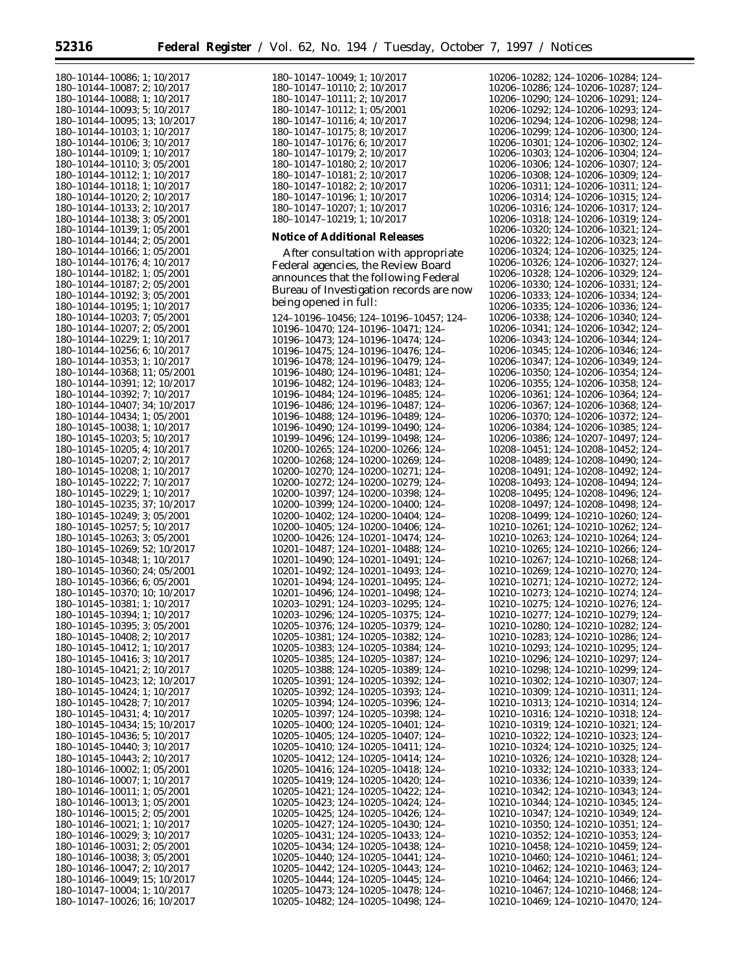180–10144–10086; 1; 10/2017 180–10144–10087; 2; 10/2017 180–10144–10088; 1; 10/2017 180–10144–10093; 5; 10/2017 180–10144–10095; 13; 10/2017 180–10144–10103; 1; 10/2017 180–10144–10106; 3; 10/2017 180–10144–10109; 1; 10/2017 180–10144–10110; 3; 05/2001 180–10144–10112; 1; 10/2017 180–10144–10118; 1; 10/2017 180–10144–10120; 2; 10/2017 180–10144–10133; 2; 10/2017 180–10144–10138; 3; 05/2001 180–10144–10139; 1; 05/2001 180–10144–10144; 2; 05/2001 180–10144–10166; 1; 05/2001 180–10144–10176; 4; 10/2017 180–10144–10182; 1; 05/2001 180–10144–10187; 2; 05/2001 180–10144–10192; 3; 05/2001 180–10144–10195; 1; 10/2017 180–10144–10203; 7; 05/2001 180–10144–10207; 2; 05/2001 180–10144–10229; 1; 10/2017 180–10144–10256; 6; 10/2017 180–10144–10353; 1; 10/2017 180–10144–10368; 11; 05/2001 180–10144–10391; 12; 10/2017 180–10144–10392; 7; 10/2017 180–10144–10407; 34; 10/2017 180–10144–10434; 1; 05/2001 180–10145–10038; 1; 10/2017 180–10145–10203; 5; 10/2017 180–10145–10205; 4; 10/2017 180–10145–10207; 2; 10/2017 180–10145–10208; 1; 10/2017 180–10145–10222; 7; 10/2017 180–10145–10229; 1; 10/2017 180–10145–10235; 37; 10/2017 180–10145–10249; 3; 05/2001 180–10145–10257; 5; 10/2017 180–10145–10263; 3; 05/2001 180–10145–10269; 52; 10/2017 180–10145–10348; 1; 10/2017 180–10145–10360; 24; 05/2001 180–10145–10366; 6; 05/2001 180–10145–10370; 10; 10/2017 180–10145–10381; 1; 10/2017 180–10145–10394; 1; 10/2017 180–10145–10395; 3; 05/2001 180–10145–10408; 2; 10/2017 180–10145–10412; 1; 10/2017 180–10145–10416; 3; 10/2017 180–10145–10421; 2; 10/2017 180–10145–10423; 12; 10/2017 180–10145–10424; 1; 10/2017 180–10145–10428; 7; 10/2017 180–10145–10431; 4; 10/2017 180–10145–10434; 15; 10/2017 180–10145–10436; 5; 10/2017 180–10145–10440; 3; 10/2017 180–10145–10443; 2; 10/2017 180–10146–10002; 1; 05/2001 180–10146–10007; 1; 10/2017 180–10146–10011; 1; 05/2001 180–10146–10013; 1; 05/2001 180–10146–10015; 2; 05/2001 180–10146–10021; 1; 10/2017 180–10146–10029; 3; 10/2017 180–10146–10031; 2; 05/2001 180–10146–10038; 3; 05/2001 180–10146–10047; 2; 10/2017 180–10146–10049; 15; 10/2017 180–10147–10004; 1; 10/2017

180–10147–10026; 16; 10/2017

180–10147–10049; 1; 10/2017 180–10147–10110; 2; 10/2017 180–10147–10111; 2; 10/2017 180–10147–10112; 1; 05/2001 180–10147–10116; 4; 10/2017 180–10147–10175; 8; 10/2017 180–10147–10176; 6; 10/2017 180–10147–10179; 2; 10/2017 180–10147–10180; 2; 10/2017 180–10147–10181; 2; 10/2017 180–10147–10182; 2; 10/2017 180–10147–10196; 1; 10/2017 180–10147–10207; 1; 10/2017 180–10147–10219; 1; 10/2017 **Notice of Additional Releases** After consultation with appropriate Federal agencies, the Review Board announces that the following Federal Bureau of Investigation records are now being opened in full: 124–10196–10456; 124–10196–10457; 124– 10196–10470; 124–10196–10471; 124– 10196–10473; 124–10196–10474; 124– 10196–10475; 124–10196–10476; 124– 10196–10478; 124–10196–10479; 124– 10196–10480; 124–10196–10481; 124– 10196–10482; 124–10196–10483; 124– 10196–10484; 124–10196–10485; 124– 10196–10486; 124–10196–10487; 124– 10196–10488; 124–10196–10489; 124– 10196–10490; 124–10199–10490; 124– 10199–10496; 124–10199–10498; 124– 10200–10265; 124–10200–10266; 124– 10200–10268; 124–10200–10269; 124– 10200–10270; 124–10200–10271; 124– 10200–10272; 124–10200–10279; 124– 10200–10397; 124–10200–10398; 124– 10200–10399; 124–10200–10400; 124– 10200–10402; 124–10200–10404; 124– 10200–10405; 124–10200–10406; 124– 10200–10426; 124–10201–10474; 124– 10201–10487; 124–10201–10488; 124– 10201–10490; 124–10201–10491; 124– 10201–10492; 124–10201–10493; 124– 10201–10494; 124–10201–10495; 124– 10201–10496; 124–10201–10498; 124– 10203–10291; 124–10203–10295; 124– 10203–10296; 124–10205–10375; 124– 10205–10376; 124–10205–10379; 124– 10205–10381; 124–10205–10382; 124– 10205–10383; 124–10205–10384; 124– 10205–10385; 124–10205–10387; 124– 10205–10388; 124–10205–10389; 124– 10205–10391; 124–10205–10392; 124– 10205–10392; 124–10205–10393; 124– 10205–10394; 124–10205–10396; 124– 10205–10397; 124–10205–10398; 124– 10205–10400; 124–10205–10401; 124– 10205–10405; 124–10205–10407; 124– 10205–10410; 124–10205–10411; 124– 10205–10412; 124–10205–10414; 124– 10205–10416; 124–10205–10418; 124– 10205–10419; 124–10205–10420; 124– 10205–10421; 124–10205–10422; 124– 10205–10423; 124–10205–10424; 124– 10205–10425; 124–10205–10426; 124– 10205–10427; 124–10205–10430; 124– 10205–10431; 124–10205–10433; 124–

10205–10434; 124–10205–10438; 124– 10205–10440; 124–10205–10441; 124– 10205–10442; 124–10205–10443; 124– 10205–10444; 124–10205–10445; 124– 10205–10473; 124–10205–10478; 124– 10205–10482; 124–10205–10498; 124– 10206–10282; 124–10206–10284; 124– 10206–10286; 124–10206–10287; 124– 10206–10290; 124–10206–10291; 124– 10206–10292; 124–10206–10293; 124– 10206–10294; 124–10206–10298; 124– 10206–10299; 124–10206–10300; 124– 10206–10301; 124–10206–10302; 124– 10206–10303; 124–10206–10304; 124– 10206–10306; 124–10206–10307; 124– 10206–10308; 124–10206–10309; 124– 10206–10311; 124–10206–10311; 124– 10206–10314; 124–10206–10315; 124– 10206–10316; 124–10206–10317; 124– 10206–10318; 124–10206–10319; 124– 10206–10320; 124–10206–10321; 124– 10206–10322; 124–10206–10323; 124– 10206–10324; 124–10206–10325; 124– 10206–10326; 124–10206–10327; 124– 10206–10328; 124–10206–10329; 124– 10206–10330; 124–10206–10331; 124– 10206–10333; 124–10206–10334; 124– 10206–10335; 124–10206–10336; 124– 10206–10338; 124–10206–10340; 124– 10206–10341; 124–10206–10342; 124– 10206–10343; 124–10206–10344; 124– 10206–10345; 124–10206–10346; 124– 10206–10347; 124–10206–10349; 124– 10206–10350; 124–10206–10354; 124– 10206–10355; 124–10206–10358; 124– 10206–10361; 124–10206–10364; 124– 10206–10367; 124–10206–10368; 124– 10206–10370; 124–10206–10372; 124– 10206–10384; 124–10206–10385; 124– 10206–10386; 124–10207–10497; 124– 10208–10451; 124–10208–10452; 124– 10208–10489; 124–10208–10490; 124– 10208–10491; 124–10208–10492; 124– 10208–10493; 124–10208–10494; 124– 10208–10495; 124–10208–10496; 124– 10208–10497; 124–10208–10498; 124– 10208–10499; 124–10210–10260; 124– 10210–10261; 124–10210–10262; 124– 10210–10263; 124–10210–10264; 124– 10210–10265; 124–10210–10266; 124– 10210–10267; 124–10210–10268; 124– 10210–10269; 124–10210–10270; 124– 10210–10271; 124–10210–10272; 124– 10210–10273; 124–10210–10274; 124– 10210–10275; 124–10210–10276; 124– 10210–10277; 124–10210–10279; 124– 10210–10280; 124–10210–10282; 124– 10210–10283; 124–10210–10286; 124– 10210–10293; 124–10210–10295; 124– 10210–10296; 124–10210–10297; 124– 10210–10298; 124–10210–10299; 124– 10210–10302; 124–10210–10307; 124– 10210–10309; 124–10210–10311; 124– 10210–10313; 124–10210–10314; 124– 10210–10316; 124–10210–10318; 124– 10210–10319; 124–10210–10321; 124– 10210–10322; 124–10210–10323; 124– 10210–10324; 124–10210–10325; 124– 10210–10326; 124–10210–10328; 124– 10210–10332; 124–10210–10333; 124– 10210–10336; 124–10210–10339; 124– 10210–10342; 124–10210–10343; 124– 10210–10344; 124–10210–10345; 124– 10210–10347; 124–10210–10349; 124– 10210–10350; 124–10210–10351; 124– 10210–10352; 124–10210–10353; 124– 10210–10458; 124–10210–10459; 124– 10210–10460; 124–10210–10461; 124– 10210–10462; 124–10210–10463; 124– 10210–10464; 124–10210–10466; 124– 10210–10467; 124–10210–10468; 124– 10210–10469; 124–10210–10470; 124–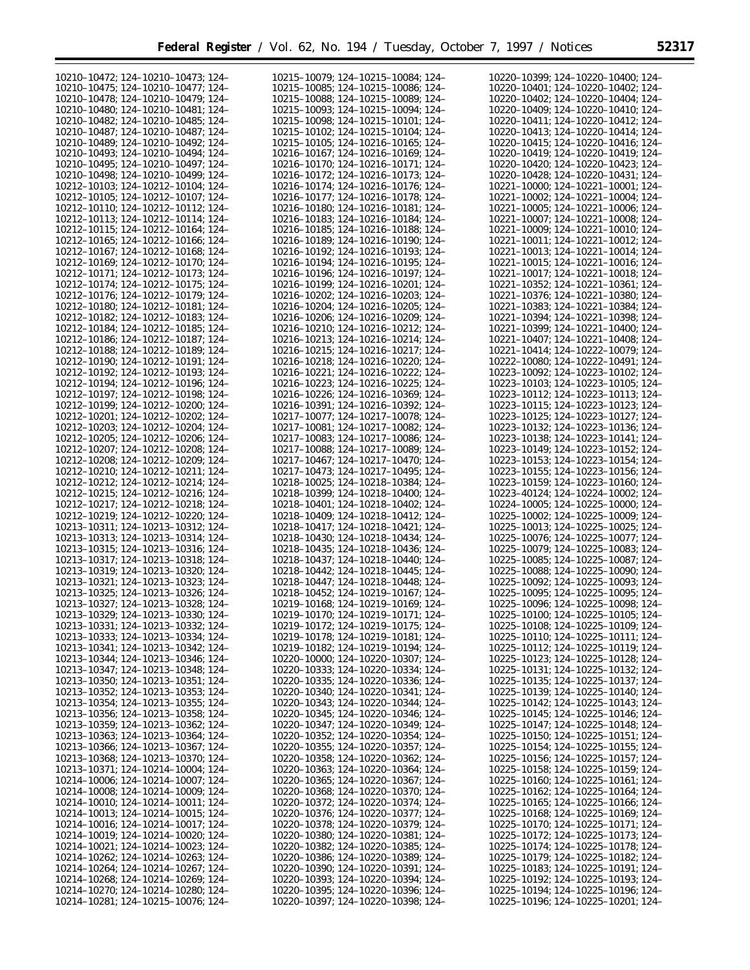| 10210-10472; 124-10210-10473; 124-      | 10215-10079; 124-10215-10084; 124-      | 10220-10399; 124-10220-10400; 124-      |
|-----------------------------------------|-----------------------------------------|-----------------------------------------|
| 10210-10475; 124-10210-10477; 124-      | 10215-10085; 124-10215-10086; 124-      | 10220-10401; 124-10220-10402; 124-      |
|                                         |                                         |                                         |
| 10210-10478; 124-10210-10479; 124-      | 10215-10088; 124-10215-10089; 124-      | 10220-10402; 124-10220-10404; 124-      |
| 10210-10480; 124-10210-10481; 124-      | 10215-10093; 124-10215-10094; 124-      | 10220-10409; 124-10220-10410; 124-      |
| 10210-10482; 124-10210-10485; 124-      | 10215-10098; 124-10215-10101; 124-      | 10220-10411; 124-10220-10412; 124-      |
| 10210-10487; 124-10210-10487; 124-      | 10215-10102; 124-10215-10104; 124-      | 10220-10413; 124-10220-10414; 124-      |
| 10210-10489; 124-10210-10492; 124-      | 10215-10105; 124-10216-10165; 124-      | 10220-10415; 124-10220-10416; 124-      |
|                                         |                                         |                                         |
| 10210-10493: 124-10210-10494: 124-      | 10216-10167; 124-10216-10169; 124-      | 10220-10419: 124-10220-10419: 124-      |
| 10210-10495; 124-10210-10497; 124-      | 10216-10170; 124-10216-10171; 124-      | 10220-10420; 124-10220-10423; 124-      |
| 10210-10498; 124-10210-10499; 124-      | 10216-10172; 124-10216-10173; 124-      | 10220-10428; 124-10220-10431; 124-      |
| 10212-10103; 124-10212-10104; 124-      | 10216-10174; 124-10216-10176; 124-      | 10221-10000; 124-10221-10001; 124-      |
|                                         |                                         |                                         |
| 10212-10105: 124-10212-10107: 124-      | 10216-10177; 124-10216-10178; 124-      | 10221-10002; 124-10221-10004; 124-      |
| 10212-10110; 124-10212-10112; 124-      | 10216-10180; 124-10216-10181; 124-      | 10221-10005; 124-10221-10006; 124-      |
| 10212-10113; 124-10212-10114; 124-      | 10216-10183: 124-10216-10184: 124-      | 10221-10007: 124-10221-10008: 124-      |
| 10212-10115; 124-10212-10164; 124-      | 10216-10185; 124-10216-10188; 124-      | 10221-10009; 124-10221-10010; 124-      |
|                                         |                                         |                                         |
| 10212-10165; 124-10212-10166; 124-      | 10216-10189; 124-10216-10190; 124-      | 10221-10011; 124-10221-10012; 124-      |
| 10212-10167; 124-10212-10168; 124-      | 10216-10192; 124-10216-10193; 124-      | 10221-10013; 124-10221-10014; 124-      |
| 10212-10169; 124-10212-10170; 124-      | 10216-10194; 124-10216-10195; 124-      | 10221-10015; 124-10221-10016; 124-      |
| 10212-10171; 124-10212-10173; 124-      | 10216-10196; 124-10216-10197; 124-      | 10221-10017; 124-10221-10018; 124-      |
| 10212-10174; 124-10212-10175; 124-      | 10216-10199; 124-10216-10201; 124-      | 10221-10352; 124-10221-10361; 124-      |
|                                         |                                         |                                         |
| 10212-10176; 124-10212-10179; 124-      | 10216-10202; 124-10216-10203; 124-      | 10221-10376; 124-10221-10380; 124-      |
| 10212-10180; 124-10212-10181; 124-      | 10216-10204; 124-10216-10205; 124-      | 10221-10383; 124-10221-10384; 124-      |
| 10212-10182; 124-10212-10183; 124-      | 10216-10206; 124-10216-10209; 124-      | 10221-10394; 124-10221-10398; 124-      |
| 10212-10184; 124-10212-10185; 124-      | 10216-10210; 124-10216-10212; 124-      | 10221-10399; 124-10221-10400; 124-      |
|                                         |                                         |                                         |
| 10212-10186; 124-10212-10187; 124-      | 10216-10213; 124-10216-10214; 124-      | 10221-10407; 124-10221-10408; 124-      |
| 10212-10188; 124-10212-10189; 124-      | 10216-10215; 124-10216-10217; 124-      | 10221-10414; 124-10222-10079; 124-      |
| 10212-10190; 124-10212-10191; 124-      | 10216-10218; 124-10216-10220; 124-      | 10222-10080; 124-10222-10491; 124-      |
| 10212-10192; 124-10212-10193; 124-      | 10216-10221; 124-10216-10222; 124-      | 10223-10092; 124-10223-10102; 124-      |
|                                         |                                         |                                         |
| 10212-10194; 124-10212-10196; 124-      | 10216-10223; 124-10216-10225; 124-      | 10223-10103; 124-10223-10105; 124-      |
| 10212-10197; 124-10212-10198; 124-      | 10216-10226; 124-10216-10369; 124-      | 10223-10112; 124-10223-10113; 124-      |
| 10212-10199; 124-10212-10200; 124-      | 10216-10391; 124-10216-10392; 124-      | 10223-10115; 124-10223-10123; 124-      |
| 10212-10201; 124-10212-10202; 124-      | 10217-10077; 124-10217-10078; 124-      | 10223-10125; 124-10223-10127; 124-      |
|                                         |                                         |                                         |
| 10212-10203; 124-10212-10204; 124-      | 10217-10081; 124-10217-10082; 124-      | 10223-10132; 124-10223-10136; 124-      |
| 10212-10205; 124-10212-10206; 124-      | 10217-10083; 124-10217-10086; 124-      | 10223-10138; 124-10223-10141; 124-      |
| 10212-10207; 124-10212-10208; 124-      | 10217-10088; 124-10217-10089; 124-      | 10223-10149; 124-10223-10152; 124-      |
| 10212-10208; 124-10212-10209; 124-      | 10217-10467; 124-10217-10470; 124-      | 10223-10153; 124-10223-10154; 124-      |
|                                         |                                         |                                         |
| 10212-10210; 124-10212-10211; 124-      | 10217-10473; 124-10217-10495; 124-      | 10223-10155; 124-10223-10156; 124-      |
| 10212-10212; 124-10212-10214; 124-      | 10218-10025; 124-10218-10384; 124-      | 10223-10159; 124-10223-10160; 124-      |
| 10212-10215; 124-10212-10216; 124-      | 10218-10399; 124-10218-10400; 124-      | 10223-40124; 124-10224-10002; 124-      |
| 10212-10217; 124-10212-10218; 124-      | 10218-10401; 124-10218-10402; 124-      | 10224-10005; 124-10225-10000; 124-      |
| 10212-10219; 124-10212-10220; 124-      | 10218-10409; 124-10218-10412; 124-      | 10225-10002; 124-10225-10009; 124-      |
|                                         |                                         |                                         |
| 10213-10311; 124-10213-10312; 124-      | 10218-10417; 124-10218-10421; 124-      | 10225-10013; 124-10225-10025; 124-      |
| 10213-10313; 124-10213-10314; 124-      | 10218-10430; 124-10218-10434; 124-      | 10225-10076; 124-10225-10077; 124-      |
| 10213-10315; 124-10213-10316; 124-      | 10218-10435; 124-10218-10436; 124-      | 10225-10079; 124-10225-10083; 124-      |
| 10213-10317; 124-10213-10318; 124-      | 10218-10437; 124-10218-10440; 124-      | 10225-10085; 124-10225-10087; 124-      |
| 10213-10319; 124-10213-10320; 124-      | 10218-10442; 124-10218-10445; 124-      | 10225-10088; 124-10225-10090; 124-      |
| 10213-10321; 124-10213-10323; 124-      | 10218-10447; 124-10218-10448; 124-      | 10225-10092; 124-10225-10093; 124-      |
|                                         |                                         |                                         |
| 10213-10325; 124-10213-10326; 124-      | 10218-10452; 124-10219-10167; 124-      | 10225-10095; 124-10225-10095; 124-      |
| 10213-10327; 124-10213-10328; 124-      | 10219-10168; 124-10219-10169; 124-      | 10225-10096; 124-10225-10098; 124-      |
| 10213-10329; 124-10213-10330; 124-      | 10219-10170; 124-10219-10171; 124-      | 10225-10100; 124-10225-10105; 124-      |
| 10213-10331; 124-10213-10332; 124-      | 10219-10172; 124-10219-10175; 124-      | 10225-10108; 124-10225-10109; 124-      |
|                                         |                                         |                                         |
| 10213-10333; 124-10213-10334; 124-      | 10219-10178; 124-10219-10181; 124-      | $10225 - 10110$ ; 124-10225-10111; 124- |
| 10213-10341; 124-10213-10342; 124-      | 10219-10182; 124-10219-10194; 124-      | $10225 - 10112$ ; 124-10225-10119; 124- |
| 10213-10344; 124-10213-10346; 124-      | 10220-10000; 124-10220-10307; 124-      | 10225-10123; 124-10225-10128; 124-      |
| 10213-10347; 124-10213-10348; 124-      | 10220-10333; 124-10220-10334; 124-      | 10225-10131; 124-10225-10132; 124-      |
|                                         |                                         | 10225-10135; 124-10225-10137; 124-      |
| 10213-10350; 124-10213-10351; 124-      | 10220-10335; 124-10220-10336; 124-      |                                         |
| 10213-10352; 124-10213-10353; 124-      | 10220-10340; 124-10220-10341; 124-      | 10225-10139; 124-10225-10140; 124-      |
| $10213 - 10354$ ; 124-10213-10355; 124- | 10220-10343; 124-10220-10344; 124-      | $10225 - 10142$ ; 124-10225-10143; 124- |
| 10213-10356; 124-10213-10358; 124-      | 10220-10345; 124-10220-10346; 124-      | $10225 - 10145$ ; 124-10225-10146; 124- |
| 10213-10359; 124-10213-10362; 124-      | 10220-10347; 124-10220-10349; 124-      | 10225-10147; 124-10225-10148; 124-      |
|                                         |                                         |                                         |
| 10213-10363; 124-10213-10364; 124-      | 10220-10352; 124-10220-10354; 124-      | $10225 - 10150$ ; 124-10225-10151; 124- |
| 10213-10366; 124-10213-10367; 124-      | $10220 - 10355$ ; 124-10220-10357; 124- | $10225 - 10154$ ; 124-10225-10155; 124- |
| 10213-10368; 124-10213-10370; 124-      | $10220 - 10358$ ; 124-10220-10362; 124- | $10225 - 10156$ ; 124-10225-10157; 124- |
| 10213-10371; 124-10214-10004; 124-      | 10220-10363; 124-10220-10364; 124-      | $10225 - 10158$ ; 124-10225-10159; 124- |
| $10214 - 10006$ ; 124-10214-10007; 124- | 10220-10365; 124-10220-10367; 124-      | $10225 - 10160$ ; 124-10225-10161; 124- |
| $10214 - 10008$ ; 124-10214-10009; 124- | 10220-10368; 124-10220-10370; 124-      | $10225 - 10162$ ; 124-10225-10164; 124- |
|                                         |                                         |                                         |
| 10214-10010; 124-10214-10011; 124-      | 10220-10372; 124-10220-10374; 124-      | $10225 - 10165$ ; 124-10225-10166; 124- |
| $10214 - 10013$ ; 124-10214-10015; 124- | 10220-10376; 124-10220-10377; 124-      | $10225 - 10168$ ; 124-10225-10169; 124- |
| 10214-10016; 124-10214-10017; 124-      | 10220-10378; 124-10220-10379; 124-      | $10225 - 10170$ ; 124-10225-10171; 124- |
| 10214-10019; 124-10214-10020; 124-      | 10220-10380; 124-10220-10381; 124-      | 10225-10172; 124-10225-10173; 124-      |
| 10214-10021; 124-10214-10023; 124-      | $10220 - 10382$ ; 124-10220-10385; 124- | 10225-10174; 124-10225-10178; 124-      |
|                                         |                                         |                                         |
| $10214 - 10262$ ; 124-10214-10263; 124- | 10220-10386; 124-10220-10389; 124-      | 10225-10179; 124-10225-10182; 124-      |
| 10214-10264; 124-10214-10267; 124-      | 10220-10390; 124-10220-10391; 124-      | 10225-10183; 124-10225-10191; 124-      |
| 10214-10268; 124-10214-10269; 124-      | 10220-10393; 124-10220-10394; 124-      | 10225-10192; 124-10225-10193; 124-      |
| 10214-10270; 124-10214-10280; 124-      | 10220-10395; 124-10220-10396; 124-      | 10225-10194; 124-10225-10196; 124-      |
| 10214-10281; 124-10215-10076; 124-      | 10220-10397; 124-10220-10398; 124-      | 10225-10196; 124-10225-10201; 124-      |
|                                         |                                         |                                         |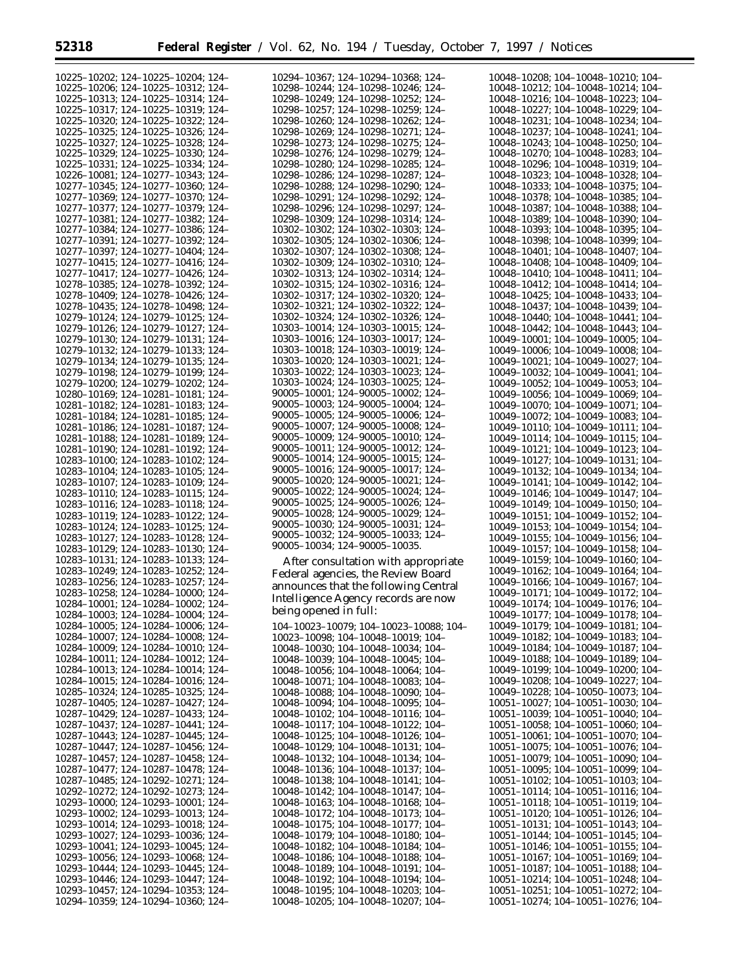$\equiv$ 

| 10225-10202; 124-10225-10204; 124-                                       | 10294-10367; 124-10294-10368; 124-                                       | 10048-10208; 104-10048-10210; 104-                                       |
|--------------------------------------------------------------------------|--------------------------------------------------------------------------|--------------------------------------------------------------------------|
| 10225-10206; 124-10225-10312; 124-                                       | 10298-10244; 124-10298-10246; 124-                                       | 10048-10212; 104-10048-10214; 104-                                       |
| 10225-10313; 124-10225-10314; 124-                                       | 10298-10249; 124-10298-10252; 124-                                       | 10048-10216; 104-10048-10223; 104-                                       |
|                                                                          |                                                                          |                                                                          |
| 10225-10317; 124-10225-10319; 124-                                       | 10298-10257; 124-10298-10259; 124-                                       | 10048-10227; 104-10048-10229; 104-                                       |
| 10225-10320; 124-10225-10322; 124-                                       | 10298-10260; 124-10298-10262; 124-                                       | 10048-10231; 104-10048-10234; 104-                                       |
| 10225-10325; 124-10225-10326; 124-                                       | 10298-10269; 124-10298-10271; 124-                                       | 10048-10237; 104-10048-10241; 104-                                       |
|                                                                          |                                                                          |                                                                          |
| 10225-10327; 124-10225-10328; 124-                                       | 10298-10273; 124-10298-10275; 124-                                       | 10048-10243; 104-10048-10250; 104-                                       |
| 10225-10329; 124-10225-10330; 124-                                       | 10298-10276; 124-10298-10279; 124-                                       | 10048-10270; 104-10048-10283; 104-                                       |
| 10225-10331; 124-10225-10334; 124-                                       | 10298-10280; 124-10298-10285; 124-                                       | 10048-10296; 104-10048-10319; 104-                                       |
|                                                                          |                                                                          |                                                                          |
| 10226-10081; 124-10277-10343; 124-                                       | 10298-10286; 124-10298-10287; 124-                                       | 10048-10323; 104-10048-10328; 104-                                       |
| 10277-10345; 124-10277-10360; 124-                                       | 10298-10288; 124-10298-10290; 124-                                       | 10048-10333; 104-10048-10375; 104-                                       |
| 10277-10369; 124-10277-10370; 124-                                       | 10298-10291; 124-10298-10292; 124-                                       | 10048-10378; 104-10048-10385; 104-                                       |
|                                                                          |                                                                          |                                                                          |
| 10277-10377; 124-10277-10379; 124-                                       | 10298-10296; 124-10298-10297; 124-                                       | 10048-10387; 104-10048-10388; 104-                                       |
| 10277-10381: 124-10277-10382: 124-                                       | 10298-10309: 124-10298-10314: 124-                                       | 10048-10389; 104-10048-10390; 104-                                       |
| 10277-10384; 124-10277-10386; 124-                                       | 10302-10302; 124-10302-10303; 124-                                       | 10048-10393; 104-10048-10395; 104-                                       |
|                                                                          |                                                                          |                                                                          |
| 10277-10391; 124-10277-10392; 124-                                       | 10302-10305; 124-10302-10306; 124-                                       | 10048-10398; 104-10048-10399; 104-                                       |
| 10277-10397; 124-10277-10404; 124-                                       | 10302-10307; 124-10302-10308; 124-                                       | 10048-10401; 104-10048-10407; 104-                                       |
| 10277-10415; 124-10277-10416; 124-                                       | 10302-10309; 124-10302-10310; 124-                                       | 10048-10408; 104-10048-10409; 104-                                       |
|                                                                          |                                                                          |                                                                          |
| 10277-10417; 124-10277-10426; 124-                                       | 10302-10313; 124-10302-10314; 124-                                       | 10048-10410; 104-10048-10411; 104-                                       |
| 10278-10385; 124-10278-10392; 124-                                       | 10302-10315; 124-10302-10316; 124-                                       | 10048-10412; 104-10048-10414; 104-                                       |
| 10278-10409; 124-10278-10426; 124-                                       | 10302-10317; 124-10302-10320; 124-                                       | 10048-10425; 104-10048-10433; 104-                                       |
| 10278-10435; 124-10278-10498; 124-                                       | 10302-10321; 124-10302-10322; 124-                                       | 10048-10437; 104-10048-10439; 104-                                       |
|                                                                          |                                                                          |                                                                          |
| 10279-10124; 124-10279-10125; 124-                                       | 10302-10324; 124-10302-10326; 124-                                       | 10048-10440; 104-10048-10441; 104-                                       |
| 10279-10126; 124-10279-10127; 124-                                       | 10303-10014; 124-10303-10015; 124-                                       | 10048-10442; 104-10048-10443; 104-                                       |
|                                                                          | 10303-10016; 124-10303-10017; 124-                                       |                                                                          |
| 10279-10130; 124-10279-10131; 124-                                       |                                                                          | 10049-10001; 104-10049-10005; 104-                                       |
| 10279-10132; 124-10279-10133; 124-                                       | 10303-10018; 124-10303-10019; 124-                                       | 10049-10006; 104-10049-10008; 104-                                       |
| 10279-10134; 124-10279-10135; 124-                                       | 10303-10020; 124-10303-10021; 124-                                       | 10049-10021; 104-10049-10027; 104-                                       |
|                                                                          | 10303-10022; 124-10303-10023; 124-                                       |                                                                          |
| 10279-10198; 124-10279-10199; 124-                                       |                                                                          | 10049-10032; 104-10049-10041; 104-                                       |
| 10279-10200; 124-10279-10202; 124-                                       | 10303-10024; 124-10303-10025; 124-                                       | 10049-10052; 104-10049-10053; 104-                                       |
| 10280-10169; 124-10281-10181; 124-                                       | 90005-10001; 124-90005-10002; 124-                                       | 10049-10056; 104-10049-10069; 104-                                       |
|                                                                          | 90005-10003; 124-90005-10004; 124-                                       |                                                                          |
| 10281-10182; 124-10281-10183; 124-                                       |                                                                          | 10049-10070; 104-10049-10071; 104-                                       |
| 10281-10184; 124-10281-10185; 124-                                       | 90005-10005; 124-90005-10006; 124-                                       | 10049-10072; 104-10049-10083; 104-                                       |
| 10281-10186; 124-10281-10187; 124-                                       | $90005 - 10007$ ; 124-90005-10008; 124-                                  | 10049-10110; 104-10049-10111; 104-                                       |
| 10281-10188; 124-10281-10189; 124-                                       | $90005 - 10009$ ; 124-90005-10010; 124-                                  | 10049-10114; 104-10049-10115; 104-                                       |
|                                                                          | 90005-10011; 124-90005-10012; 124-                                       |                                                                          |
| 10281-10190; 124-10281-10192; 124-                                       |                                                                          | 10049-10121; 104-10049-10123; 104-                                       |
| 10283-10100; 124-10283-10102; 124-                                       | 90005-10014; 124-90005-10015; 124-                                       | 10049-10127; 104-10049-10131; 104-                                       |
| 10283-10104; 124-10283-10105; 124-                                       | $90005 - 10016$ ; 124-90005-10017; 124-                                  | 10049-10132; 104-10049-10134; 104-                                       |
|                                                                          | 90005-10020; 124-90005-10021; 124-                                       |                                                                          |
| 10283-10107; 124-10283-10109; 124-                                       |                                                                          | 10049-10141; 104-10049-10142; 104-                                       |
| 10283-10110; 124-10283-10115; 124-                                       | 90005-10022; 124-90005-10024; 124-                                       | 10049-10146; 104-10049-10147; 104-                                       |
| 10283-10116; 124-10283-10118; 124-                                       | 90005-10025; 124-90005-10026; 124-                                       | 10049-10149; 104-10049-10150; 104-                                       |
|                                                                          | 90005-10028; 124-90005-10029; 124-                                       |                                                                          |
| 10283-10119; 124-10283-10122; 124-                                       |                                                                          | 10049-10151; 104-10049-10152; 104-                                       |
| 10283-10124; 124-10283-10125; 124-                                       | 90005-10030; 124-90005-10031; 124-                                       | 10049-10153; 104-10049-10154; 104-                                       |
| 10283-10127; 124-10283-10128; 124-                                       | 90005-10032; 124-90005-10033; 124-                                       | 10049-10155; 104-10049-10156; 104-                                       |
| 10283-10129; 124-10283-10130; 124-                                       | 90005-10034: 124-90005-10035.                                            | 10049-10157; 104-10049-10158; 104-                                       |
|                                                                          |                                                                          |                                                                          |
| 10283-10131; 124-10283-10133; 124-                                       | After consultation with appropriate                                      | 10049-10159; 104-10049-10160; 104-                                       |
| 10283-10249; 124-10283-10252; 124-                                       | Federal agencies, the Review Board                                       | 10049-10162; 104-10049-10164; 104-                                       |
| 10283-10256; 124-10283-10257; 124-                                       |                                                                          | 10049-10166; 104-10049-10167; 104-                                       |
|                                                                          | announces that the following Central                                     |                                                                          |
| 10283-10258; 124-10284-10000; 124-                                       | Intelligence Agency records are now                                      | 10049-10171; 104-10049-10172; 104-                                       |
| 10284-10001; 124-10284-10002; 124-                                       |                                                                          | 10049-10174; 104-10049-10176; 104-                                       |
| 10284-10003; 124-10284-10004; 124-                                       | being opened in full:                                                    | 10049-10177; 104-10049-10178; 104-                                       |
| 10284-10005; 124-10284-10006; 124-                                       |                                                                          | 10049-10179; 104-10049-10181; 104-                                       |
|                                                                          | 104-10023-10079; 104-10023-10088; 104-                                   |                                                                          |
| 10284-10007; 124-10284-10008; 124-                                       | 10023-10098; 104-10048-10019; 104-                                       | 10049-10182; 104-10049-10183; 104-                                       |
| 10284-10009; 124-10284-10010; 124-                                       | 10048-10030; 104-10048-10034; 104-                                       | 10049–10184; 104–10049–10187; 104–                                       |
| 10284-10011; 124-10284-10012; 124-                                       | $10048 - 10039$ ; 104-10048-10045; 104-                                  | 10049–10188; 104–10049–10189; 104–                                       |
|                                                                          |                                                                          |                                                                          |
| 10284-10013; 124-10284-10014; 124-                                       | 10048-10056; 104-10048-10064; 104-                                       | 10049–10199; 104–10049–10200; 104–                                       |
| $10284 - 10015$ ; 124-10284-10016; 124-                                  | 10048-10071; 104-10048-10083; 104-                                       | 10049–10208; 104–10049–10227; 104–                                       |
| 10285-10324; 124-10285-10325; 124-                                       | 10048-10088; 104-10048-10090; 104-                                       | 10049–10228; 104–10050–10073; 104–                                       |
| 10287-10405; 124-10287-10427; 124-                                       | 10048-10094; 104-10048-10095; 104-                                       | 10051-10027; 104-10051-10030; 104-                                       |
|                                                                          |                                                                          |                                                                          |
| 10287-10429; 124-10287-10433; 124-                                       | 10048-10102; 104-10048-10116; 104-                                       | 10051–10039; 104–10051–10040; 104–                                       |
| 10287-10437; 124-10287-10441; 124-                                       | 10048-10117; 104-10048-10122; 104-                                       | 10051-10058; 104-10051-10060; 104-                                       |
|                                                                          |                                                                          |                                                                          |
| 10287-10443; 124-10287-10445; 124-                                       |                                                                          |                                                                          |
| 10287-10447; 124-10287-10456; 124-                                       | 10048-10125; 104-10048-10126; 104-                                       | 10051-10061; 104-10051-10070; 104-                                       |
|                                                                          | 10048-10129; 104-10048-10131; 104-                                       | 10051-10075; 104-10051-10076; 104-                                       |
| 10287–10457; 124–10287–10458; 124–                                       | 10048-10132; 104-10048-10134; 104-                                       | 10051–10079; 104–10051–10090; 104–                                       |
|                                                                          |                                                                          |                                                                          |
| 10287-10477; 124-10287-10478; 124-                                       | 10048-10136; 104-10048-10137; 104-                                       | 10051–10095; 104–10051–10099; 104–                                       |
| 10287-10485; 124-10292-10271; 124-                                       | 10048-10138; 104-10048-10141; 104-                                       | 10051-10102; 104-10051-10103; 104-                                       |
| 10292-10272; 124-10292-10273; 124-                                       | 10048-10142; 104-10048-10147; 104-                                       | 10051-10114; 104-10051-10116; 104-                                       |
|                                                                          |                                                                          |                                                                          |
| 10293-10000; 124-10293-10001; 124-                                       | 10048-10163; 104-10048-10168; 104-                                       | 10051–10118; 104–10051–10119; 104–                                       |
| 10293-10002; 124-10293-10013; 124-                                       | 10048-10172; 104-10048-10173; 104-                                       | 10051-10120; 104-10051-10126; 104-                                       |
| 10293-10014; 124-10293-10018; 124-                                       | 10048-10175; 104-10048-10177; 104-                                       | 10051–10131; 104–10051–10143; 104–                                       |
|                                                                          |                                                                          |                                                                          |
| 10293-10027; 124-10293-10036; 124-                                       | 10048-10179; 104-10048-10180; 104-                                       | 10051-10144; 104-10051-10145; 104-                                       |
| 10293-10041; 124-10293-10045; 124-                                       | 10048-10182; 104-10048-10184; 104-                                       | 10051-10146; 104-10051-10155; 104-                                       |
| $10293 - 10056$ ; 124-10293-10068; 124-                                  | 10048-10186; 104-10048-10188; 104-                                       | 10051–10167; 104–10051–10169; 104–                                       |
| 10293-10444; 124-10293-10445; 124-                                       | 10048-10189; 104-10048-10191; 104-                                       | 10051–10187; 104–10051–10188; 104–                                       |
|                                                                          |                                                                          |                                                                          |
| 10293-10446; 124-10293-10447; 124-                                       | 10048-10192; 104-10048-10194; 104-                                       | 10051–10214; 104–10051–10248; 104–                                       |
| 10293-10457; 124-10294-10353; 124-<br>10294-10359; 124-10294-10360; 124- | 10048-10195; 104-10048-10203; 104-<br>10048-10205; 104-10048-10207; 104- | 10051-10251; 104-10051-10272; 104-<br>10051-10274; 104-10051-10276; 104- |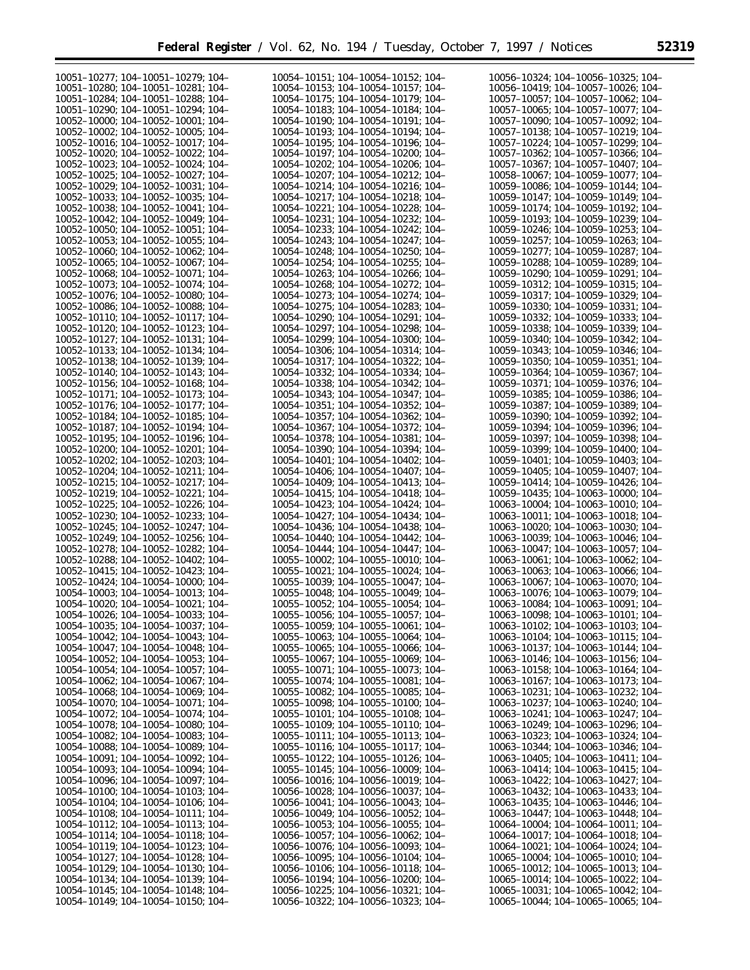| 10051-10277; 104-10051-10279; 104-                                       | 10054-10151; 104-10054-10152; 104-                                       | 10056-10324; 104-10056-10325; 104-                                       |
|--------------------------------------------------------------------------|--------------------------------------------------------------------------|--------------------------------------------------------------------------|
| 10051-10280: 104-10051-10281: 104-                                       | 10054-10153: 104-10054-10157: 104-                                       | 10056-10419: 104-10057-10026: 104-                                       |
|                                                                          |                                                                          |                                                                          |
| 10051-10284; 104-10051-10288; 104-                                       | 10054-10175; 104-10054-10179; 104-                                       | 10057-10057; 104-10057-10062; 104-                                       |
| 10051-10290; 104-10051-10294; 104-                                       | 10054-10183; 104-10054-10184; 104-                                       | 10057-10065; 104-10057-10077; 104-                                       |
| 10052-10000; 104-10052-10001; 104-                                       | 10054-10190; 104-10054-10191; 104-                                       | 10057-10090; 104-10057-10092; 104-                                       |
| 10052-10002; 104-10052-10005; 104-                                       | 10054-10193; 104-10054-10194; 104-                                       | 10057-10138; 104-10057-10219; 104-                                       |
|                                                                          |                                                                          |                                                                          |
| 10052-10016; 104-10052-10017; 104-                                       | 10054-10195; 104-10054-10196; 104-                                       | 10057-10224; 104-10057-10299; 104-                                       |
| 10052-10020; 104-10052-10022; 104-                                       | 10054-10197; 104-10054-10200; 104-                                       | 10057-10362; 104-10057-10366; 104-                                       |
| 10052-10023; 104-10052-10024; 104-                                       | 10054-10202; 104-10054-10206; 104-                                       | 10057-10367; 104-10057-10407; 104-                                       |
| 10052-10025; 104-10052-10027; 104-                                       | 10054-10207; 104-10054-10212; 104-                                       | 10058-10067; 104-10059-10077; 104-                                       |
| 10052-10029; 104-10052-10031; 104-                                       | 10054-10214; 104-10054-10216; 104-                                       | 10059-10086; 104-10059-10144; 104-                                       |
|                                                                          |                                                                          |                                                                          |
| 10052-10033: 104-10052-10035: 104-                                       | 10054-10217; 104-10054-10218; 104-                                       | 10059-10147; 104-10059-10149; 104-                                       |
| 10052-10038; 104-10052-10041; 104-                                       | 10054-10221; 104-10054-10228; 104-                                       | 10059-10174; 104-10059-10192; 104-                                       |
| 10052-10042: 104-10052-10049: 104-                                       | 10054-10231: 104-10054-10232: 104-                                       | 10059-10193: 104-10059-10239: 104-                                       |
| $10052 - 10050$ ; $104 - 10052 - 10051$ ; $104 -$                        | 10054-10233; 104-10054-10242; 104-                                       | 10059-10246; 104-10059-10253; 104-                                       |
|                                                                          |                                                                          |                                                                          |
| $10052 - 10053$ ; $104 - 10052 - 10055$ ; $104 -$                        | 10054-10243; 104-10054-10247; 104-                                       | 10059-10257; 104-10059-10263; 104-                                       |
| 10052-10060; 104-10052-10062; 104-                                       | 10054-10248; 104-10054-10250; 104-                                       | 10059-10277; 104-10059-10287; 104-                                       |
| 10052-10065; 104-10052-10067; 104-                                       | 10054-10254; 104-10054-10255; 104-                                       | 10059-10288; 104-10059-10289; 104-                                       |
| 10052-10068; 104-10052-10071; 104-                                       | 10054-10263; 104-10054-10266; 104-                                       | 10059-10290; 104-10059-10291; 104-                                       |
|                                                                          |                                                                          |                                                                          |
| 10052-10073; 104-10052-10074; 104-                                       | 10054-10268; 104-10054-10272; 104-                                       | 10059-10312; 104-10059-10315; 104-                                       |
| 10052-10076; 104-10052-10080; 104-                                       | 10054-10273; 104-10054-10274; 104-                                       | 10059-10317; 104-10059-10329; 104-                                       |
| 10052-10086; 104-10052-10088; 104-                                       | 10054-10275; 104-10054-10283; 104-                                       | 10059-10330; 104-10059-10331; 104-                                       |
| 10052-10110; 104-10052-10117; 104-                                       | 10054-10290; 104-10054-10291; 104-                                       | 10059-10332; 104-10059-10333; 104-                                       |
|                                                                          |                                                                          |                                                                          |
| 10052-10120; 104-10052-10123; 104-                                       | 10054-10297; 104-10054-10298; 104-                                       | 10059-10338; 104-10059-10339; 104-                                       |
| 10052-10127; 104-10052-10131; 104-                                       | 10054-10299; 104-10054-10300; 104-                                       | 10059-10340; 104-10059-10342; 104-                                       |
| 10052-10133; 104-10052-10134; 104-                                       | 10054-10306; 104-10054-10314; 104-                                       | 10059-10343; 104-10059-10346; 104-                                       |
| 10052-10138; 104-10052-10139; 104-                                       | 10054-10317; 104-10054-10322; 104-                                       | 10059-10350; 104-10059-10351; 104-                                       |
|                                                                          |                                                                          |                                                                          |
| 10052-10140; 104-10052-10143; 104-                                       | 10054-10332; 104-10054-10334; 104-                                       | 10059-10364; 104-10059-10367; 104-                                       |
| 10052-10156; 104-10052-10168; 104-                                       | 10054-10338; 104-10054-10342; 104-                                       | 10059-10371; 104-10059-10376; 104-                                       |
| 10052-10171; 104-10052-10173; 104-                                       | 10054-10343; 104-10054-10347; 104-                                       | 10059-10385; 104-10059-10386; 104-                                       |
| 10052-10176; 104-10052-10177; 104-                                       | 10054-10351: 104-10054-10352: 104-                                       | 10059-10387; 104-10059-10389; 104-                                       |
|                                                                          |                                                                          | 10059-10390; 104-10059-10392; 104-                                       |
| 10052-10184; 104-10052-10185; 104-                                       | 10054-10357; 104-10054-10362; 104-                                       |                                                                          |
| 10052-10187; 104-10052-10194; 104-                                       | 10054-10367; 104-10054-10372; 104-                                       | 10059-10394; 104-10059-10396; 104-                                       |
| 10052-10195; 104-10052-10196; 104-                                       | 10054-10378; 104-10054-10381; 104-                                       | 10059-10397; 104-10059-10398; 104-                                       |
| 10052-10200; 104-10052-10201; 104-                                       | 10054-10390; 104-10054-10394; 104-                                       | 10059-10399; 104-10059-10400; 104-                                       |
| 10052-10202; 104-10052-10203; 104-                                       | 10054-10401; 104-10054-10402; 104-                                       | 10059-10401; 104-10059-10403; 104-                                       |
|                                                                          |                                                                          |                                                                          |
| 10052-10204; 104-10052-10211; 104-                                       | 10054-10406; 104-10054-10407; 104-                                       | 10059-10405; 104-10059-10407; 104-                                       |
| 10052-10215; 104-10052-10217; 104-                                       | 10054-10409; 104-10054-10413; 104-                                       | 10059-10414; 104-10059-10426; 104-                                       |
| 10052-10219; 104-10052-10221; 104-                                       | 10054-10415; 104-10054-10418; 104-                                       | 10059-10435; 104-10063-10000; 104-                                       |
| 10052-10225; 104-10052-10226; 104-                                       | 10054-10423; 104-10054-10424; 104-                                       | 10063-10004; 104-10063-10010; 104-                                       |
| 10052-10230; 104-10052-10233; 104-                                       |                                                                          |                                                                          |
|                                                                          | 10054-10427; 104-10054-10434; 104-                                       | 10063-10011; 104-10063-10018; 104-                                       |
| 10052-10245; 104-10052-10247; 104-                                       | 10054-10436; 104-10054-10438; 104-                                       | 10063-10020; 104-10063-10030; 104-                                       |
| 10052-10249; 104-10052-10256; 104-                                       | 10054-10440; 104-10054-10442; 104-                                       | 10063-10039; 104-10063-10046; 104-                                       |
| 10052-10278; 104-10052-10282; 104-                                       | 10054-10444; 104-10054-10447; 104-                                       | 10063-10047; 104-10063-10057; 104-                                       |
| 10052-10288; 104-10052-10402; 104-                                       | 10055-10002; 104-10055-10010; 104-                                       | 10063-10061; 104-10063-10062; 104-                                       |
| 10052-10415; 104-10052-10423; 104-                                       | 10055-10021; 104-10055-10024; 104-                                       | 10063-10063; 104-10063-10066; 104-                                       |
|                                                                          |                                                                          | 10063-10067: 104-10063-10070: 104-                                       |
| 10052-10424; 104-10054-10000; 104-                                       | 10055-10039; 104-10055-10047; 104-                                       |                                                                          |
| 10054-10003; 104-10054-10013; 104-                                       | 10055-10048; 104-10055-10049; 104-                                       | 10063-10076; 104-10063-10079; 104-                                       |
| 10054-10020; 104-10054-10021; 104-                                       | 10055-10052; 104-10055-10054; 104-                                       | 10063-10084; 104-10063-10091; 104-                                       |
| 10054-10026; 104-10054-10033; 104-                                       | 10055-10056; 104-10055-10057; 104-                                       | 10063-10098; 104-10063-10101; 104-                                       |
|                                                                          | 10055-10059; 104-10055-10061; 104-                                       | 10063-10102; 104-10063-10103; 104-                                       |
| 10054-10035; 104-10054-10037; 104-                                       |                                                                          |                                                                          |
| 10054-10042; 104-10054-10043; 104-                                       | 10055-10063; 104-10055-10064; 104-                                       | 10063-10104; 104-10063-10115; 104-                                       |
| 10054-10047; 104-10054-10048; 104-                                       | $10055 - 10065$ ; 104-10055-10066; 104-                                  | 10063-10137; 104-10063-10144; 104-                                       |
| $10054 - 10052$ ; 104-10054-10053; 104-                                  |                                                                          |                                                                          |
|                                                                          | $10055 - 10067$ ; 104-10055-10069; 104-                                  | 10063-10146; 104-10063-10156; 104-                                       |
|                                                                          |                                                                          |                                                                          |
| 10054-10054; 104-10054-10057; 104-                                       | $10055 - 10071$ ; 104-10055-10073; 104-                                  | 10063-10158; 104-10063-10164; 104-                                       |
| 10054-10062; 104-10054-10067; 104-                                       | 10055-10074; 104-10055-10081; 104-                                       | 10063-10167; 104-10063-10173; 104-                                       |
| $10054 - 10068$ ; 104-10054-10069; 104-                                  | $10055 - 10082$ ; 104-10055-10085; 104-                                  | 10063-10231; 104-10063-10232; 104-                                       |
| 10054-10070; 104-10054-10071; 104-                                       | 10055-10098; 104-10055-10100; 104-                                       | 10063-10237; 104-10063-10240; 104-                                       |
|                                                                          |                                                                          |                                                                          |
| 10054-10072; 104-10054-10074; 104-                                       | 10055-10101; 104-10055-10108; 104-                                       | 10063-10241; 104-10063-10247; 104-                                       |
| 10054-10078; 104-10054-10080; 104-                                       | $10055 - 10109$ ; 104-10055-10110; 104-                                  | 10063-10249; 104-10063-10296; 104-                                       |
| $10054 - 10082$ ; $104 - 10054 - 10083$ ; $104 -$                        | 10055-10111; 104-10055-10113; 104-                                       | 10063-10323; 104-10063-10324; 104-                                       |
| $10054 - 10088$ ; 104-10054-10089; 104-                                  | $10055 - 10116$ ; $104 - 10055 - 10117$ ; $104 -$                        | 10063-10344; 104-10063-10346; 104-                                       |
| 10054-10091; 104-10054-10092; 104-                                       | $10055 - 10122$ ; $104 - 10055 - 10126$ ; $104 -$                        | 10063-10405; 104-10063-10411; 104-                                       |
|                                                                          |                                                                          | 10063-10414; 104-10063-10415; 104-                                       |
| 10054-10093; 104-10054-10094; 104-                                       | $10055 - 10145$ ; 104-10056-10009; 104-                                  |                                                                          |
| 10054-10096; 104-10054-10097; 104-                                       | 10056-10016; 104-10056-10019; 104-                                       | 10063-10422; 104-10063-10427; 104-                                       |
| $10054 - 10100$ ; $104 - 10054 - 10103$ ; $104 -$                        | 10056-10028; 104-10056-10037; 104-                                       | 10063-10432; 104-10063-10433; 104-                                       |
| 10054-10104; 104-10054-10106; 104-                                       | 10056-10041; 104-10056-10043; 104-                                       | 10063-10435; 104-10063-10446; 104-                                       |
| 10054-10108; 104-10054-10111; 104-                                       | 10056-10049; 104-10056-10052; 104-                                       | 10063-10447; 104-10063-10448; 104-                                       |
|                                                                          |                                                                          |                                                                          |
| 10054-10112; 104-10054-10113; 104-                                       | $10056 - 10053$ ; 104-10056-10055; 104-                                  | 10064-10004; 104-10064-10011; 104-                                       |
| 10054-10114; 104-10054-10118; 104-                                       | 10056-10057; 104-10056-10062; 104-                                       | 10064-10017; 104-10064-10018; 104-                                       |
| 10054-10119; 104-10054-10123; 104-                                       | 10056-10076; 104-10056-10093; 104-                                       | 10064-10021; 104-10064-10024; 104-                                       |
| 10054-10127; 104-10054-10128; 104-                                       | $10056 - 10095$ ; 104-10056-10104; 104-                                  | 10065-10004; 104-10065-10010; 104-                                       |
| 10054-10129; 104-10054-10130; 104-                                       | 10056-10106; 104-10056-10118; 104-                                       | 10065-10012; 104-10065-10013; 104-                                       |
|                                                                          |                                                                          |                                                                          |
| 10054-10134; 104-10054-10139; 104-                                       | 10056-10194; 104-10056-10200; 104-                                       | 10065-10014; 104-10065-10022; 104-                                       |
| 10054-10145; 104-10054-10148; 104-<br>10054-10149; 104-10054-10150; 104- | 10056-10225; 104-10056-10321; 104-<br>10056-10322; 104-10056-10323; 104- | 10065-10031; 104-10065-10042; 104-<br>10065-10044; 104-10065-10065; 104- |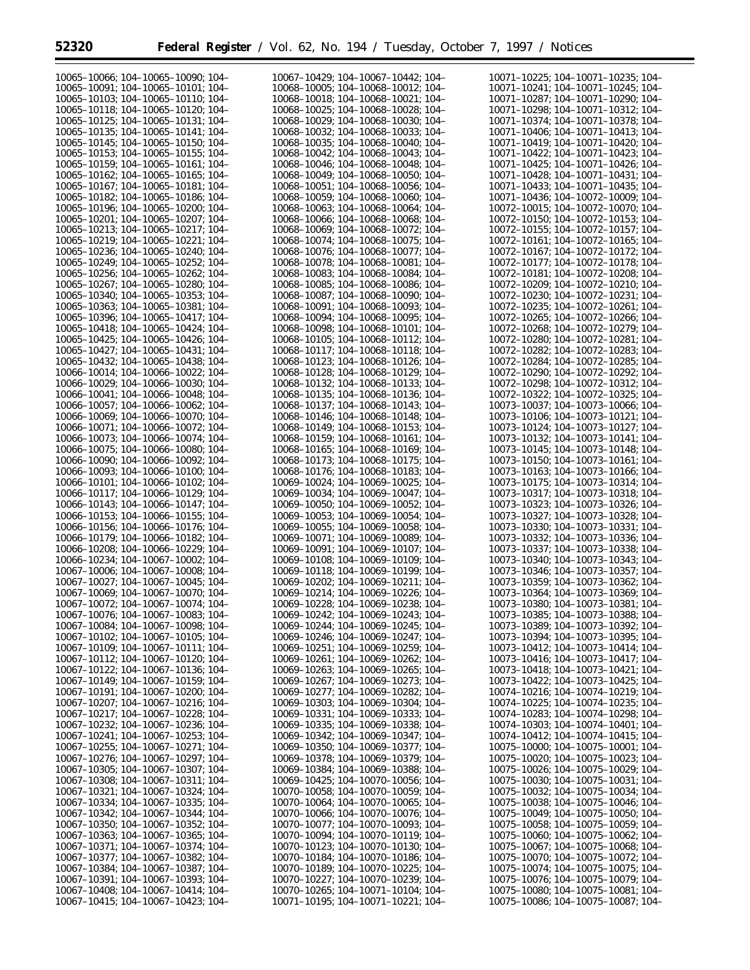| 10065-10066; 104-10065-10090; 104-                | 10067-10429; 104-10067-10442; 104-      | 10071-10225; 104-10071-10235; 104-      |
|---------------------------------------------------|-----------------------------------------|-----------------------------------------|
| 10065-10091; 104-10065-10101; 104-                | 10068-10005; 104-10068-10012; 104-      | 10071-10241; 104-10071-10245; 104-      |
| 10065-10103; 104-10065-10110; 104-                | 10068-10018; 104-10068-10021; 104-      | 10071-10287; 104-10071-10290; 104-      |
|                                                   |                                         |                                         |
| 10065-10118; 104-10065-10120; 104-                | 10068-10025; 104-10068-10028; 104-      | 10071-10298; 104-10071-10312; 104-      |
| 10065-10125; 104-10065-10131; 104-                | 10068-10029; 104-10068-10030; 104-      | 10071-10374; 104-10071-10378; 104-      |
| 10065-10135; 104-10065-10141; 104-                | 10068-10032; 104-10068-10033; 104-      | 10071-10406; 104-10071-10413; 104-      |
| 10065-10145; 104-10065-10150; 104-                | 10068-10035; 104-10068-10040; 104-      | 10071-10419; 104-10071-10420; 104-      |
| 10065-10153; 104-10065-10155; 104-                | 10068-10042; 104-10068-10043; 104-      | 10071-10422; 104-10071-10423; 104-      |
| 10065-10159; 104-10065-10161; 104-                | 10068-10046; 104-10068-10048; 104-      | 10071-10425; 104-10071-10426; 104-      |
| 10065-10162; 104-10065-10165; 104-                | 10068-10049; 104-10068-10050; 104-      | 10071-10428; 104-10071-10431; 104-      |
| 10065-10167; 104-10065-10181; 104-                | 10068-10051; 104-10068-10056; 104-      | 10071-10433; 104-10071-10435; 104-      |
|                                                   |                                         |                                         |
| 10065-10182; 104-10065-10186; 104-                | 10068-10059; 104-10068-10060; 104-      | 10071-10436: 104-10072-10009: 104-      |
| 10065-10196: 104-10065-10200: 104-                | 10068-10063: 104-10068-10064: 104-      | 10072-10015; 104-10072-10070; 104-      |
| 10065-10201; 104-10065-10207; 104-                | 10068-10066; 104-10068-10068; 104-      | 10072-10150: 104-10072-10153: 104-      |
| 10065-10213; 104-10065-10217; 104-                | 10068-10069; 104-10068-10072; 104-      | 10072-10155; 104-10072-10157; 104-      |
| 10065-10219; 104-10065-10221; 104-                | 10068-10074: 104-10068-10075: 104-      | 10072-10161; 104-10072-10165; 104-      |
| 10065-10236; 104-10065-10240; 104-                | 10068-10076; 104-10068-10077; 104-      | 10072-10167; 104-10072-10172; 104-      |
| 10065-10249; 104-10065-10252; 104-                | 10068-10078; 104-10068-10081; 104-      | 10072-10177; 104-10072-10178; 104-      |
|                                                   | 10068-10083; 104-10068-10084; 104-      | 10072-10181; 104-10072-10208; 104-      |
| 10065-10256; 104-10065-10262; 104-                |                                         |                                         |
| 10065-10267; 104-10065-10280; 104-                | 10068-10085; 104-10068-10086; 104-      | 10072-10209; 104-10072-10210; 104-      |
| 10065-10340; 104-10065-10353; 104-                | 10068-10087; 104-10068-10090; 104-      | 10072-10230; 104-10072-10231; 104-      |
| 10065-10363; 104-10065-10381; 104-                | 10068-10091; 104-10068-10093; 104-      | 10072-10235; 104-10072-10261; 104-      |
| 10065-10396: 104-10065-10417: 104-                | 10068-10094; 104-10068-10095; 104-      | 10072-10265; 104-10072-10266; 104-      |
| 10065-10418; 104-10065-10424; 104-                | 10068-10098; 104-10068-10101; 104-      | 10072-10268; 104-10072-10279; 104-      |
| 10065-10425: 104-10065-10426: 104-                | 10068-10105; 104-10068-10112; 104-      | 10072-10280; 104-10072-10281; 104-      |
|                                                   |                                         |                                         |
| 10065-10427; 104-10065-10431; 104-                | 10068-10117; 104-10068-10118; 104-      | 10072-10282; 104-10072-10283; 104-      |
| 10065-10432; 104-10065-10438; 104-                | 10068-10123; 104-10068-10126; 104-      | 10072-10284; 104-10072-10285; 104-      |
| 10066-10014; 104-10066-10022; 104-                | 10068-10128; 104-10068-10129; 104-      | 10072-10290; 104-10072-10292; 104-      |
| 10066-10029: 104-10066-10030: 104-                | 10068-10132; 104-10068-10133; 104-      | 10072-10298; 104-10072-10312; 104-      |
| 10066-10041; 104-10066-10048; 104-                | 10068-10135; 104-10068-10136; 104-      | 10072-10322; 104-10072-10325; 104-      |
| 10066-10057; 104-10066-10062; 104-                | 10068-10137; 104-10068-10143; 104-      | 10073-10037; 104-10073-10066; 104-      |
|                                                   |                                         |                                         |
| 10066-10069; 104-10066-10070; 104-                | 10068-10146; 104-10068-10148; 104-      | 10073-10106; 104-10073-10121; 104-      |
| 10066-10071; 104-10066-10072; 104-                | 10068-10149; 104-10068-10153; 104-      | 10073-10124; 104-10073-10127; 104-      |
| 10066-10073; 104-10066-10074; 104-                | 10068-10159; 104-10068-10161; 104-      | 10073-10132; 104-10073-10141; 104-      |
| 10066-10075; 104-10066-10080; 104-                | 10068-10165; 104-10068-10169; 104-      | 10073-10145; 104-10073-10148; 104-      |
| 10066-10090; 104-10066-10092; 104-                | 10068-10173; 104-10068-10175; 104-      | 10073-10150; 104-10073-10161; 104-      |
| 10066-10093; 104-10066-10100; 104-                | 10068-10176; 104-10068-10183; 104-      | 10073-10163; 104-10073-10166; 104-      |
| 10066-10101; 104-10066-10102; 104-                | 10069-10024; 104-10069-10025; 104-      | 10073-10175; 104-10073-10314; 104-      |
| 10066-10117; 104-10066-10129; 104-                | 10069-10034; 104-10069-10047; 104-      | 10073-10317; 104-10073-10318; 104-      |
|                                                   |                                         |                                         |
| 10066-10143; 104-10066-10147; 104-                | 10069-10050; 104-10069-10052; 104-      | 10073-10323; 104-10073-10326; 104-      |
| 10066-10153; 104-10066-10155; 104-                | 10069-10053; 104-10069-10054; 104-      | 10073-10327; 104-10073-10328; 104-      |
| 10066-10156; 104-10066-10176; 104-                | 10069-10055; 104-10069-10058; 104-      | 10073-10330; 104-10073-10331; 104-      |
| 10066-10179; 104-10066-10182; 104-                | 10069-10071; 104-10069-10089; 104-      | 10073-10332; 104-10073-10336; 104-      |
| 10066-10208; 104-10066-10229; 104-                | 10069-10091; 104-10069-10107; 104-      | 10073-10337; 104-10073-10338; 104-      |
| 10066-10234; 104-10067-10002; 104-                | 10069-10108; 104-10069-10109; 104-      | 10073-10340; 104-10073-10343; 104-      |
| 10067-10006; 104-10067-10008; 104-                | 10069-10118; 104-10069-10199; 104-      |                                         |
|                                                   |                                         | 10073-10346; 104-10073-10357; 104-      |
| 10067-10027: 104-10067-10045: 104-                | 10069-10202; 104-10069-10211; 104-      | 10073-10359; 104-10073-10362; 104-      |
| 10067-10069; 104-10067-10070; 104-                | 10069-10214; 104-10069-10226; 104-      | 10073-10364; 104-10073-10369; 104-      |
| 10067-10072; 104-10067-10074; 104-                | 10069-10228; 104-10069-10238; 104-      | 10073-10380; 104-10073-10381; 104-      |
| 10067-10076; 104-10067-10083; 104-                | 10069-10242; 104-10069-10243; 104-      | 10073-10385; 104-10073-10388; 104-      |
| 10067-10084; 104-10067-10098; 104-                | 10069-10244; 104-10069-10245; 104-      | 10073-10389; 104-10073-10392; 104-      |
| $10067 - 10102$ ; $104 - 10067 - 10105$ ; $104 -$ | 10069-10246; 104-10069-10247; 104-      | 10073-10394; 104-10073-10395; 104-      |
| 10067-10109; 104-10067-10111; 104-                | $10069 - 10251$ ; 104-10069-10259; 104- | 10073-10412; 104-10073-10414; 104-      |
|                                                   |                                         |                                         |
| 10067-10112; 104-10067-10120; 104-                | 10069-10261; 104-10069-10262; 104-      | 10073-10416; 104-10073-10417; 104-      |
| 10067-10122; 104-10067-10136; 104-                | $10069 - 10263$ ; 104-10069-10265; 104- | 10073-10418; 104-10073-10421; 104-      |
| 10067-10149; 104-10067-10159; 104-                | 10069-10267; 104-10069-10273; 104-      | 10073-10422; 104-10073-10425; 104-      |
| 10067-10191; 104-10067-10200; 104-                | 10069-10277; 104-10069-10282; 104-      | 10074-10216; 104-10074-10219; 104-      |
| 10067-10207; 104-10067-10216; 104-                | 10069-10303; 104-10069-10304; 104-      | 10074-10225; 104-10074-10235; 104-      |
| 10067-10217; 104-10067-10228; 104-                | 10069–10331; 104–10069–10333; 104–      | 10074-10283; 104-10074-10298; 104-      |
| 10067-10232; 104-10067-10236; 104-                | 10069–10335; 104–10069–10338; 104–      | 10074-10303; 104-10074-10401; 104-      |
| 10067-10241; 104-10067-10253; 104-                | 10069-10342; 104-10069-10347; 104-      | 10074-10412; 104-10074-10415; 104-      |
|                                                   |                                         |                                         |
| 10067-10255; 104-10067-10271; 104-                | 10069–10350; 104–10069–10377; 104–      | 10075-10000; 104-10075-10001; 104-      |
| $10067 - 10276$ ; $104 - 10067 - 10297$ ; $104 -$ | 10069–10378; 104–10069–10379; 104–      | 10075-10020; 104-10075-10023; 104-      |
| $10067 - 10305$ ; 104-10067-10307; 104-           | 10069–10384; 104–10069–10388; 104–      | 10075–10026; 104–10075–10029; 104–      |
| 10067-10308; 104-10067-10311; 104-                | $10069 - 10425$ ; 104-10070-10056; 104- | 10075-10030; 104-10075-10031; 104-      |
| 10067-10321; 104-10067-10324; 104-                | $10070 - 10058$ ; 104-10070-10059; 104- | 10075-10032; 104-10075-10034; 104-      |
| 10067-10334; 104-10067-10335; 104-                | $10070 - 10064$ ; 104-10070-10065; 104- | 10075-10038; 104-10075-10046; 104-      |
| 10067-10342; 104-10067-10344; 104-                | $10070 - 10066$ ; 104-10070-10076; 104- | 10075-10049; 104-10075-10050; 104-      |
|                                                   |                                         |                                         |
| $10067 - 10350$ ; $104 - 10067 - 10352$ ; $104 -$ | 10070-10077; 104-10070-10093; 104-      | 10075–10058; 104–10075–10059; 104–      |
| $10067 - 10363$ ; 104-10067-10365; 104-           | 10070-10094; 104-10070-10119; 104-      | 10075-10060; 104-10075-10062; 104-      |
| 10067-10371; 104-10067-10374; 104-                | 10070-10123; 104-10070-10130; 104-      | 10075–10067; 104–10075–10068; 104–      |
| 10067-10377; 104-10067-10382; 104-                | 10070-10184; 104-10070-10186; 104-      | 10075-10070; 104-10075-10072; 104-      |
| 10067-10384; 104-10067-10387; 104-                | $10070 - 10189$ ; 104-10070-10225; 104- | 10075-10074; 104-10075-10075; 104-      |
| 10067-10391; 104-10067-10393; 104-                | 10070-10227; 104-10070-10239; 104-      | $10075 - 10076$ ; 104-10075-10079; 104- |
| $10067 - 10408$ ; 104-10067-10414; 104-           | 10070-10265; 104-10071-10104; 104-      | $10075 - 10080$ ; 104-10075-10081; 104- |
| 10067-10415; 104-10067-10423; 104-                | 10071-10195; 104-10071-10221; 104-      | 10075-10086; 104-10075-10087; 104-      |
|                                                   |                                         |                                         |